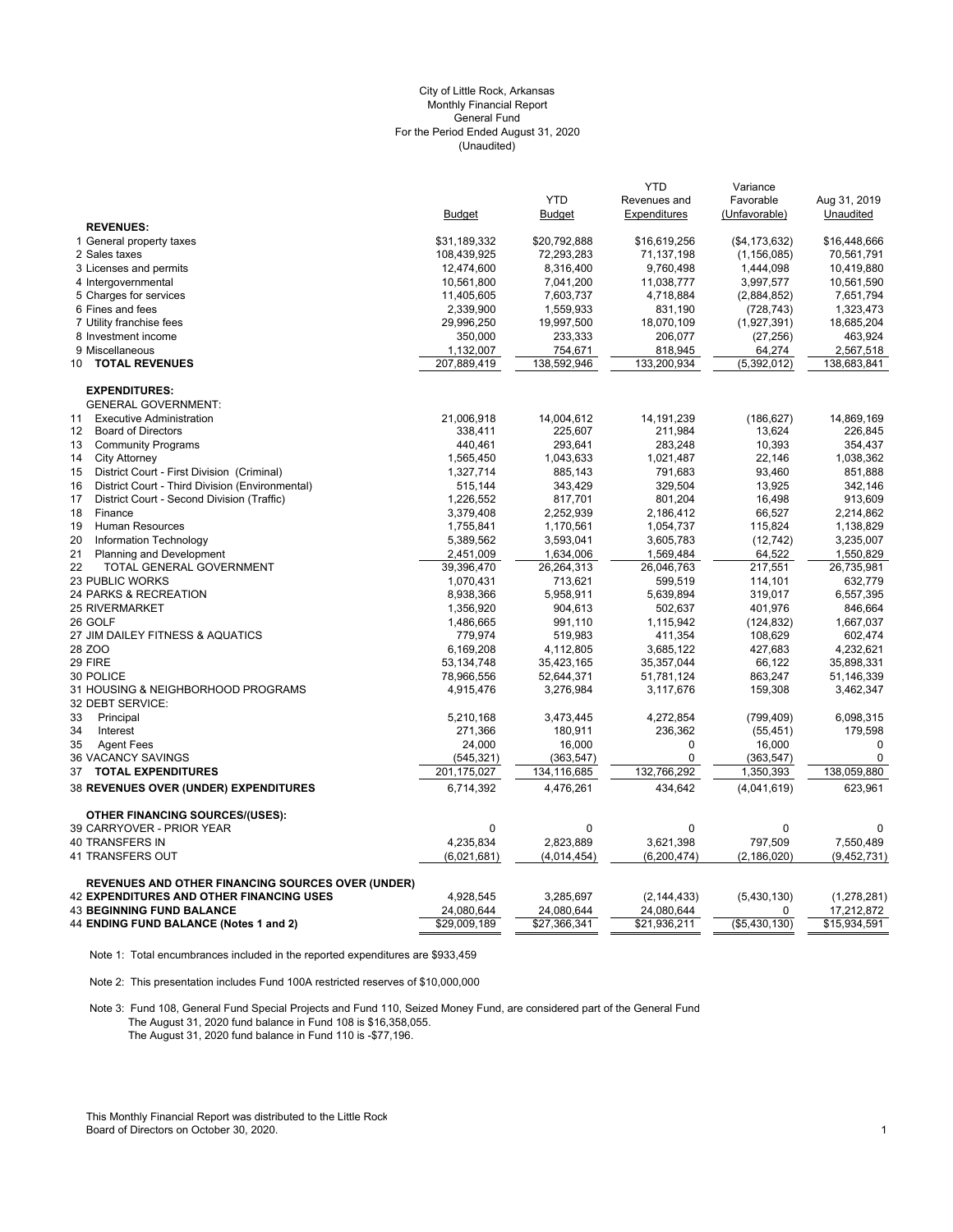## (Unaudited) City of Little Rock, Arkansas Monthly Financial Report General Fund For the Period Ended August 31, 2020

|                                                          |                        | <b>YTD</b>            | <b>YTD</b><br>Revenues and | Variance<br>Favorable     |                           |
|----------------------------------------------------------|------------------------|-----------------------|----------------------------|---------------------------|---------------------------|
|                                                          | <b>Budget</b>          | <b>Budget</b>         | Expenditures               | (Unfavorable)             | Aug 31, 2019<br>Unaudited |
| <b>REVENUES:</b>                                         |                        |                       |                            |                           |                           |
| 1 General property taxes                                 | \$31,189,332           | \$20,792,888          | \$16,619,256               | (\$4, 173, 632)           | \$16,448,666              |
| 2 Sales taxes                                            | 108,439,925            | 72,293,283            | 71,137,198                 | (1, 156, 085)             | 70,561,791                |
| 3 Licenses and permits                                   | 12,474,600             | 8,316,400             | 9,760,498                  | 1,444,098                 | 10,419,880                |
| 4 Intergovernmental                                      | 10,561,800             | 7,041,200             | 11,038,777                 | 3,997,577                 | 10,561,590                |
| 5 Charges for services                                   | 11,405,605             | 7,603,737             | 4,718,884                  | (2,884,852)               | 7,651,794                 |
| 6 Fines and fees                                         | 2,339,900              | 1,559,933             | 831,190                    | (728, 743)                | 1,323,473                 |
| 7 Utility franchise fees                                 | 29,996,250             | 19,997,500            | 18,070,109                 | (1,927,391)               | 18,685,204                |
| 8 Investment income                                      | 350,000                | 233,333               | 206,077                    | (27, 256)                 | 463,924                   |
| 9 Miscellaneous                                          | 1,132,007              | 754,671               | 818,945                    | 64,274                    | 2,567,518                 |
| <b>TOTAL REVENUES</b><br>10                              | 207,889,419            | 138,592,946           | 133,200,934                | (5,392,012)               | 138,683,841               |
| <b>EXPENDITURES:</b>                                     |                        |                       |                            |                           |                           |
| <b>GENERAL GOVERNMENT:</b>                               |                        |                       |                            |                           |                           |
| <b>Executive Administration</b><br>11                    | 21,006,918             | 14,004,612            | 14, 191, 239               | (186, 627)                | 14,869,169                |
| 12<br><b>Board of Directors</b>                          | 338,411                | 225,607               | 211,984                    | 13,624                    | 226,845                   |
| 13<br><b>Community Programs</b>                          | 440,461                | 293,641               | 283,248                    | 10,393                    | 354,437                   |
| <b>City Attorney</b><br>14                               | 1,565,450              | 1,043,633             | 1,021,487                  | 22,146                    | 1,038,362                 |
| District Court - First Division (Criminal)<br>15         | 1,327,714              | 885,143               | 791,683                    | 93,460                    | 851,888                   |
| 16<br>District Court - Third Division (Environmental)    | 515,144                | 343,429               | 329,504                    | 13,925                    | 342,146                   |
| 17<br>District Court - Second Division (Traffic)         | 1,226,552              | 817,701               | 801,204                    | 16,498                    | 913,609                   |
| Finance<br>18                                            | 3,379,408              | 2,252,939             | 2,186,412                  | 66,527                    | 2,214,862                 |
| <b>Human Resources</b><br>19                             | 1,755,841              | 1,170,561             | 1,054,737                  | 115,824                   | 1,138,829                 |
| 20<br>Information Technology                             | 5,389,562              | 3,593,041             | 3,605,783                  | (12, 742)                 | 3,235,007                 |
| 21<br>Planning and Development<br>22                     | 2,451,009              | 1,634,006             | 1,569,484                  | 64,522                    | 1,550,829<br>26,735,981   |
| TOTAL GENERAL GOVERNMENT<br><b>23 PUBLIC WORKS</b>       | 39,396,470             | 26,264,313<br>713,621 | 26,046,763                 | 217,551                   | 632,779                   |
| 24 PARKS & RECREATION                                    | 1,070,431<br>8,938,366 | 5,958,911             | 599,519<br>5,639,894       | 114,101<br>319,017        | 6,557,395                 |
| <b>25 RIVERMARKET</b>                                    | 1,356,920              | 904,613               | 502,637                    | 401,976                   | 846,664                   |
| 26 GOLF                                                  | 1,486,665              | 991,110               | 1,115,942                  | (124, 832)                | 1,667,037                 |
| 27 JIM DAILEY FITNESS & AQUATICS                         | 779,974                | 519,983               | 411,354                    | 108,629                   | 602,474                   |
| 28 ZOO                                                   | 6,169,208              | 4,112,805             | 3,685,122                  | 427,683                   | 4,232,621                 |
| 29 FIRE                                                  | 53, 134, 748           | 35,423,165            | 35,357,044                 | 66,122                    | 35,898,331                |
| 30 POLICE                                                | 78,966,556             | 52,644,371            | 51,781,124                 | 863,247                   | 51,146,339                |
| 31 HOUSING & NEIGHBORHOOD PROGRAMS                       | 4,915,476              | 3,276,984             | 3,117,676                  | 159,308                   | 3,462,347                 |
| 32 DEBT SERVICE:                                         |                        |                       |                            |                           |                           |
| 33<br>Principal                                          | 5,210,168              | 3,473,445             | 4,272,854                  | (799, 409)                | 6,098,315                 |
| 34<br>Interest                                           | 271,366                | 180,911               | 236,362                    | (55, 451)                 | 179,598                   |
| 35<br><b>Agent Fees</b>                                  | 24,000                 | 16,000                | $\mathbf 0$                | 16,000                    | $\mathbf 0$               |
| 36 VACANCY SAVINGS                                       | (545, 321)             | (363, 547)            | 0                          | (363, 547)                | $\mathbf 0$               |
| 37<br><b>TOTAL EXPENDITURES</b>                          | 201,175,027            | 134,116,685           | 132,766,292                | 1,350,393                 | 138,059,880               |
| <b>38 REVENUES OVER (UNDER) EXPENDITURES</b>             | 6,714,392              | 4,476,261             | 434,642                    | (4,041,619)               | 623,961                   |
| <b>OTHER FINANCING SOURCES/(USES):</b>                   |                        |                       |                            |                           |                           |
| 39 CARRYOVER - PRIOR YEAR                                | $\mathbf{0}$           | $\mathbf 0$           | $\mathbf 0$                | $\mathbf{0}$              | $\mathbf 0$               |
| <b>40 TRANSFERS IN</b>                                   | 4,235,834              | 2,823,889             | 3,621,398                  | 797,509                   | 7,550,489                 |
| 41 TRANSFERS OUT                                         | (6,021,681)            | (4,014,454)           | (6, 200, 474)              | (2, 186, 020)             | (9, 452, 731)             |
| <b>REVENUES AND OTHER FINANCING SOURCES OVER (UNDER)</b> |                        |                       |                            |                           |                           |
| <b>42 EXPENDITURES AND OTHER FINANCING USES</b>          | 4,928,545              | 3,285,697             | (2, 144, 433)              | (5,430,130)               | (1,278,281)               |
| <b>43 BEGINNING FUND BALANCE</b>                         | 24,080,644             | 24,080,644            | 24,080,644                 | $\Omega$                  | 17,212,872                |
| 44 ENDING FUND BALANCE (Notes 1 and 2)                   | \$29,009,189           | \$27,366,341          | \$21,936,211               | $(*\overline{5,430,130})$ | \$15,934,591              |

Note 1: Total encumbrances included in the reported expenditures are \$933,459

Note 2: This presentation includes Fund 100A restricted reserves of \$10,000,000

Note 3: Fund 108, General Fund Special Projects and Fund 110, Seized Money Fund, are considered part of the General Fund The August 31, 2020 fund balance in Fund 108 is \$16,358,055. The August 31, 2020 fund balance in Fund 110 is -\$77,196.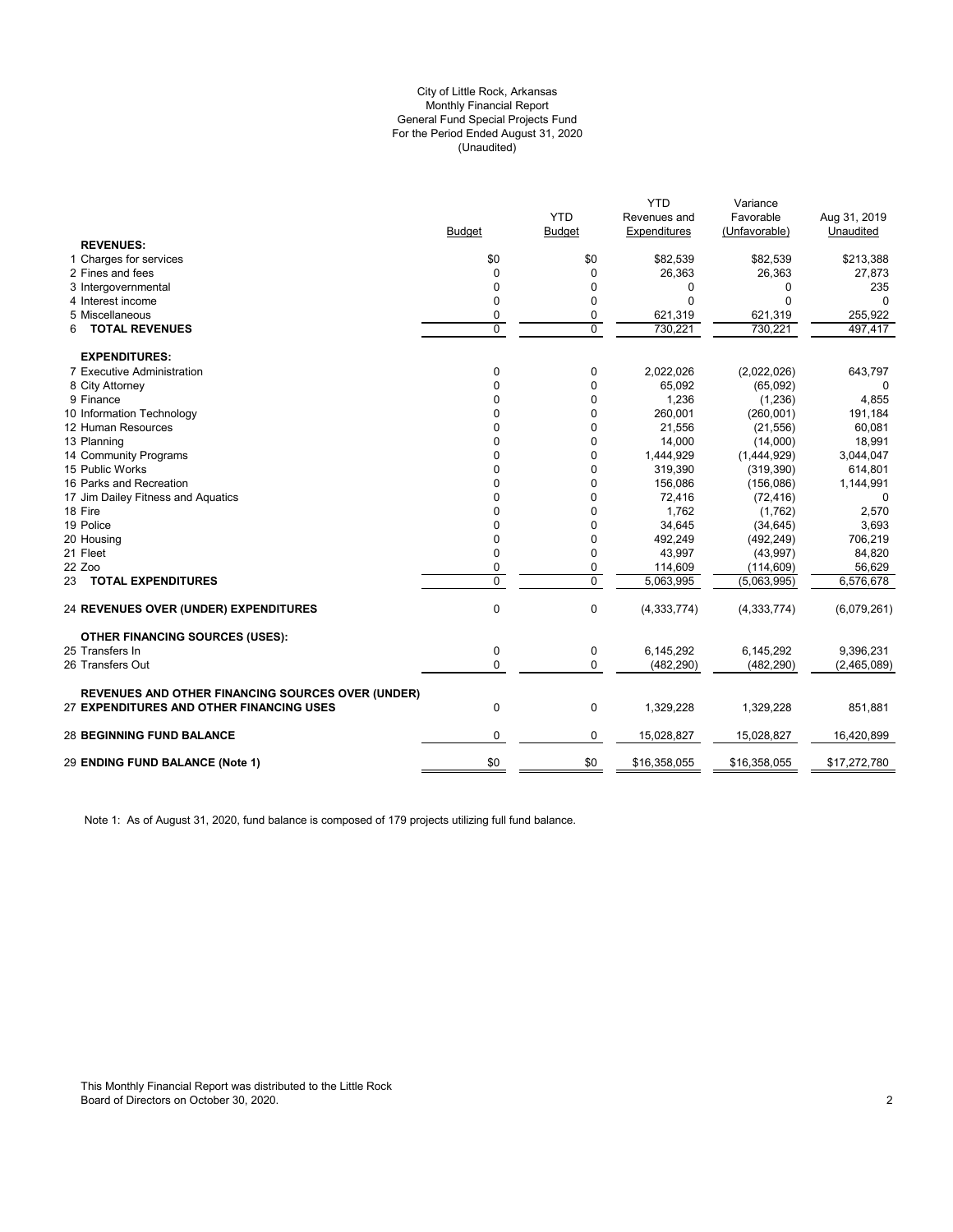## (Unaudited) City of Little Rock, Arkansas Monthly Financial Report General Fund Special Projects Fund For the Period Ended August 31, 2020

| <b>YTD</b><br>Favorable<br>Revenues and<br><b>Budget</b><br>Expenditures<br>(Unfavorable)<br><b>Budget</b><br><b>REVENUES:</b><br>1 Charges for services<br>\$0<br>\$0<br>\$82,539<br>\$82,539<br>2 Fines and fees<br>26,363<br>26,363<br>$\Omega$<br>0<br>3 Intergovernmental<br>0<br>$\Omega$<br>0<br>0<br>0<br>$\Omega$<br>$\Omega$<br>4 Interest income<br>$\Omega$<br>5 Miscellaneous<br>621,319<br>0<br>0<br>621,319<br>$\Omega$<br>$\Omega$<br><b>TOTAL REVENUES</b><br>730.221<br>730.221<br>6<br><b>EXPENDITURES:</b><br>$\mathbf 0$<br>7 Executive Administration<br>0<br>2,022,026<br>(2,022,026)<br>8 City Attorney<br>$\Omega$<br>$\Omega$<br>65,092<br>(65,092)<br>9 Finance<br>0<br>1,236<br>(1, 236)<br>0<br>10 Information Technology<br>0<br>260,001<br>0<br>(260, 001)<br>12 Human Resources<br>0<br>21,556<br>(21, 556)<br>n<br>13 Planning<br>14,000<br>(14,000)<br>0<br>0<br>14 Community Programs<br>$\Omega$<br>1,444,929<br>(1,444,929)<br>O<br>15 Public Works<br>$\Omega$<br>319,390<br>(319, 390)<br>U<br>16 Parks and Recreation<br>0<br>156,086<br>(156,086)<br>0<br>72,416<br>17 Jim Dailey Fitness and Aquatics<br>0<br>(72, 416)<br>0 | Aug 31, 2019<br>Unaudited<br>\$213,388 |
|------------------------------------------------------------------------------------------------------------------------------------------------------------------------------------------------------------------------------------------------------------------------------------------------------------------------------------------------------------------------------------------------------------------------------------------------------------------------------------------------------------------------------------------------------------------------------------------------------------------------------------------------------------------------------------------------------------------------------------------------------------------------------------------------------------------------------------------------------------------------------------------------------------------------------------------------------------------------------------------------------------------------------------------------------------------------------------------------------------------------------------------------------------------------|----------------------------------------|
|                                                                                                                                                                                                                                                                                                                                                                                                                                                                                                                                                                                                                                                                                                                                                                                                                                                                                                                                                                                                                                                                                                                                                                        |                                        |
|                                                                                                                                                                                                                                                                                                                                                                                                                                                                                                                                                                                                                                                                                                                                                                                                                                                                                                                                                                                                                                                                                                                                                                        |                                        |
|                                                                                                                                                                                                                                                                                                                                                                                                                                                                                                                                                                                                                                                                                                                                                                                                                                                                                                                                                                                                                                                                                                                                                                        |                                        |
|                                                                                                                                                                                                                                                                                                                                                                                                                                                                                                                                                                                                                                                                                                                                                                                                                                                                                                                                                                                                                                                                                                                                                                        |                                        |
|                                                                                                                                                                                                                                                                                                                                                                                                                                                                                                                                                                                                                                                                                                                                                                                                                                                                                                                                                                                                                                                                                                                                                                        | 27,873                                 |
|                                                                                                                                                                                                                                                                                                                                                                                                                                                                                                                                                                                                                                                                                                                                                                                                                                                                                                                                                                                                                                                                                                                                                                        | 235                                    |
|                                                                                                                                                                                                                                                                                                                                                                                                                                                                                                                                                                                                                                                                                                                                                                                                                                                                                                                                                                                                                                                                                                                                                                        |                                        |
|                                                                                                                                                                                                                                                                                                                                                                                                                                                                                                                                                                                                                                                                                                                                                                                                                                                                                                                                                                                                                                                                                                                                                                        | 255,922                                |
|                                                                                                                                                                                                                                                                                                                                                                                                                                                                                                                                                                                                                                                                                                                                                                                                                                                                                                                                                                                                                                                                                                                                                                        | 497,417                                |
|                                                                                                                                                                                                                                                                                                                                                                                                                                                                                                                                                                                                                                                                                                                                                                                                                                                                                                                                                                                                                                                                                                                                                                        |                                        |
|                                                                                                                                                                                                                                                                                                                                                                                                                                                                                                                                                                                                                                                                                                                                                                                                                                                                                                                                                                                                                                                                                                                                                                        | 643,797                                |
|                                                                                                                                                                                                                                                                                                                                                                                                                                                                                                                                                                                                                                                                                                                                                                                                                                                                                                                                                                                                                                                                                                                                                                        |                                        |
|                                                                                                                                                                                                                                                                                                                                                                                                                                                                                                                                                                                                                                                                                                                                                                                                                                                                                                                                                                                                                                                                                                                                                                        | 4,855                                  |
|                                                                                                                                                                                                                                                                                                                                                                                                                                                                                                                                                                                                                                                                                                                                                                                                                                                                                                                                                                                                                                                                                                                                                                        | 191,184                                |
|                                                                                                                                                                                                                                                                                                                                                                                                                                                                                                                                                                                                                                                                                                                                                                                                                                                                                                                                                                                                                                                                                                                                                                        | 60,081                                 |
|                                                                                                                                                                                                                                                                                                                                                                                                                                                                                                                                                                                                                                                                                                                                                                                                                                                                                                                                                                                                                                                                                                                                                                        | 18,991                                 |
|                                                                                                                                                                                                                                                                                                                                                                                                                                                                                                                                                                                                                                                                                                                                                                                                                                                                                                                                                                                                                                                                                                                                                                        | 3,044,047                              |
|                                                                                                                                                                                                                                                                                                                                                                                                                                                                                                                                                                                                                                                                                                                                                                                                                                                                                                                                                                                                                                                                                                                                                                        | 614,801                                |
|                                                                                                                                                                                                                                                                                                                                                                                                                                                                                                                                                                                                                                                                                                                                                                                                                                                                                                                                                                                                                                                                                                                                                                        | 1,144,991                              |
|                                                                                                                                                                                                                                                                                                                                                                                                                                                                                                                                                                                                                                                                                                                                                                                                                                                                                                                                                                                                                                                                                                                                                                        | $\Omega$                               |
| 18 Fire<br>1,762<br>(1,762)<br>0<br>O                                                                                                                                                                                                                                                                                                                                                                                                                                                                                                                                                                                                                                                                                                                                                                                                                                                                                                                                                                                                                                                                                                                                  | 2,570                                  |
| 19 Police<br>0<br>34,645<br>(34, 645)<br>O                                                                                                                                                                                                                                                                                                                                                                                                                                                                                                                                                                                                                                                                                                                                                                                                                                                                                                                                                                                                                                                                                                                             | 3,693                                  |
| 20 Housing<br>$\Omega$<br>492,249<br>(492, 249)<br>0                                                                                                                                                                                                                                                                                                                                                                                                                                                                                                                                                                                                                                                                                                                                                                                                                                                                                                                                                                                                                                                                                                                   | 706,219                                |
| 0<br>21 Fleet<br>$\Omega$<br>43,997<br>(43,997)                                                                                                                                                                                                                                                                                                                                                                                                                                                                                                                                                                                                                                                                                                                                                                                                                                                                                                                                                                                                                                                                                                                        | 84,820                                 |
| 22 Zoo<br>0<br>114,609<br>(114, 609)<br>0                                                                                                                                                                                                                                                                                                                                                                                                                                                                                                                                                                                                                                                                                                                                                                                                                                                                                                                                                                                                                                                                                                                              | 56,629                                 |
| $\mathbf{0}$<br>$\Omega$<br>5,063,995<br>23 TOTAL EXPENDITURES<br>(5,063,995)                                                                                                                                                                                                                                                                                                                                                                                                                                                                                                                                                                                                                                                                                                                                                                                                                                                                                                                                                                                                                                                                                          | 6,576,678                              |
| 0<br>0<br>24 REVENUES OVER (UNDER) EXPENDITURES<br>(4, 333, 774)<br>(4, 333, 774)                                                                                                                                                                                                                                                                                                                                                                                                                                                                                                                                                                                                                                                                                                                                                                                                                                                                                                                                                                                                                                                                                      | (6,079,261)                            |
| <b>OTHER FINANCING SOURCES (USES):</b>                                                                                                                                                                                                                                                                                                                                                                                                                                                                                                                                                                                                                                                                                                                                                                                                                                                                                                                                                                                                                                                                                                                                 |                                        |
| 25 Transfers In<br>0<br>0<br>6.145.292<br>6,145,292                                                                                                                                                                                                                                                                                                                                                                                                                                                                                                                                                                                                                                                                                                                                                                                                                                                                                                                                                                                                                                                                                                                    | 9,396,231                              |
| 26 Transfers Out<br>0<br>$\Omega$<br>(482, 290)<br>(482, 290)                                                                                                                                                                                                                                                                                                                                                                                                                                                                                                                                                                                                                                                                                                                                                                                                                                                                                                                                                                                                                                                                                                          | (2,465,089)                            |
| <b>REVENUES AND OTHER FINANCING SOURCES OVER (UNDER)</b>                                                                                                                                                                                                                                                                                                                                                                                                                                                                                                                                                                                                                                                                                                                                                                                                                                                                                                                                                                                                                                                                                                               |                                        |
| 27 EXPENDITURES AND OTHER FINANCING USES<br>$\mathbf 0$<br>0<br>1,329,228<br>1,329,228                                                                                                                                                                                                                                                                                                                                                                                                                                                                                                                                                                                                                                                                                                                                                                                                                                                                                                                                                                                                                                                                                 | 851,881                                |
| 0<br>15,028,827<br>15,028,827<br><b>28 BEGINNING FUND BALANCE</b><br>0                                                                                                                                                                                                                                                                                                                                                                                                                                                                                                                                                                                                                                                                                                                                                                                                                                                                                                                                                                                                                                                                                                 | 16,420,899                             |
| \$0<br>29 ENDING FUND BALANCE (Note 1)<br>\$0<br>\$16,358,055<br>\$16,358,055                                                                                                                                                                                                                                                                                                                                                                                                                                                                                                                                                                                                                                                                                                                                                                                                                                                                                                                                                                                                                                                                                          |                                        |

Note 1: As of August 31, 2020, fund balance is composed of 179 projects utilizing full fund balance.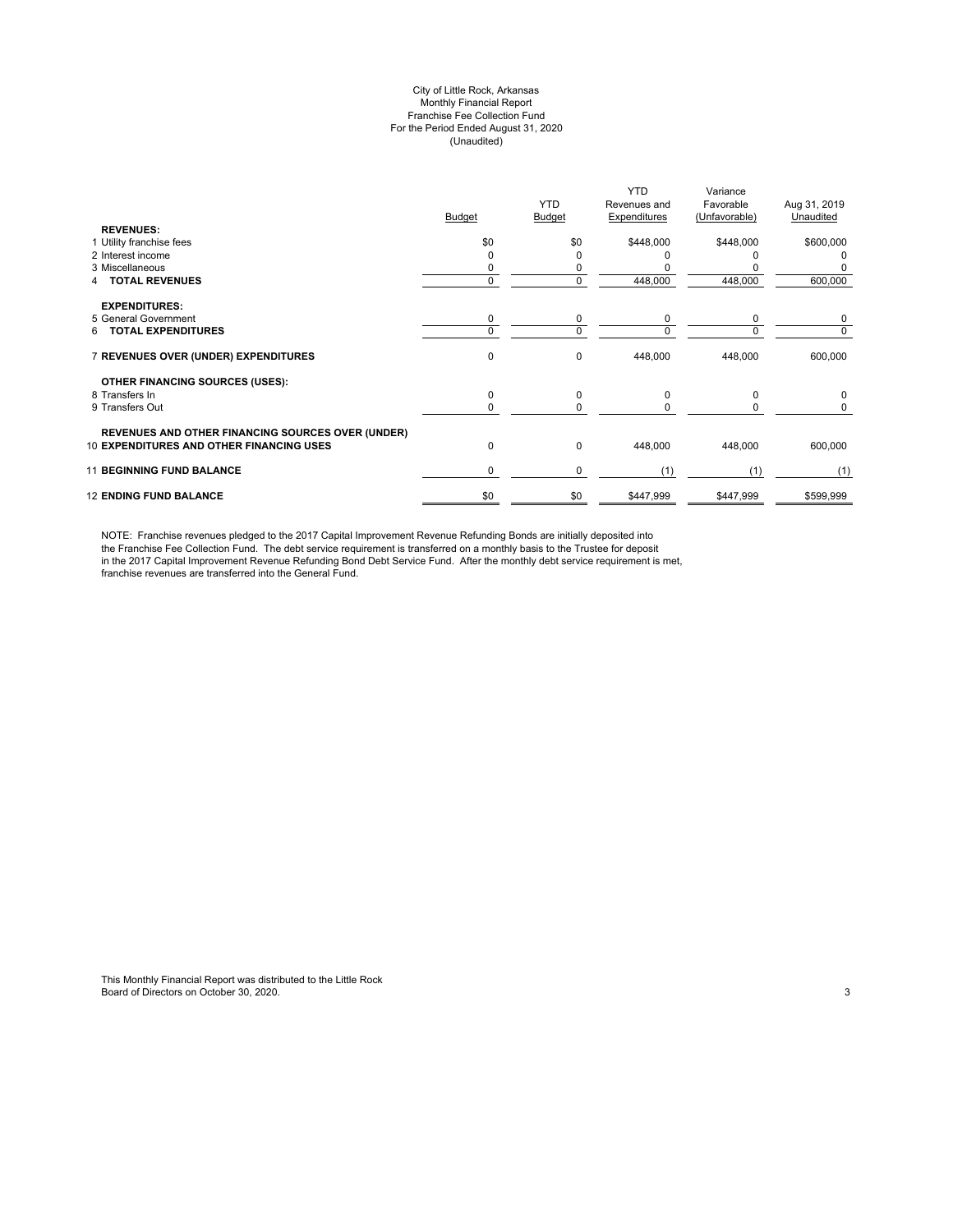#### City of Little Rock, Arkansas Monthly Financial Report Franchise Fee Collection Fund For the Period Ended August 31, 2020 (Unaudited)

|                                                          | <b>Budget</b> | <b>YTD</b><br><b>Budget</b> | <b>YTD</b><br>Revenues and<br>Expenditures | Variance<br>Favorable<br>(Unfavorable) | Aug 31, 2019<br>Unaudited |
|----------------------------------------------------------|---------------|-----------------------------|--------------------------------------------|----------------------------------------|---------------------------|
| <b>REVENUES:</b>                                         |               |                             |                                            |                                        |                           |
| 1 Utility franchise fees                                 | \$0           | \$0                         | \$448,000                                  | \$448,000                              | \$600,000                 |
| 2 Interest income                                        |               | ŋ                           |                                            |                                        |                           |
| 3 Miscellaneous                                          |               | 0                           |                                            |                                        |                           |
| <b>TOTAL REVENUES</b>                                    | $\Omega$      | 0                           | 448,000                                    | 448,000                                | 600,000                   |
| <b>EXPENDITURES:</b>                                     |               |                             |                                            |                                        |                           |
| 5 General Government                                     | 0             | 0                           | 0                                          | 0                                      | 0                         |
| <b>TOTAL EXPENDITURES</b><br>6.                          | $\Omega$      | 0                           | $\Omega$                                   | $\Omega$                               | 0                         |
| 7 REVENUES OVER (UNDER) EXPENDITURES                     | 0             | 0                           | 448,000                                    | 448,000                                | 600,000                   |
| OTHER FINANCING SOURCES (USES):                          |               |                             |                                            |                                        |                           |
| 8 Transfers In                                           | 0             | 0                           | $\Omega$                                   | $\Omega$                               | 0                         |
| 9 Transfers Out                                          | $\Omega$      | 0                           | $\Omega$                                   | 0                                      | 0                         |
| <b>REVENUES AND OTHER FINANCING SOURCES OVER (UNDER)</b> |               |                             |                                            |                                        |                           |
| <b>10 EXPENDITURES AND OTHER FINANCING USES</b>          | 0             | 0                           | 448,000                                    | 448,000                                | 600,000                   |
| <b>11 BEGINNING FUND BALANCE</b>                         | 0             | 0                           | (1)                                        | (1)                                    | (1)                       |
| <b>12 ENDING FUND BALANCE</b>                            | \$0           | \$0                         | \$447,999                                  | \$447,999                              | \$599,999                 |

NOTE: Franchise revenues pledged to the 2017 Capital Improvement Revenue Refunding Bonds are initially deposited into the Franchise Fee Collection Fund. The debt service requirement is transferred on a monthly basis to the Trustee for deposit in the 2017 Capital Improvement Revenue Refunding Bond Debt Service Fund. After the monthly debt service requirement is met, franchise revenues are transferred into the General Fund.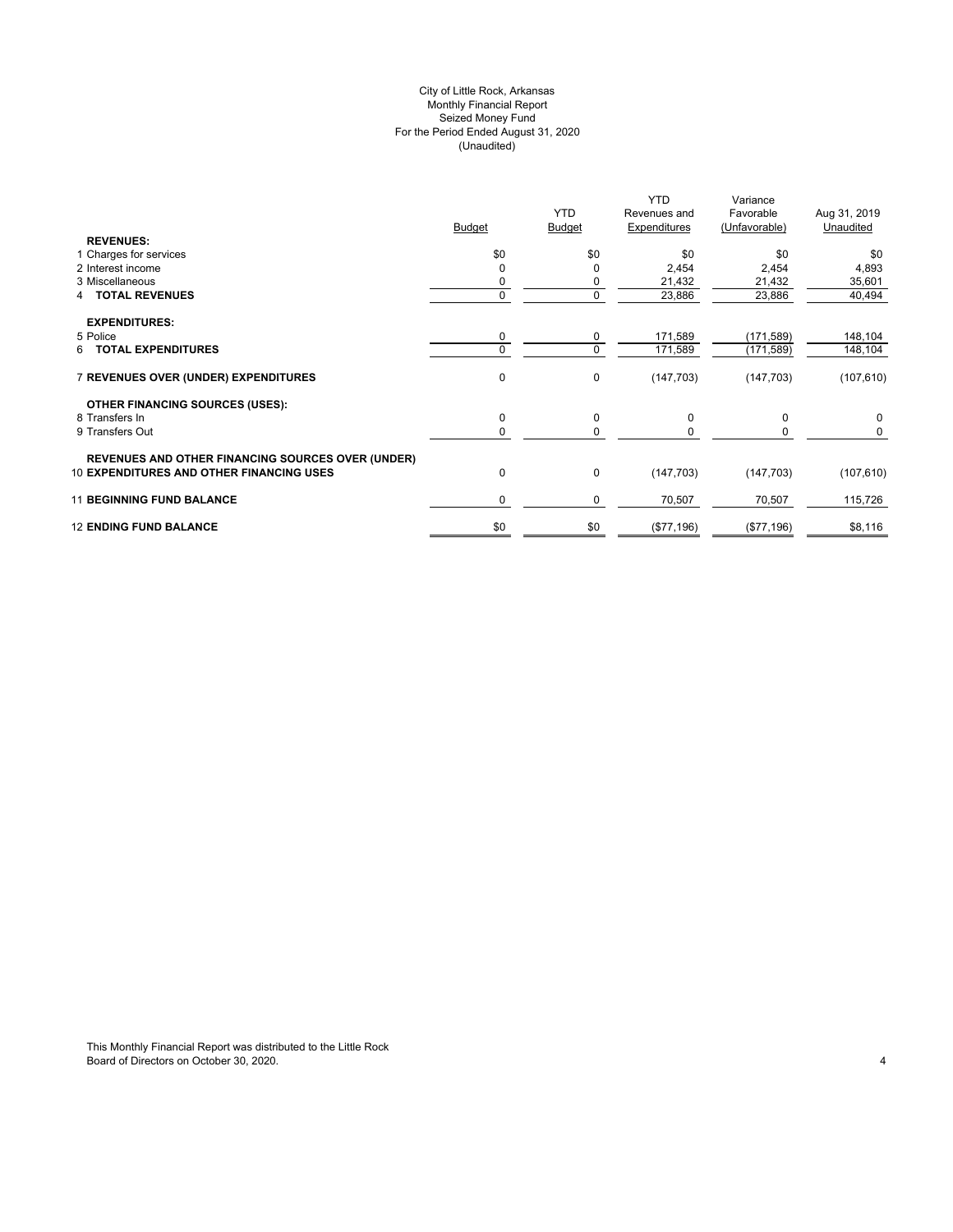## City of Little Rock, Arkansas (Unaudited) For the Period Ended August 31, 2020 Seized Money Fund Monthly Financial Report

| <b>REVENUES:</b>                                                                                            | <b>Budget</b> | <b>YTD</b><br><b>Budget</b> | <b>YTD</b><br>Revenues and<br>Expenditures | Variance<br>Favorable<br>(Unfavorable) | Aug 31, 2019<br>Unaudited |
|-------------------------------------------------------------------------------------------------------------|---------------|-----------------------------|--------------------------------------------|----------------------------------------|---------------------------|
| 1 Charges for services                                                                                      | \$0           | \$0                         | \$0                                        | \$0                                    | \$0                       |
| 2 Interest income                                                                                           |               | 0                           | 2,454                                      | 2,454                                  | 4,893                     |
| 3 Miscellaneous                                                                                             |               | 0                           | 21,432                                     | 21,432                                 | 35,601                    |
| <b>4 TOTAL REVENUES</b>                                                                                     | 0             | 0                           | 23,886                                     | 23,886                                 | 40,494                    |
| <b>EXPENDITURES:</b>                                                                                        |               |                             |                                            |                                        |                           |
| 5 Police                                                                                                    | 0             | 0                           | 171,589                                    | (171, 589)                             | 148,104                   |
| 6 TOTAL EXPENDITURES                                                                                        |               | 0                           | 171,589                                    | (171, 589)                             | 148,104                   |
| 7 REVENUES OVER (UNDER) EXPENDITURES                                                                        | 0             | 0                           | (147, 703)                                 | (147, 703)                             | (107, 610)                |
| <b>OTHER FINANCING SOURCES (USES):</b>                                                                      |               |                             |                                            |                                        |                           |
| 8 Transfers In                                                                                              | $\mathbf 0$   | 0                           | 0                                          | $\mathbf 0$                            | 0                         |
| 9 Transfers Out                                                                                             |               | 0                           | $\Omega$                                   | 0                                      | 0                         |
| <b>REVENUES AND OTHER FINANCING SOURCES OVER (UNDER)</b><br><b>10 EXPENDITURES AND OTHER FINANCING USES</b> | 0             | 0                           | (147, 703)                                 |                                        |                           |
|                                                                                                             |               |                             |                                            | (147, 703)                             | (107, 610)                |
| <b>11 BEGINNING FUND BALANCE</b>                                                                            | $\Omega$      | 0                           | 70,507                                     | 70,507                                 | 115,726                   |
| <b>12 ENDING FUND BALANCE</b>                                                                               | \$0           | \$0                         | (\$77,196)                                 | (\$77,196)                             | \$8,116                   |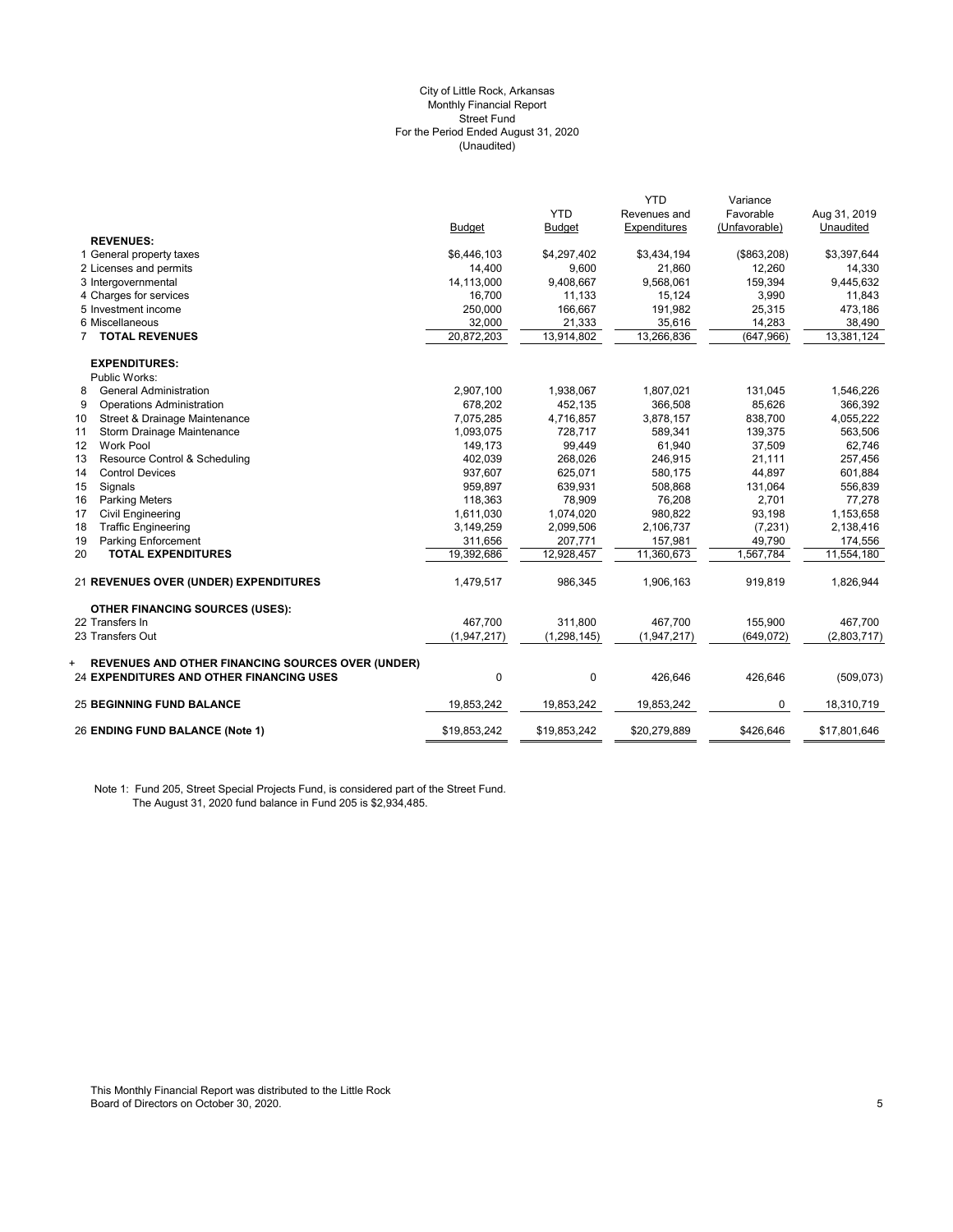#### (Unaudited) City of Little Rock, Arkansas Monthly Financial Report Street Fund For the Period Ended August 31, 2020

|                                                                                                                  |               |               | <b>YTD</b>   | Variance      |              |
|------------------------------------------------------------------------------------------------------------------|---------------|---------------|--------------|---------------|--------------|
|                                                                                                                  |               | <b>YTD</b>    | Revenues and | Favorable     | Aug 31, 2019 |
|                                                                                                                  | <b>Budget</b> | <b>Budget</b> | Expenditures | (Unfavorable) | Unaudited    |
| <b>REVENUES:</b>                                                                                                 |               |               |              |               |              |
| 1 General property taxes                                                                                         | \$6,446,103   | \$4,297,402   | \$3,434,194  | (\$863,208)   | \$3,397,644  |
| 2 Licenses and permits                                                                                           | 14,400        | 9,600         | 21,860       | 12,260        | 14,330       |
| 3 Intergovernmental                                                                                              | 14,113,000    | 9,408,667     | 9,568,061    | 159,394       | 9,445,632    |
| 4 Charges for services                                                                                           | 16,700        | 11,133        | 15,124       | 3,990         | 11,843       |
| 5 Investment income                                                                                              | 250,000       | 166,667       | 191,982      | 25,315        | 473,186      |
| 6 Miscellaneous                                                                                                  | 32,000        | 21,333        | 35,616       | 14,283        | 38,490       |
| <b>TOTAL REVENUES</b>                                                                                            | 20,872,203    | 13,914,802    | 13,266,836   | (647, 966)    | 13,381,124   |
| <b>EXPENDITURES:</b>                                                                                             |               |               |              |               |              |
| Public Works:                                                                                                    |               |               |              |               |              |
| <b>General Administration</b><br>8                                                                               | 2,907,100     | 1,938,067     | 1,807,021    | 131,045       | 1,546,226    |
| 9<br><b>Operations Administration</b>                                                                            | 678,202       | 452,135       | 366,508      | 85,626        | 366,392      |
| Street & Drainage Maintenance<br>10                                                                              | 7,075,285     | 4,716,857     | 3,878,157    | 838,700       | 4,055,222    |
| Storm Drainage Maintenance<br>11                                                                                 | 1,093,075     | 728,717       | 589,341      | 139,375       | 563,506      |
| <b>Work Pool</b><br>$12 \overline{ }$                                                                            | 149,173       | 99,449        | 61,940       | 37,509        | 62,746       |
| Resource Control & Scheduling<br>13                                                                              | 402,039       | 268,026       | 246,915      | 21,111        | 257,456      |
| 14<br><b>Control Devices</b>                                                                                     | 937,607       | 625,071       | 580,175      | 44,897        | 601,884      |
| Signals<br>15                                                                                                    | 959,897       | 639,931       | 508,868      | 131,064       | 556,839      |
| 16<br><b>Parking Meters</b>                                                                                      | 118,363       | 78,909        | 76,208       | 2,701         | 77,278       |
| 17<br><b>Civil Engineering</b>                                                                                   | 1,611,030     | 1,074,020     | 980,822      | 93,198        | 1,153,658    |
| 18<br><b>Traffic Engineering</b>                                                                                 | 3,149,259     | 2,099,506     | 2,106,737    | (7, 231)      | 2,138,416    |
| 19<br>Parking Enforcement                                                                                        | 311,656       | 207,771       | 157,981      | 49,790        | 174,556      |
| 20<br><b>TOTAL EXPENDITURES</b>                                                                                  | 19,392,686    | 12,928,457    | 11,360,673   | 1,567,784     | 11,554,180   |
| 21 REVENUES OVER (UNDER) EXPENDITURES                                                                            | 1,479,517     | 986,345       | 1,906,163    | 919,819       | 1,826,944    |
| <b>OTHER FINANCING SOURCES (USES):</b>                                                                           |               |               |              |               |              |
| 22 Transfers In                                                                                                  | 467.700       | 311.800       | 467.700      | 155,900       | 467.700      |
| 23 Transfers Out                                                                                                 | (1,947,217)   | (1, 298, 145) | (1,947,217)  | (649, 072)    | (2,803,717)  |
| <b>REVENUES AND OTHER FINANCING SOURCES OVER (UNDER)</b><br>+<br><b>24 EXPENDITURES AND OTHER FINANCING USES</b> | $\mathbf{0}$  | $\mathbf 0$   | 426,646      | 426,646       | (509, 073)   |
| <b>25 BEGINNING FUND BALANCE</b>                                                                                 | 19,853,242    | 19,853,242    | 19,853,242   | 0             | 18,310,719   |
| 26 ENDING FUND BALANCE (Note 1)                                                                                  | \$19,853,242  | \$19,853,242  | \$20,279,889 | \$426,646     | \$17,801,646 |

Note 1: Fund 205, Street Special Projects Fund, is considered part of the Street Fund. The August 31, 2020 fund balance in Fund 205 is \$2,934,485.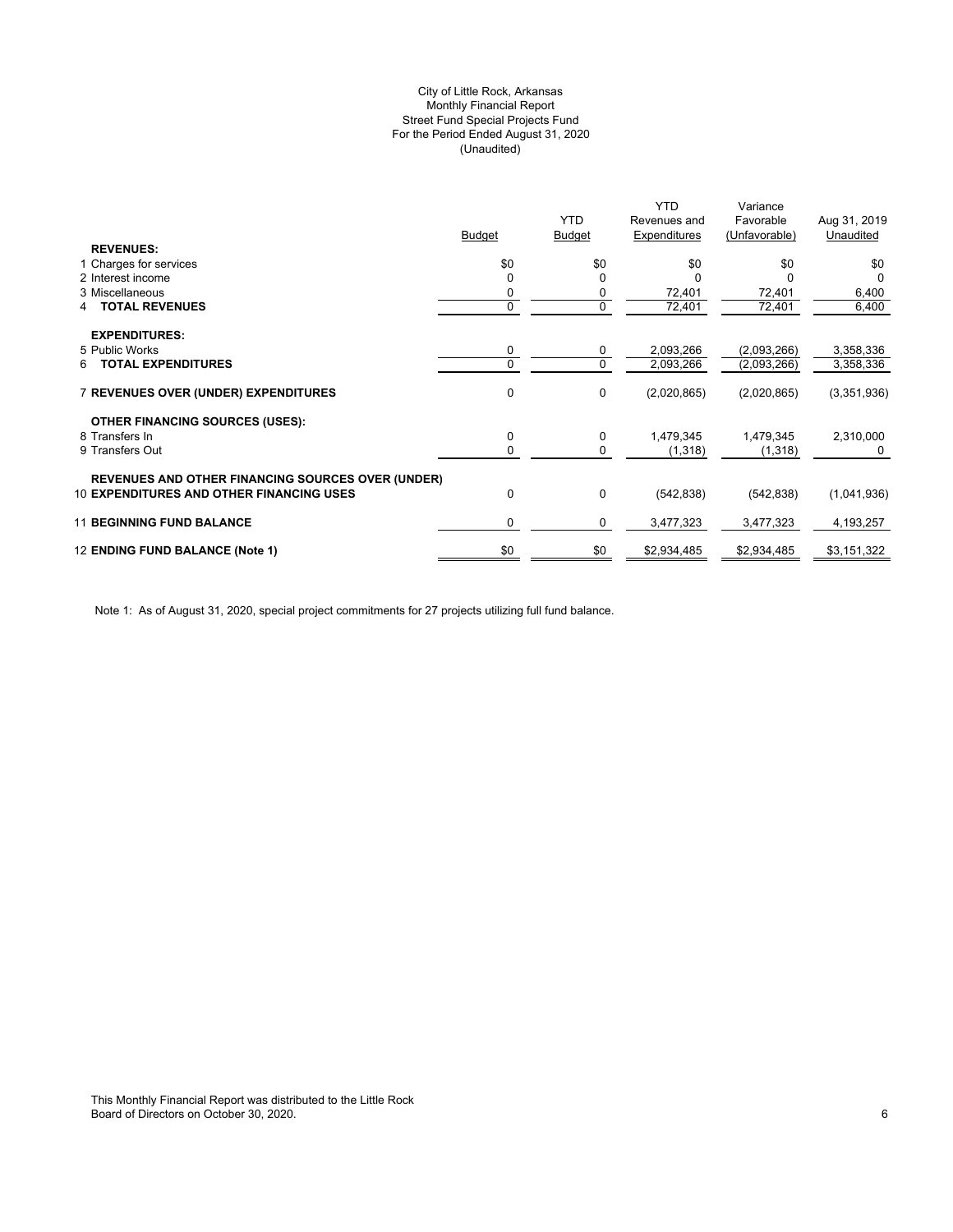## (Unaudited) City of Little Rock, Arkansas Monthly Financial Report Street Fund Special Projects Fund For the Period Ended August 31, 2020

| <b>YTD</b><br>Favorable<br>Revenues and<br><b>Budget</b><br><b>Budget</b><br>Expenditures<br>(Unfavorable)<br><b>REVENUES:</b><br>\$0<br>\$0<br>\$0<br>1 Charges for services<br>\$0<br>2 Interest income<br>0<br>3 Miscellaneous | Aug 31, 2019<br>Unaudited<br>\$0<br>0<br>6,400 |
|-----------------------------------------------------------------------------------------------------------------------------------------------------------------------------------------------------------------------------------|------------------------------------------------|
|                                                                                                                                                                                                                                   |                                                |
|                                                                                                                                                                                                                                   |                                                |
|                                                                                                                                                                                                                                   |                                                |
|                                                                                                                                                                                                                                   |                                                |
| 72,401<br>72,401<br>0                                                                                                                                                                                                             |                                                |
| 0<br>0<br>72,401<br><b>TOTAL REVENUES</b><br>72,401<br>4                                                                                                                                                                          | 6,400                                          |
| <b>EXPENDITURES:</b>                                                                                                                                                                                                              |                                                |
| 5 Public Works<br>2,093,266<br>(2,093,266)<br>0<br>0                                                                                                                                                                              | 3,358,336                                      |
| 0<br>0<br>2,093,266<br><b>TOTAL EXPENDITURES</b><br>(2,093,266)<br>6                                                                                                                                                              | 3,358,336                                      |
| <b>7 REVENUES OVER (UNDER) EXPENDITURES</b><br>0<br>0<br>(2,020,865)<br>(2,020,865)                                                                                                                                               | (3,351,936)                                    |
| <b>OTHER FINANCING SOURCES (USES):</b>                                                                                                                                                                                            |                                                |
| 0<br>1,479,345<br>1,479,345<br>8 Transfers In<br>0                                                                                                                                                                                | 2,310,000                                      |
| 0<br>9 Transfers Out<br>0<br>(1,318)<br>(1,318)                                                                                                                                                                                   |                                                |
| <b>REVENUES AND OTHER FINANCING SOURCES OVER (UNDER)</b>                                                                                                                                                                          |                                                |
| <b>10 EXPENDITURES AND OTHER FINANCING USES</b><br>0<br>0<br>(542, 838)<br>(542, 838)                                                                                                                                             | (1,041,936)                                    |
| <b>11 BEGINNING FUND BALANCE</b><br>0<br>3,477,323<br>0<br>3,477,323                                                                                                                                                              | 4,193,257                                      |
| \$0<br>12 ENDING FUND BALANCE (Note 1)<br>\$0<br>\$2,934,485<br>\$2,934,485                                                                                                                                                       | \$3,151,322                                    |

Note 1: As of August 31, 2020, special project commitments for 27 projects utilizing full fund balance.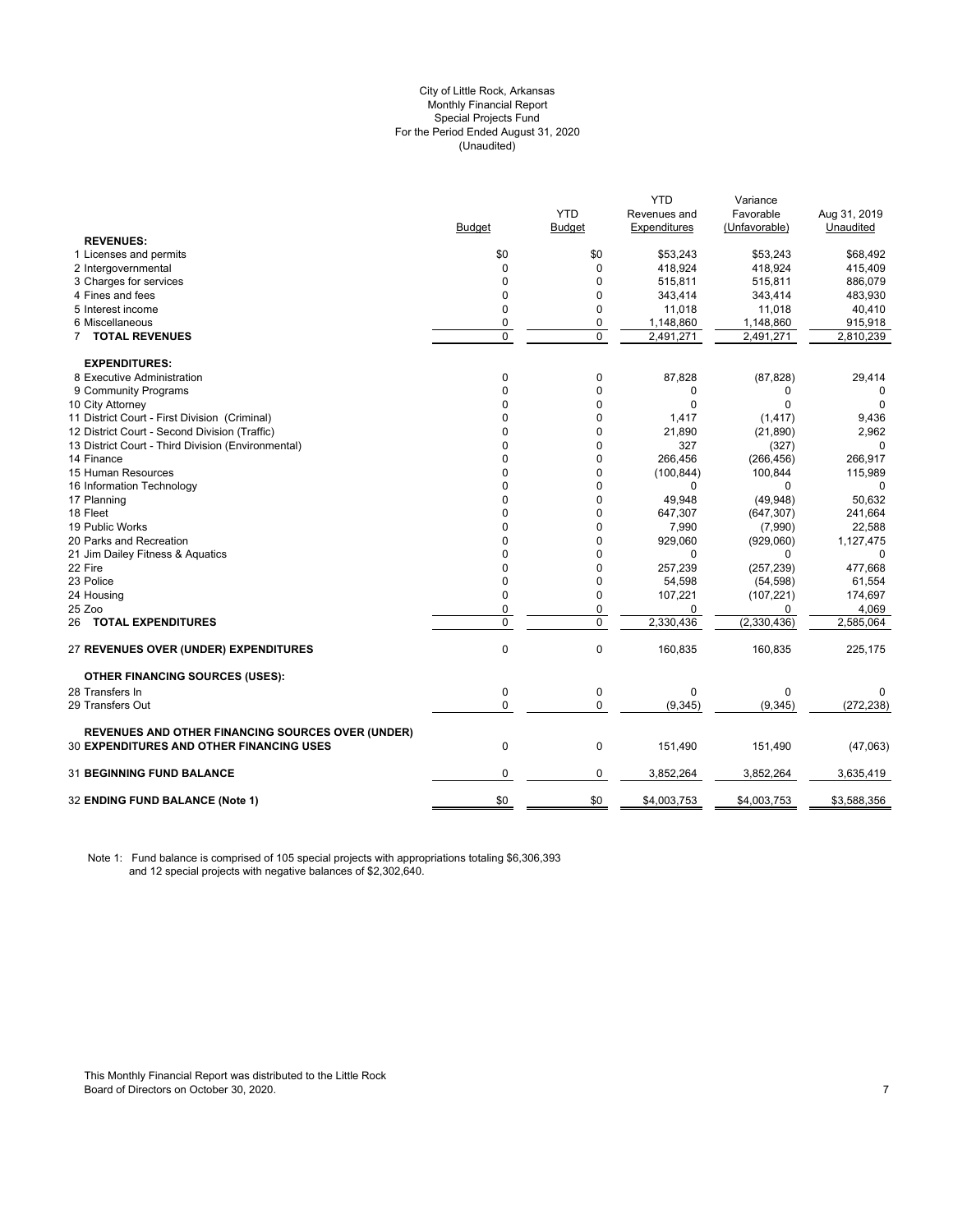## City of Little Rock, Arkansas (Unaudited) For the Period Ended August 31, 2020 Special Projects Fund Monthly Financial Report

|                                                                                                             |                             |                | <b>YTD</b>   | Variance                |                   |
|-------------------------------------------------------------------------------------------------------------|-----------------------------|----------------|--------------|-------------------------|-------------------|
|                                                                                                             |                             | <b>YTD</b>     | Revenues and | Favorable               | Aug 31, 2019      |
|                                                                                                             | <b>Budget</b>               | <b>Budget</b>  | Expenditures | (Unfavorable)           | Unaudited         |
| <b>REVENUES:</b>                                                                                            |                             |                |              |                         |                   |
| 1 Licenses and permits                                                                                      | \$0                         | \$0            | \$53,243     | \$53,243                | \$68,492          |
| 2 Intergovernmental                                                                                         | 0                           | 0              | 418,924      | 418,924                 | 415,409           |
| 3 Charges for services                                                                                      | 0                           | 0              | 515,811      | 515,811                 | 886,079           |
| 4 Fines and fees                                                                                            | 0                           | 0              | 343,414      | 343,414                 | 483,930           |
| 5 Interest income                                                                                           | 0                           | 0              | 11,018       | 11,018                  | 40,410            |
| 6 Miscellaneous                                                                                             | 0                           | 0              | 1,148,860    | 1,148,860               | 915,918           |
| <b>7 TOTAL REVENUES</b>                                                                                     | $\overline{0}$              | $\Omega$       | 2,491,271    | 2,491,271               | 2,810,239         |
| <b>EXPENDITURES:</b>                                                                                        |                             |                |              |                         |                   |
| 8 Executive Administration                                                                                  | 0                           | 0              | 87,828       | (87, 828)               | 29,414            |
| 9 Community Programs                                                                                        | $\Omega$                    | 0              | 0            | 0                       | $\Omega$          |
| 10 City Attorney                                                                                            | $\Omega$                    | 0              | $\Omega$     | $\Omega$                | $\Omega$          |
| 11 District Court - First Division (Criminal)                                                               | 0                           | 0              | 1,417        | (1, 417)                | 9,436             |
| 12 District Court - Second Division (Traffic)                                                               | 0                           | 0              | 21,890       | (21, 890)               | 2,962             |
| 13 District Court - Third Division (Environmental)                                                          | $\Omega$                    | 0              | 327          | (327)                   | 0                 |
| 14 Finance                                                                                                  | $\Omega$                    | 0              | 266,456      | (266, 456)              | 266,917           |
| 15 Human Resources                                                                                          | 0                           | 0              | (100, 844)   | 100,844                 | 115,989           |
| 16 Information Technology                                                                                   | $\Omega$                    | 0              | 0            | 0                       |                   |
| 17 Planning                                                                                                 | 0                           | 0              | 49,948       | (49, 948)               | 50,632            |
| 18 Fleet                                                                                                    | 0                           | 0              | 647,307      | (647, 307)              | 241,664           |
| 19 Public Works                                                                                             | $\Omega$                    | $\Omega$       | 7,990        | (7,990)                 | 22,588            |
| 20 Parks and Recreation                                                                                     | 0                           | 0              | 929,060      | (929,060)               | 1,127,475         |
| 21 Jim Dailey Fitness & Aquatics                                                                            | 0                           | 0              | $\mathbf 0$  | 0                       | 0                 |
| 22 Fire                                                                                                     | $\Omega$                    | $\Omega$       | 257,239      | (257, 239)              | 477,668           |
| 23 Police                                                                                                   | 0                           | 0              | 54,598       |                         |                   |
|                                                                                                             | $\mathbf 0$                 | 0              | 107,221      | (54, 598)<br>(107, 221) | 61,554<br>174,697 |
| 24 Housing<br>25 Zoo                                                                                        |                             | 0              | 0            |                         |                   |
|                                                                                                             | $\pmb{0}$<br>$\overline{0}$ | $\overline{0}$ |              | 0<br>(2, 330, 436)      | 4,069             |
| <b>26 TOTAL EXPENDITURES</b>                                                                                |                             |                | 2,330,436    |                         | 2,585,064         |
| 27 REVENUES OVER (UNDER) EXPENDITURES                                                                       | $\pmb{0}$                   | 0              | 160,835      | 160,835                 | 225,175           |
| <b>OTHER FINANCING SOURCES (USES):</b>                                                                      |                             |                |              |                         |                   |
| 28 Transfers In                                                                                             | $\pmb{0}$                   | 0              | 0            | $\Omega$                | $\Omega$          |
| 29 Transfers Out                                                                                            | $\mathbf 0$                 | 0              | (9, 345)     | (9, 345)                | (272, 238)        |
|                                                                                                             |                             |                |              |                         |                   |
| <b>REVENUES AND OTHER FINANCING SOURCES OVER (UNDER)</b><br><b>30 EXPENDITURES AND OTHER FINANCING USES</b> | $\pmb{0}$                   | 0              | 151,490      | 151,490                 | (47,063)          |
|                                                                                                             |                             |                |              |                         |                   |
| 31 BEGINNING FUND BALANCE                                                                                   | $\pmb{0}$                   | 0              | 3,852,264    | 3,852,264               | 3,635,419         |
| 32 ENDING FUND BALANCE (Note 1)                                                                             | \$0                         | \$0            | \$4,003,753  | \$4,003,753             | \$3,588,356       |

Note 1: Fund balance is comprised of 105 special projects with appropriations totaling \$6,306,393 and 12 special projects with negative balances of \$2,302,640.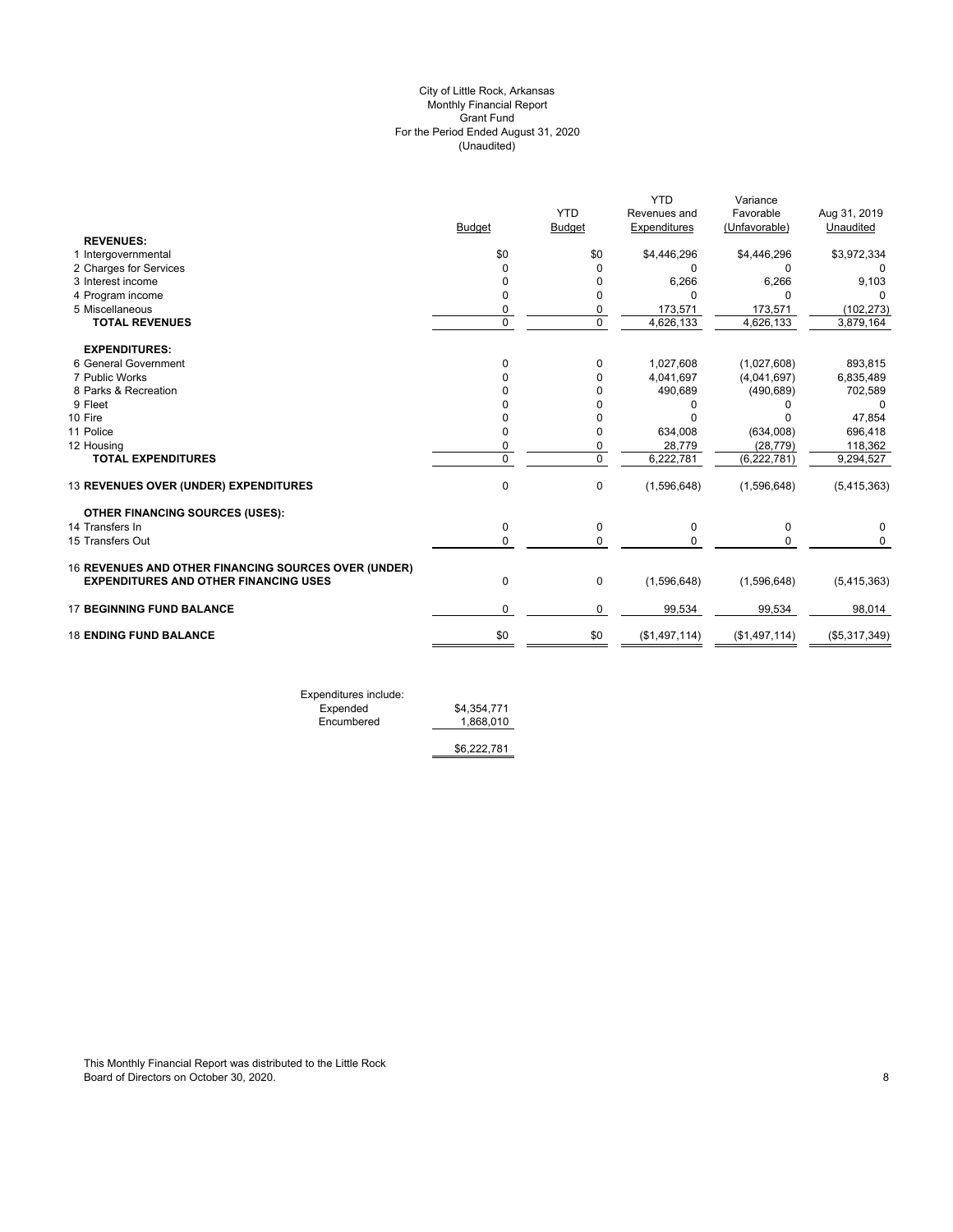## (Unaudited) City of Little Rock, Arkansas Monthly Financial Report Grant Fund For the Period Ended August 31, 2020

| Revenues and<br>Expenditures<br>\$0<br>\$4,446,296<br>0<br><sup>0</sup><br>6,266<br>0<br>0<br>U<br>0<br>173,571<br>$\Omega$<br>4,626,133<br>0<br>1,027,608<br>4,041,697<br>0<br>490,689<br>0<br>0<br>0<br>634,008<br>0<br>0<br>28,779<br>$\mathbf 0$<br>6,222,781 | Favorable<br>(Unfavorable)<br>\$4,446,296<br>0<br>6,266<br>$\Omega$<br>173,571<br>4,626,133<br>(1,027,608)<br>(4,041,697)<br>(490, 689)<br>0<br>(634,008)<br>(28, 779) | Aug 31, 2019<br>Unaudited<br>\$3,972,334<br>0<br>9,103<br>(102, 273)<br>3,879,164<br>893,815<br>6,835,489<br>702,589<br>0<br>47,854<br>696,418<br>118,362 |
|-------------------------------------------------------------------------------------------------------------------------------------------------------------------------------------------------------------------------------------------------------------------|------------------------------------------------------------------------------------------------------------------------------------------------------------------------|-----------------------------------------------------------------------------------------------------------------------------------------------------------|
|                                                                                                                                                                                                                                                                   |                                                                                                                                                                        |                                                                                                                                                           |
|                                                                                                                                                                                                                                                                   |                                                                                                                                                                        |                                                                                                                                                           |
|                                                                                                                                                                                                                                                                   |                                                                                                                                                                        |                                                                                                                                                           |
|                                                                                                                                                                                                                                                                   |                                                                                                                                                                        |                                                                                                                                                           |
|                                                                                                                                                                                                                                                                   |                                                                                                                                                                        |                                                                                                                                                           |
|                                                                                                                                                                                                                                                                   |                                                                                                                                                                        |                                                                                                                                                           |
|                                                                                                                                                                                                                                                                   |                                                                                                                                                                        |                                                                                                                                                           |
|                                                                                                                                                                                                                                                                   |                                                                                                                                                                        |                                                                                                                                                           |
|                                                                                                                                                                                                                                                                   |                                                                                                                                                                        |                                                                                                                                                           |
|                                                                                                                                                                                                                                                                   |                                                                                                                                                                        |                                                                                                                                                           |
|                                                                                                                                                                                                                                                                   |                                                                                                                                                                        |                                                                                                                                                           |
|                                                                                                                                                                                                                                                                   |                                                                                                                                                                        |                                                                                                                                                           |
|                                                                                                                                                                                                                                                                   |                                                                                                                                                                        |                                                                                                                                                           |
|                                                                                                                                                                                                                                                                   |                                                                                                                                                                        |                                                                                                                                                           |
|                                                                                                                                                                                                                                                                   |                                                                                                                                                                        |                                                                                                                                                           |
|                                                                                                                                                                                                                                                                   |                                                                                                                                                                        |                                                                                                                                                           |
|                                                                                                                                                                                                                                                                   |                                                                                                                                                                        |                                                                                                                                                           |
|                                                                                                                                                                                                                                                                   | (6, 222, 781)                                                                                                                                                          | 9,294,527                                                                                                                                                 |
| 0<br>(1,596,648)                                                                                                                                                                                                                                                  | (1,596,648)                                                                                                                                                            | (5,415,363)                                                                                                                                               |
|                                                                                                                                                                                                                                                                   |                                                                                                                                                                        |                                                                                                                                                           |
| 0                                                                                                                                                                                                                                                                 | 0                                                                                                                                                                      | 0                                                                                                                                                         |
| 0                                                                                                                                                                                                                                                                 | 0                                                                                                                                                                      | $\Omega$                                                                                                                                                  |
|                                                                                                                                                                                                                                                                   |                                                                                                                                                                        |                                                                                                                                                           |
| 0                                                                                                                                                                                                                                                                 | (1,596,648)                                                                                                                                                            | (5,415,363)                                                                                                                                               |
| $\mathbf 0$                                                                                                                                                                                                                                                       | 99,534                                                                                                                                                                 | 98,014                                                                                                                                                    |
| \$0                                                                                                                                                                                                                                                               | (\$1,497,114)                                                                                                                                                          | (\$5,317,349)                                                                                                                                             |
|                                                                                                                                                                                                                                                                   |                                                                                                                                                                        | 0<br>$\Omega$<br>(1,596,648)<br>99,534<br>(\$1,497,114)                                                                                                   |

Expenditures include: Expended \$4,354,771 Encumbered 1,868,010

\$6,222,781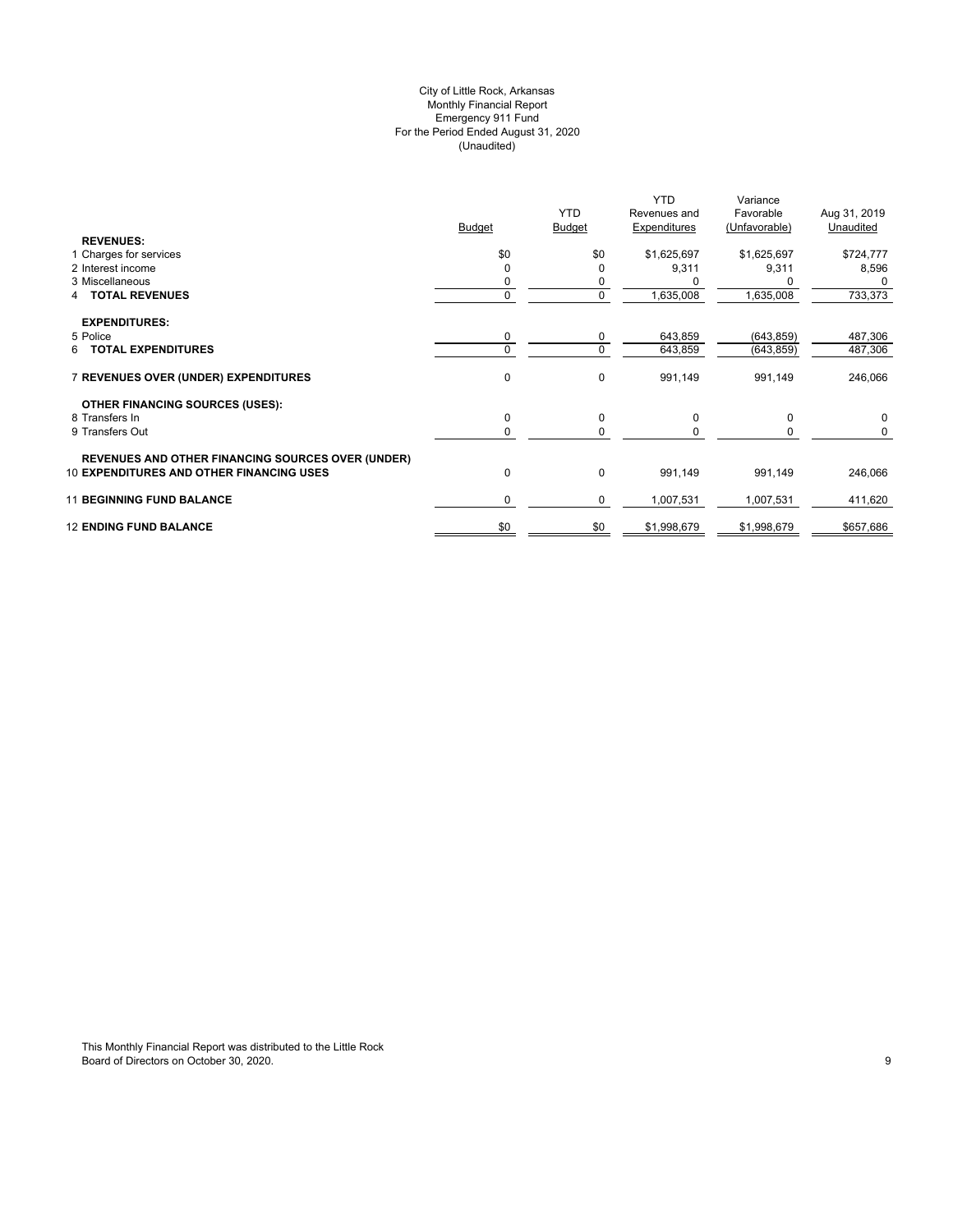## (Unaudited) City of Little Rock, Arkansas Monthly Financial Report Emergency 911 Fund For the Period Ended August 31, 2020

| <b>REVENUES:</b>                                         | <b>Budget</b> | <b>YTD</b><br><b>Budget</b> | <b>YTD</b><br>Revenues and<br>Expenditures | Variance<br>Favorable<br>(Unfavorable) | Aug 31, 2019<br>Unaudited |
|----------------------------------------------------------|---------------|-----------------------------|--------------------------------------------|----------------------------------------|---------------------------|
| 1 Charges for services                                   | \$0           | \$0                         | \$1,625,697                                | \$1,625,697                            | \$724,777                 |
| 2 Interest income                                        | $\Omega$      |                             | 9,311                                      | 9,311                                  | 8,596                     |
| 3 Miscellaneous                                          | 0             | 0                           |                                            |                                        |                           |
| <b>TOTAL REVENUES</b><br>4                               | $\Omega$      | $\mathbf 0$                 | 1,635,008                                  | 1,635,008                              | 733,373                   |
| <b>EXPENDITURES:</b>                                     |               |                             |                                            |                                        |                           |
| 5 Police                                                 | 0             | 0                           | 643,859                                    | (643, 859)                             | 487,306                   |
| <b>TOTAL EXPENDITURES</b><br>6.                          | $\Omega$      | $\mathbf 0$                 | 643,859                                    | (643, 859)                             | 487,306                   |
| 7 REVENUES OVER (UNDER) EXPENDITURES                     | 0             | 0                           | 991,149                                    | 991,149                                | 246,066                   |
| <b>OTHER FINANCING SOURCES (USES):</b>                   |               |                             |                                            |                                        |                           |
| 8 Transfers In                                           | 0             | 0                           | 0                                          | 0                                      | $\mathbf 0$               |
| 9 Transfers Out                                          | 0             | $\Omega$                    |                                            |                                        | 0                         |
| <b>REVENUES AND OTHER FINANCING SOURCES OVER (UNDER)</b> |               |                             |                                            |                                        |                           |
| <b>10 EXPENDITURES AND OTHER FINANCING USES</b>          | 0             | 0                           | 991,149                                    | 991,149                                | 246,066                   |
| <b>11 BEGINNING FUND BALANCE</b>                         | 0             | 0                           | 1,007,531                                  | 1,007,531                              | 411,620                   |
| <b>12 ENDING FUND BALANCE</b>                            | \$0           | \$0                         | \$1,998,679                                | \$1,998,679                            | \$657,686                 |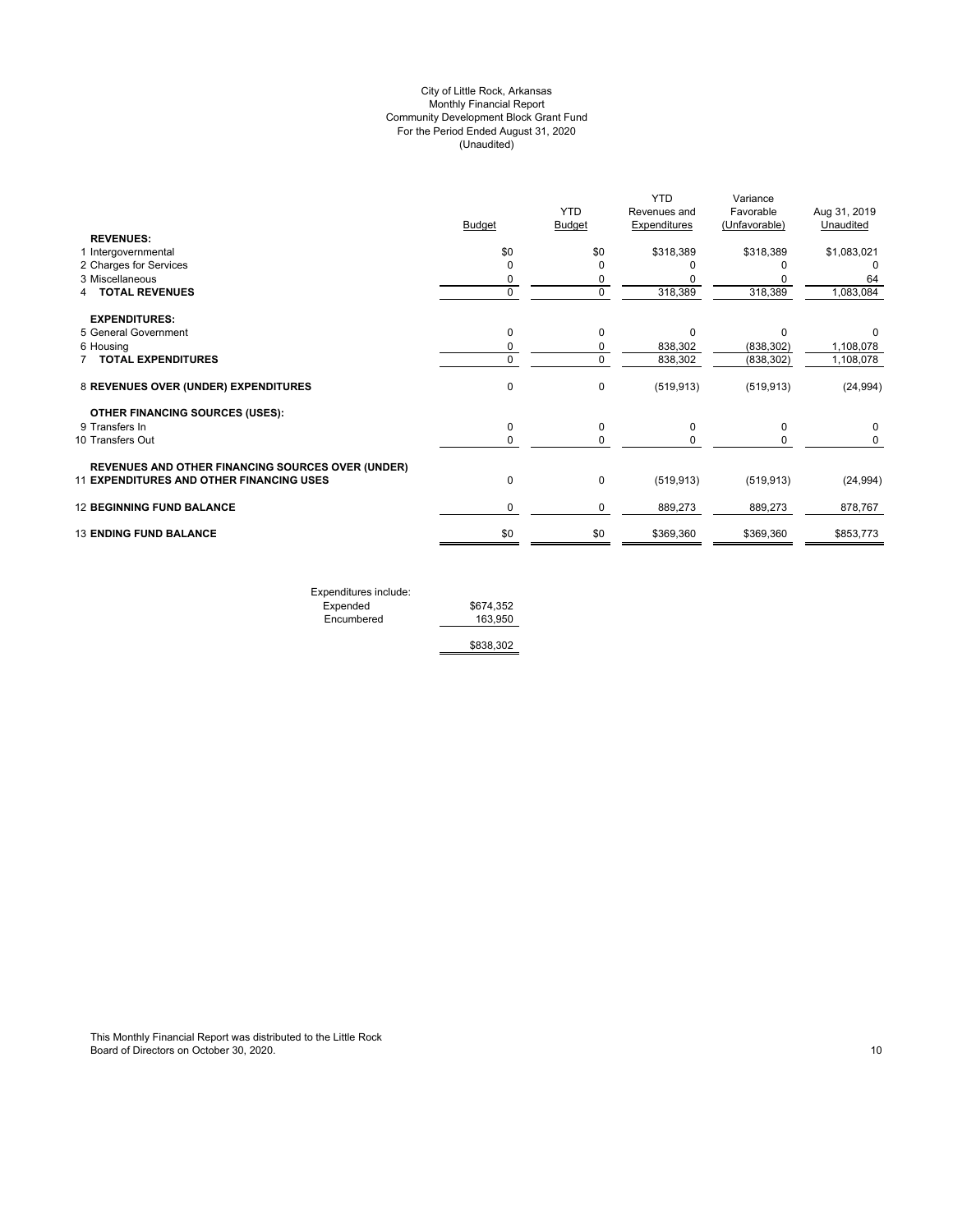## (Unaudited) City of Little Rock, Arkansas Monthly Financial Report Community Development Block Grant Fund For the Period Ended August 31, 2020

| <b>Budget</b><br><b>REVENUES:</b><br>\$0<br>1 Intergovernmental | <b>YTD</b><br><b>Budget</b><br>\$0<br>O<br>0 | Revenues and<br>Expenditures<br>\$318,389 | Favorable<br>(Unfavorable)<br>\$318,389 | Aug 31, 2019<br>Unaudited<br>\$1,083,021 |
|-----------------------------------------------------------------|----------------------------------------------|-------------------------------------------|-----------------------------------------|------------------------------------------|
|                                                                 |                                              |                                           |                                         |                                          |
|                                                                 |                                              |                                           |                                         |                                          |
|                                                                 |                                              |                                           |                                         |                                          |
|                                                                 |                                              |                                           |                                         |                                          |
| 2 Charges for Services<br>$\Omega$<br>3 Miscellaneous           |                                              |                                           |                                         |                                          |
| 0                                                               |                                              |                                           |                                         | 64                                       |
| $\mathbf 0$<br><b>TOTAL REVENUES</b>                            | 0                                            | 318,389                                   | 318,389                                 | 1,083,084                                |
| <b>EXPENDITURES:</b>                                            |                                              |                                           |                                         |                                          |
| 5 General Government<br>0                                       | $\Omega$                                     | $\Omega$                                  | O                                       |                                          |
| 6 Housing<br>0                                                  | 0                                            | 838,302                                   | (838, 302)                              | 1,108,078                                |
| <b>TOTAL EXPENDITURES</b><br>0                                  | $\Omega$                                     | 838,302                                   | (838, 302)                              | 1,108,078                                |
| 8 REVENUES OVER (UNDER) EXPENDITURES<br>0                       | 0                                            | (519, 913)                                | (519, 913)                              | (24, 994)                                |
| <b>OTHER FINANCING SOURCES (USES):</b>                          |                                              |                                           |                                         |                                          |
| 9 Transfers In<br>0                                             | 0                                            | 0                                         | $\Omega$                                | 0                                        |
| 0<br>10 Transfers Out                                           | 0                                            |                                           | 0                                       | 0                                        |
| <b>REVENUES AND OTHER FINANCING SOURCES OVER (UNDER)</b>        |                                              |                                           |                                         |                                          |
| $\pmb{0}$<br><b>11 EXPENDITURES AND OTHER FINANCING USES</b>    | 0                                            | (519, 913)                                | (519, 913)                              | (24, 994)                                |
| <b>12 BEGINNING FUND BALANCE</b><br>0                           | 0                                            | 889,273                                   | 889,273                                 | 878,767                                  |
| <b>13 ENDING FUND BALANCE</b><br>\$0                            | \$0                                          | \$369,360                                 | \$369,360                               | \$853,773                                |
|                                                                 |                                              |                                           |                                         |                                          |

| Expenditures include: |           |
|-----------------------|-----------|
| Expended              | \$674,352 |
| Encumbered            | 163.950   |
|                       | \$838,302 |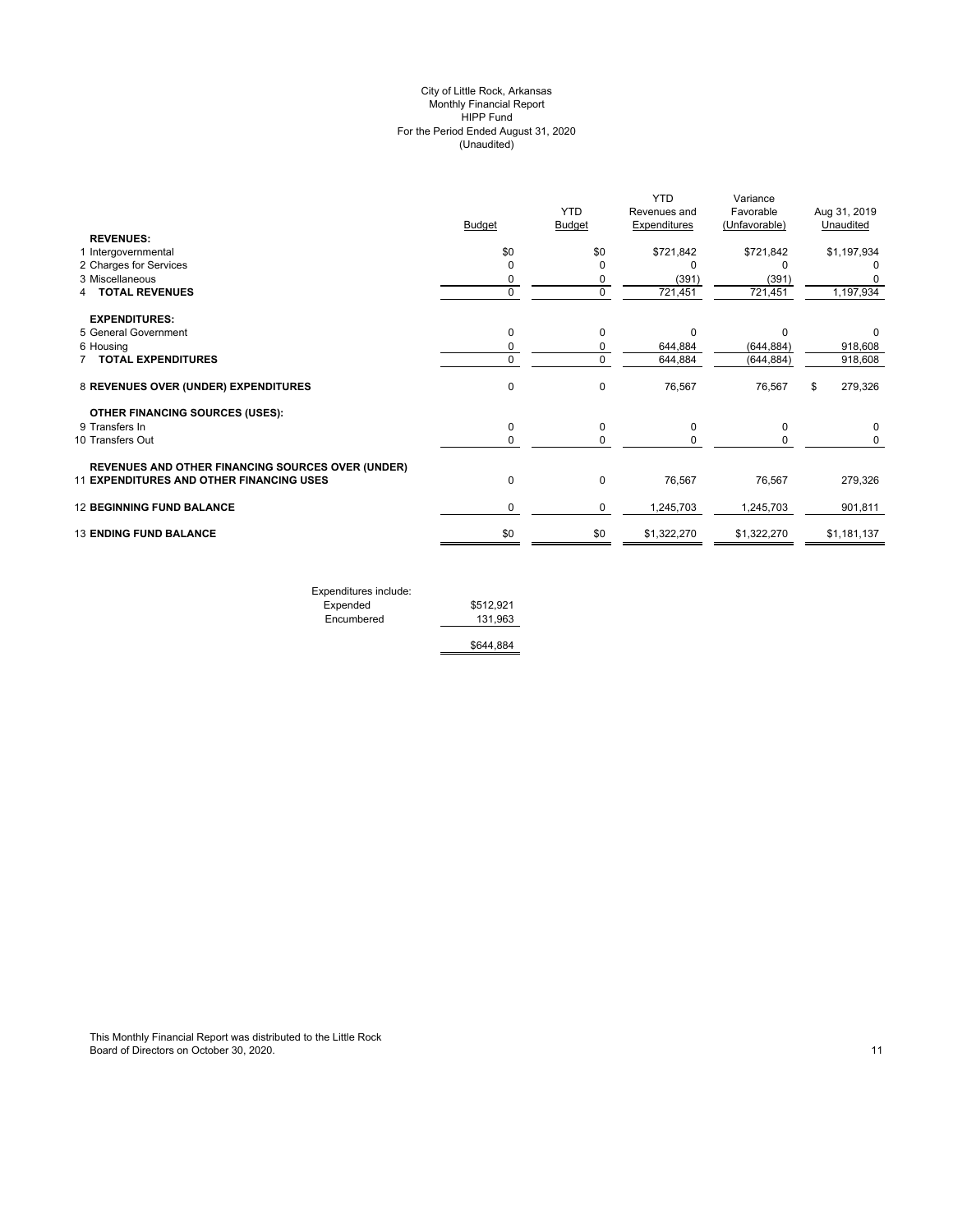#### (Unaudited) City of Little Rock, Arkansas Monthly Financial Report HIPP Fund For the Period Ended August 31, 2020

|                                                          | <b>Budget</b> | <b>YTD</b><br>Budget | <b>YTD</b><br>Revenues and<br><b>Expenditures</b> | Variance<br>Favorable<br>(Unfavorable) | Aug 31, 2019<br>Unaudited |
|----------------------------------------------------------|---------------|----------------------|---------------------------------------------------|----------------------------------------|---------------------------|
| <b>REVENUES:</b>                                         |               |                      |                                                   |                                        |                           |
| 1 Intergovernmental                                      | \$0           | \$0                  | \$721,842                                         | \$721,842                              | \$1,197,934               |
| 2 Charges for Services                                   | 0             | $\Omega$             | O                                                 |                                        |                           |
| 3 Miscellaneous                                          | 0             | 0                    | (391)                                             | (391)                                  |                           |
| <b>TOTAL REVENUES</b>                                    | $\mathbf 0$   | $\mathbf 0$          | 721,451                                           | 721,451                                | 1,197,934                 |
| <b>EXPENDITURES:</b>                                     |               |                      |                                                   |                                        |                           |
| 5 General Government                                     | $\mathbf 0$   | $\Omega$             | $\Omega$                                          | $\Omega$                               | 0                         |
| 6 Housing                                                | 0             | 0                    | 644,884                                           | (644, 884)                             | 918,608                   |
| <b>TOTAL EXPENDITURES</b>                                | $\mathbf 0$   | 0                    | 644,884                                           | (644, 884)                             | 918,608                   |
| 8 REVENUES OVER (UNDER) EXPENDITURES                     | $\mathbf 0$   | 0                    | 76,567                                            | 76,567                                 | 279,326<br>\$             |
| <b>OTHER FINANCING SOURCES (USES):</b>                   |               |                      |                                                   |                                        |                           |
| 9 Transfers In                                           | 0             | 0                    | 0                                                 | $\Omega$                               | 0                         |
| 10 Transfers Out                                         | 0             | $\Omega$             | ŋ                                                 | O                                      | 0                         |
| <b>REVENUES AND OTHER FINANCING SOURCES OVER (UNDER)</b> |               |                      |                                                   |                                        |                           |
| 11 EXPENDITURES AND OTHER FINANCING USES                 | $\mathbf 0$   | $\mathbf 0$          | 76,567                                            | 76,567                                 | 279,326                   |
| <b>12 BEGINNING FUND BALANCE</b>                         | 0             | 0                    | 1,245,703                                         | 1,245,703                              | 901,811                   |
| <b>13 ENDING FUND BALANCE</b>                            | \$0           | \$0                  | \$1,322,270                                       | \$1,322,270                            | \$1,181,137               |
|                                                          |               |                      |                                                   |                                        |                           |

| Expenditures include: |           |
|-----------------------|-----------|
| Expended              | \$512,921 |
| Encumbered            | 131.963   |
|                       | \$644.884 |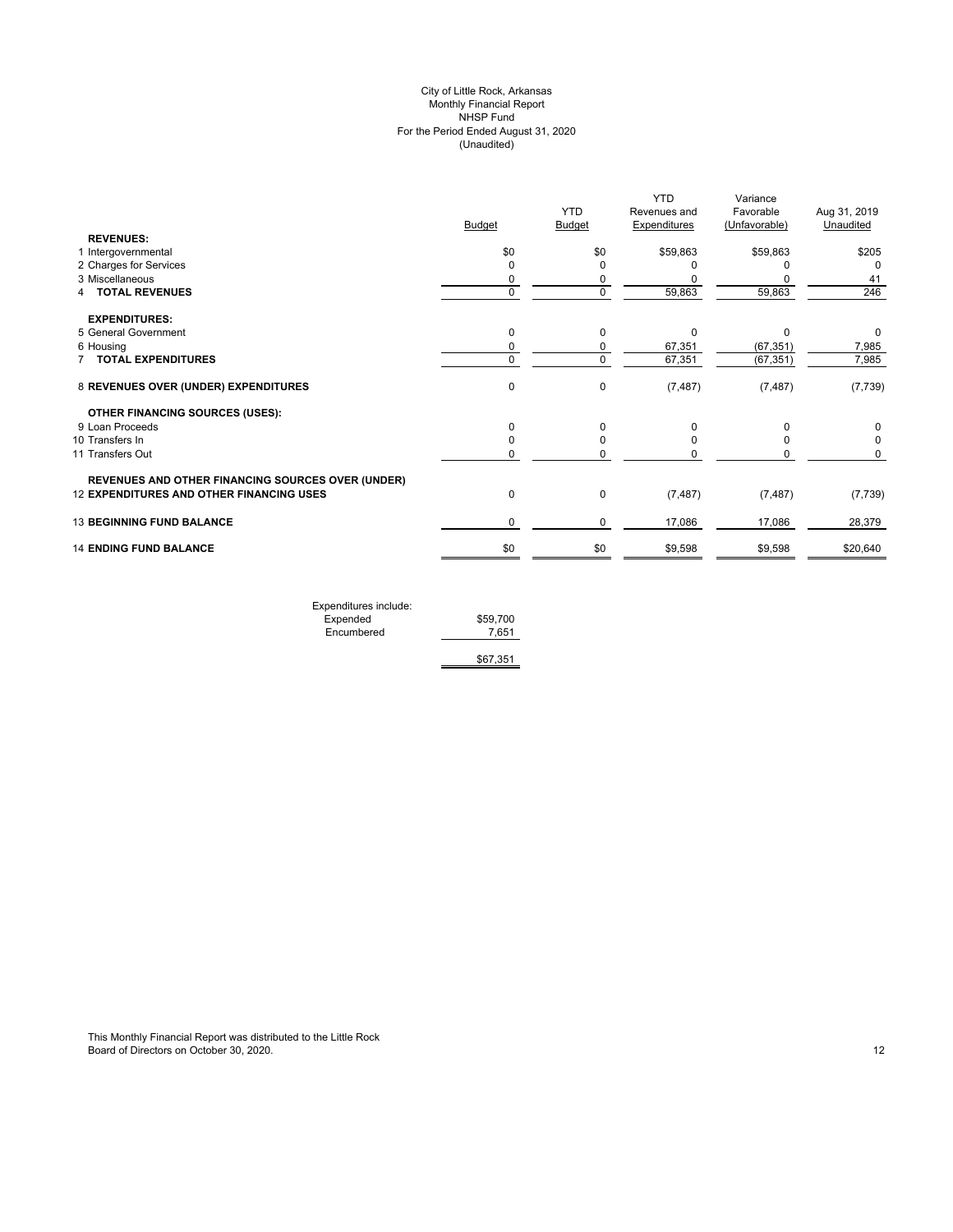## (Unaudited) City of Little Rock, Arkansas Monthly Financial Report NHSP Fund For the Period Ended August 31, 2020

| Budget<br><b>Budget</b><br>Unaudited<br><b>Expenditures</b><br>(Unfavorable)<br><b>REVENUES:</b><br>\$0<br>\$0<br>\$59,863<br>\$59,863<br>1 Intergovernmental<br>2 Charges for Services<br>$\mathbf 0$<br>3 Miscellaneous<br>0<br>$\mathbf 0$<br>59,863<br>59,863<br><b>TOTAL REVENUES</b><br>0<br>4<br><b>EXPENDITURES:</b><br>5 General Government<br>0<br>0<br>$\Omega$<br>$\Omega$<br>0<br>67,351<br>(67, 351)<br>6 Housing<br>0<br>67,351<br>$\pmb{0}$<br>$\mathbf 0$<br>(67, 351)<br>7 TOTAL EXPENDITURES<br>8 REVENUES OVER (UNDER) EXPENDITURES<br>$\mathbf 0$<br>$\mathbf 0$<br>(7, 487)<br>(7, 487)<br><b>OTHER FINANCING SOURCES (USES):</b><br>9 Loan Proceeds<br>$\mathbf 0$<br>$\Omega$<br>O<br>10 Transfers In<br>0<br>$\Omega$<br>11 Transfers Out<br>0<br><b>REVENUES AND OTHER FINANCING SOURCES OVER (UNDER)</b><br><b>12 EXPENDITURES AND OTHER FINANCING USES</b><br>0<br>$\mathbf 0$<br>(7, 487)<br>(7, 487)<br><b>13 BEGINNING FUND BALANCE</b><br>0<br>0<br>17,086<br>17,086<br><b>14 ENDING FUND BALANCE</b><br>\$0<br>\$0<br>\$9,598<br>\$9,598 |  |            | <b>YTD</b>   | Variance  |              |
|---------------------------------------------------------------------------------------------------------------------------------------------------------------------------------------------------------------------------------------------------------------------------------------------------------------------------------------------------------------------------------------------------------------------------------------------------------------------------------------------------------------------------------------------------------------------------------------------------------------------------------------------------------------------------------------------------------------------------------------------------------------------------------------------------------------------------------------------------------------------------------------------------------------------------------------------------------------------------------------------------------------------------------------------------------------------------|--|------------|--------------|-----------|--------------|
|                                                                                                                                                                                                                                                                                                                                                                                                                                                                                                                                                                                                                                                                                                                                                                                                                                                                                                                                                                                                                                                                           |  | <b>YTD</b> | Revenues and | Favorable | Aug 31, 2019 |
|                                                                                                                                                                                                                                                                                                                                                                                                                                                                                                                                                                                                                                                                                                                                                                                                                                                                                                                                                                                                                                                                           |  |            |              |           |              |
|                                                                                                                                                                                                                                                                                                                                                                                                                                                                                                                                                                                                                                                                                                                                                                                                                                                                                                                                                                                                                                                                           |  |            |              |           |              |
|                                                                                                                                                                                                                                                                                                                                                                                                                                                                                                                                                                                                                                                                                                                                                                                                                                                                                                                                                                                                                                                                           |  |            |              |           | \$205        |
|                                                                                                                                                                                                                                                                                                                                                                                                                                                                                                                                                                                                                                                                                                                                                                                                                                                                                                                                                                                                                                                                           |  |            |              |           | $\Omega$     |
|                                                                                                                                                                                                                                                                                                                                                                                                                                                                                                                                                                                                                                                                                                                                                                                                                                                                                                                                                                                                                                                                           |  |            |              |           | 41           |
|                                                                                                                                                                                                                                                                                                                                                                                                                                                                                                                                                                                                                                                                                                                                                                                                                                                                                                                                                                                                                                                                           |  |            |              |           | 246          |
|                                                                                                                                                                                                                                                                                                                                                                                                                                                                                                                                                                                                                                                                                                                                                                                                                                                                                                                                                                                                                                                                           |  |            |              |           |              |
|                                                                                                                                                                                                                                                                                                                                                                                                                                                                                                                                                                                                                                                                                                                                                                                                                                                                                                                                                                                                                                                                           |  |            |              |           | $\Omega$     |
|                                                                                                                                                                                                                                                                                                                                                                                                                                                                                                                                                                                                                                                                                                                                                                                                                                                                                                                                                                                                                                                                           |  |            |              |           | 7,985        |
|                                                                                                                                                                                                                                                                                                                                                                                                                                                                                                                                                                                                                                                                                                                                                                                                                                                                                                                                                                                                                                                                           |  |            |              |           | 7,985        |
|                                                                                                                                                                                                                                                                                                                                                                                                                                                                                                                                                                                                                                                                                                                                                                                                                                                                                                                                                                                                                                                                           |  |            |              |           | (7, 739)     |
|                                                                                                                                                                                                                                                                                                                                                                                                                                                                                                                                                                                                                                                                                                                                                                                                                                                                                                                                                                                                                                                                           |  |            |              |           |              |
|                                                                                                                                                                                                                                                                                                                                                                                                                                                                                                                                                                                                                                                                                                                                                                                                                                                                                                                                                                                                                                                                           |  |            |              |           | 0            |
|                                                                                                                                                                                                                                                                                                                                                                                                                                                                                                                                                                                                                                                                                                                                                                                                                                                                                                                                                                                                                                                                           |  |            |              |           | $\Omega$     |
|                                                                                                                                                                                                                                                                                                                                                                                                                                                                                                                                                                                                                                                                                                                                                                                                                                                                                                                                                                                                                                                                           |  |            |              |           | 0            |
|                                                                                                                                                                                                                                                                                                                                                                                                                                                                                                                                                                                                                                                                                                                                                                                                                                                                                                                                                                                                                                                                           |  |            |              |           |              |
|                                                                                                                                                                                                                                                                                                                                                                                                                                                                                                                                                                                                                                                                                                                                                                                                                                                                                                                                                                                                                                                                           |  |            |              |           | (7, 739)     |
|                                                                                                                                                                                                                                                                                                                                                                                                                                                                                                                                                                                                                                                                                                                                                                                                                                                                                                                                                                                                                                                                           |  |            |              |           | 28,379       |
|                                                                                                                                                                                                                                                                                                                                                                                                                                                                                                                                                                                                                                                                                                                                                                                                                                                                                                                                                                                                                                                                           |  |            |              |           | \$20,640     |

| Expenditures include: |          |
|-----------------------|----------|
| Expended              | \$59,700 |
| Encumbered            | 7.651    |
|                       |          |
|                       | \$67,351 |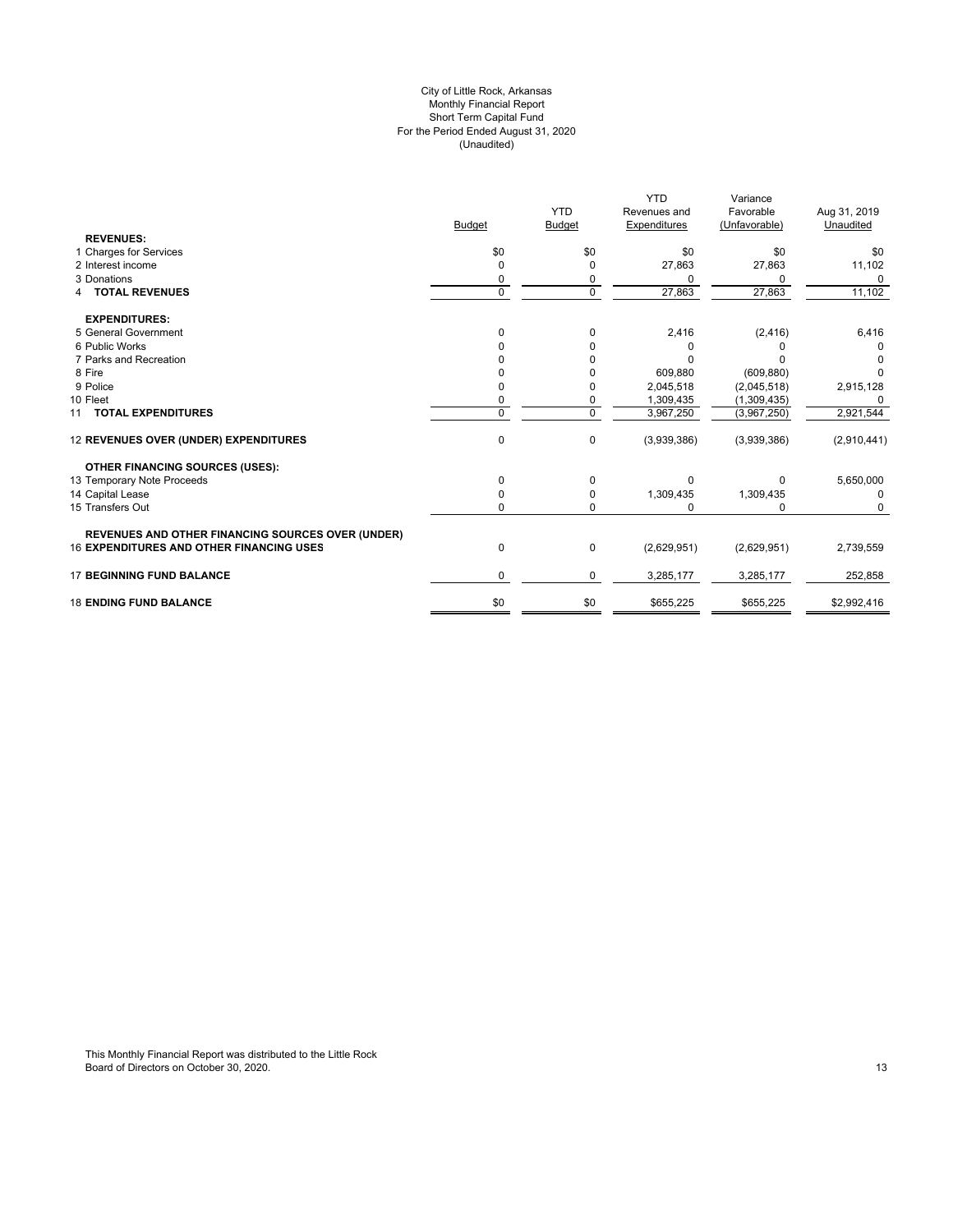#### For the Period Ended August 31, 2020 (Unaudited) City of Little Rock, Arkansas Monthly Financial Report Short Term Capital Fund

|                                                          |               |               | <b>YTD</b>   | Variance      |              |
|----------------------------------------------------------|---------------|---------------|--------------|---------------|--------------|
|                                                          |               | <b>YTD</b>    | Revenues and | Favorable     | Aug 31, 2019 |
|                                                          | <b>Budget</b> | <b>Budget</b> | Expenditures | (Unfavorable) | Unaudited    |
| <b>REVENUES:</b>                                         |               |               |              |               |              |
| 1 Charges for Services                                   | \$0           | \$0           | \$0          | \$0           | \$0          |
| 2 Interest income                                        | 0             | $\mathbf 0$   | 27,863       | 27,863        | 11,102       |
| 3 Donations                                              | 0             | 0             | 0            | ი             | $\Omega$     |
| <b>4 TOTAL REVENUES</b>                                  | $\mathbf 0$   | $\mathbf 0$   | 27,863       | 27,863        | 11,102       |
| <b>EXPENDITURES:</b>                                     |               |               |              |               |              |
| 5 General Government                                     | $\Omega$      | $\Omega$      | 2,416        | (2, 416)      | 6,416        |
| 6 Public Works                                           |               | 0             | $\Omega$     |               |              |
| 7 Parks and Recreation                                   |               |               | n            |               |              |
| 8 Fire                                                   |               |               | 609,880      | (609, 880)    | O            |
| 9 Police                                                 |               | O             | 2,045,518    | (2,045,518)   | 2,915,128    |
| 10 Fleet                                                 | 0             | $\mathbf 0$   | 1,309,435    | (1,309,435)   | $\Omega$     |
| 11 TOTAL EXPENDITURES                                    | $\Omega$      | $\Omega$      | 3,967,250    | (3,967,250)   | 2,921,544    |
| 12 REVENUES OVER (UNDER) EXPENDITURES                    | $\mathbf 0$   | 0             | (3,939,386)  | (3,939,386)   | (2,910,441)  |
| OTHER FINANCING SOURCES (USES):                          |               |               |              |               |              |
| 13 Temporary Note Proceeds                               | $\Omega$      | 0             | $\Omega$     | 0             | 5,650,000    |
| 14 Capital Lease                                         | 0             | 0             | 1,309,435    | 1,309,435     | 0            |
| 15 Transfers Out                                         | $\Omega$      | $\mathbf 0$   | $\Omega$     | 0             | $\Omega$     |
| <b>REVENUES AND OTHER FINANCING SOURCES OVER (UNDER)</b> |               |               |              |               |              |
| <b>16 EXPENDITURES AND OTHER FINANCING USES</b>          | 0             | 0             | (2,629,951)  | (2,629,951)   | 2,739,559    |
| <b>17 BEGINNING FUND BALANCE</b>                         | 0             | 0             | 3,285,177    | 3,285,177     | 252,858      |
| <b>18 ENDING FUND BALANCE</b>                            | \$0           | \$0           | \$655,225    | \$655,225     | \$2,992,416  |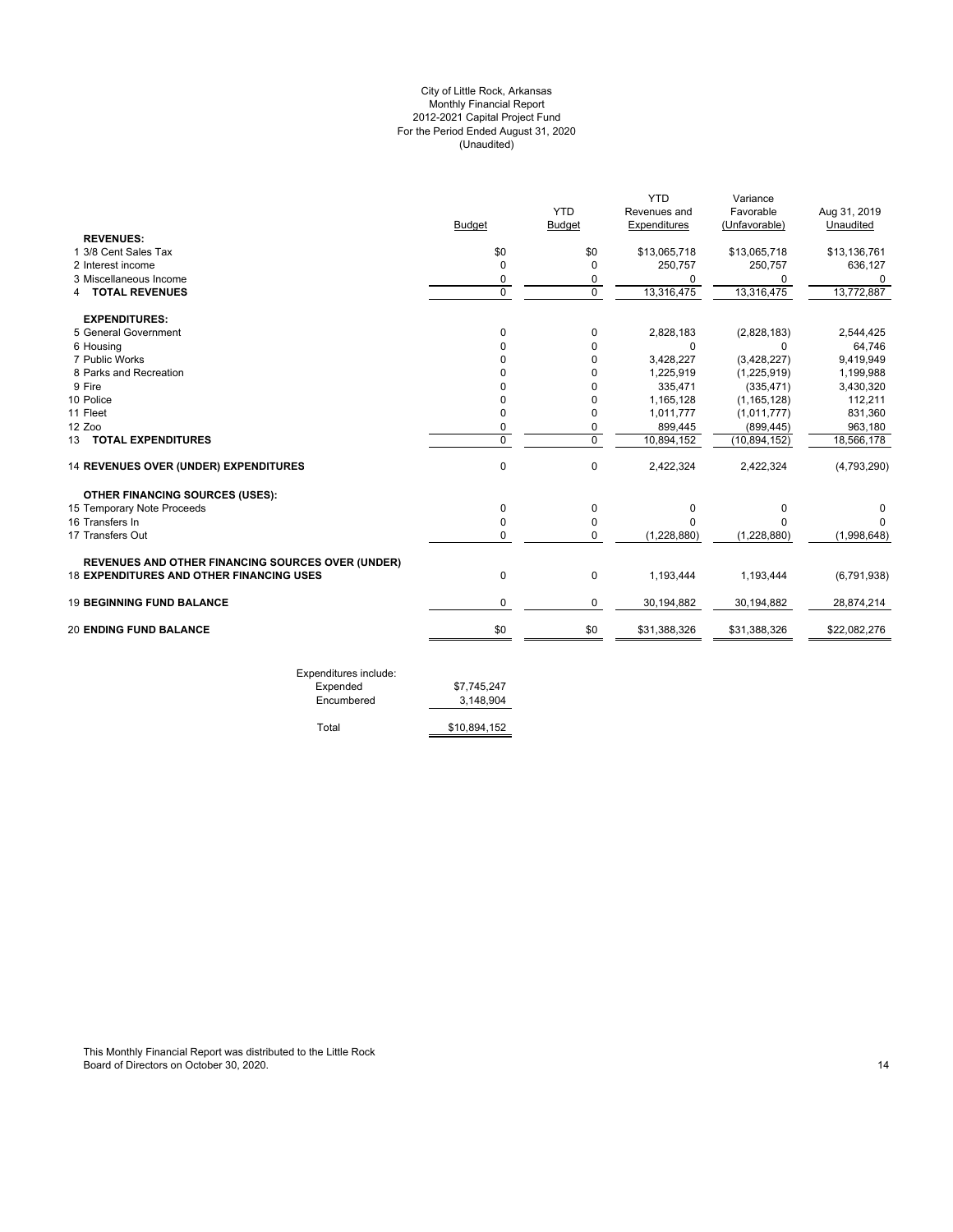## For the Period Ended August 31, 2020 (Unaudited) City of Little Rock, Arkansas Monthly Financial Report 2012-2021 Capital Project Fund

|                                                          |                |               | <b>YTD</b>    | Variance       |               |
|----------------------------------------------------------|----------------|---------------|---------------|----------------|---------------|
|                                                          |                | <b>YTD</b>    | Revenues and  | Favorable      | Aug 31, 2019  |
|                                                          | Budget         | <b>Budget</b> | Expenditures  | (Unfavorable)  | Unaudited     |
| <b>REVENUES:</b>                                         |                |               |               |                |               |
| 1 3/8 Cent Sales Tax                                     | \$0            | \$0           | \$13,065,718  | \$13,065,718   | \$13,136,761  |
| 2 Interest income                                        | 0              | $\Omega$      | 250,757       | 250,757        | 636,127       |
| 3 Miscellaneous Income                                   | 0              | 0             | <sup>0</sup>  | 0              | 0             |
| <b>TOTAL REVENUES</b><br>4                               | $\Omega$       | $\Omega$      | 13,316,475    | 13,316,475     | 13,772,887    |
| <b>EXPENDITURES:</b>                                     |                |               |               |                |               |
| 5 General Government                                     | $\Omega$       | 0             | 2,828,183     | (2,828,183)    | 2,544,425     |
| 6 Housing                                                | O              | $\Omega$      | 0             | $\Omega$       | 64,746        |
| 7 Public Works                                           | O              | 0             | 3,428,227     | (3,428,227)    | 9,419,949     |
| 8 Parks and Recreation                                   |                | $\Omega$      | 1,225,919     | (1,225,919)    | 1,199,988     |
| 9 Fire                                                   |                | $\Omega$      | 335,471       | (335, 471)     | 3,430,320     |
| 10 Police                                                | O              | $\mathbf 0$   | 1,165,128     | (1, 165, 128)  | 112,211       |
| 11 Fleet                                                 | 0              | 0             | 1,011,777     | (1,011,777)    | 831,360       |
| 12 Zoo                                                   | 0              | 0             | 899,445       | (899, 445)     | 963,180       |
| 13 TOTAL EXPENDITURES                                    | $\overline{0}$ | $\mathbf 0$   | 10,894,152    | (10, 894, 152) | 18,566,178    |
| 14 REVENUES OVER (UNDER) EXPENDITURES                    | $\mathbf 0$    | $\Omega$      | 2,422,324     | 2,422,324      | (4,793,290)   |
| <b>OTHER FINANCING SOURCES (USES):</b>                   |                |               |               |                |               |
| 15 Temporary Note Proceeds                               | 0              | 0             | 0             | 0              | 0             |
| 16 Transfers In                                          | $\Omega$       | 0             | O             | $\Omega$       | n             |
| 17 Transfers Out                                         | $\Omega$       | $\Omega$      | (1, 228, 880) | (1,228,880)    | (1,998,648)   |
| <b>REVENUES AND OTHER FINANCING SOURCES OVER (UNDER)</b> |                |               |               |                |               |
| <b>18 EXPENDITURES AND OTHER FINANCING USES</b>          | $\mathbf 0$    | $\mathbf 0$   | 1,193,444     | 1,193,444      | (6, 791, 938) |
| <b>19 BEGINNING FUND BALANCE</b>                         | 0              | 0             | 30,194,882    | 30,194,882     | 28,874,214    |
| <b>20 ENDING FUND BALANCE</b>                            | \$0            | \$0           | \$31,388,326  | \$31,388,326   | \$22,082,276  |

| Exponditures include.<br>Expended | \$7.745.247  |
|-----------------------------------|--------------|
| Encumbered                        | 3.148.904    |
|                                   |              |
| Total                             | \$10.894.152 |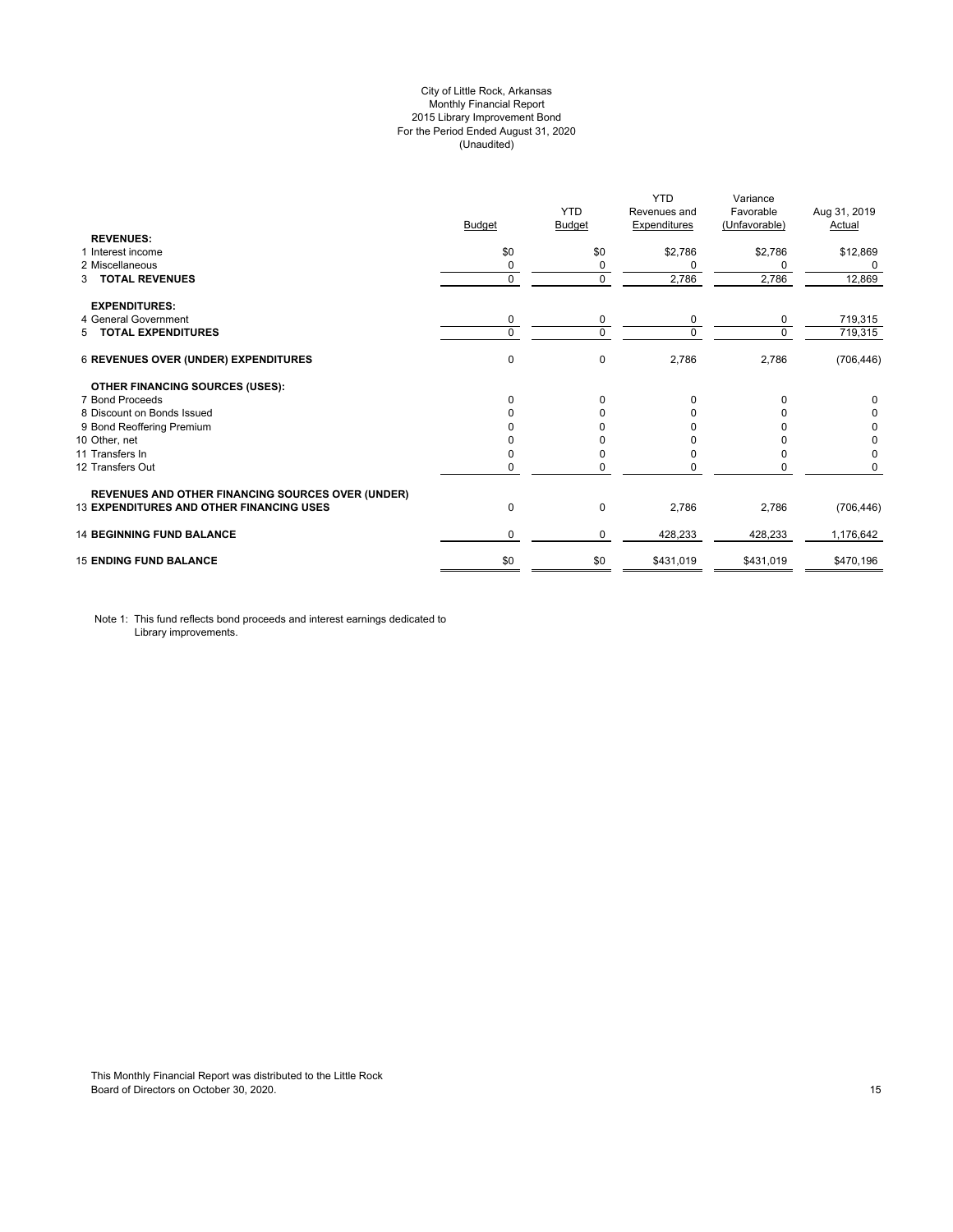## City of Little Rock, Arkansas Monthly Financial Report 2015 Library Improvement Bond For the Period Ended August 31, 2020 (Unaudited)

|                                                          |               |             | <b>YTD</b>          | Variance      |               |
|----------------------------------------------------------|---------------|-------------|---------------------|---------------|---------------|
|                                                          |               | <b>YTD</b>  | Revenues and        | Favorable     | Aug 31, 2019  |
|                                                          | <b>Budget</b> | Budget      | <b>Expenditures</b> | (Unfavorable) | <b>Actual</b> |
| <b>REVENUES:</b>                                         |               |             |                     |               |               |
| 1 Interest income                                        | \$0           | \$0         | \$2,786             | \$2,786       | \$12,869      |
| 2 Miscellaneous                                          | 0             | 0           | 0                   | 0             | $\Omega$      |
| <b>TOTAL REVENUES</b><br>3                               | $\mathbf 0$   | $\mathbf 0$ | 2,786               | 2,786         | 12,869        |
| <b>EXPENDITURES:</b>                                     |               |             |                     |               |               |
| 4 General Government                                     | 0             | 0           | 0                   | 0             | 719,315       |
| 5 TOTAL EXPENDITURES                                     | $\mathbf 0$   | $\Omega$    | $\Omega$            | $\Omega$      | 719,315       |
| <b>6 REVENUES OVER (UNDER) EXPENDITURES</b>              | 0             | 0           | 2,786               | 2,786         | (706, 446)    |
| <b>OTHER FINANCING SOURCES (USES):</b>                   |               |             |                     |               |               |
| 7 Bond Proceeds                                          | $\Omega$      | $\Omega$    | $\Omega$            |               | 0             |
| 8 Discount on Bonds Issued                               | O             | n           | O                   |               | 0             |
| 9 Bond Reoffering Premium                                |               |             |                     |               | 0             |
| 10 Other, net                                            |               |             |                     |               | 0             |
| 11 Transfers In                                          | 0             |             |                     |               | 0             |
| 12 Transfers Out                                         | 0             | 0           |                     |               | 0             |
| <b>REVENUES AND OTHER FINANCING SOURCES OVER (UNDER)</b> |               |             |                     |               |               |
| <b>13 EXPENDITURES AND OTHER FINANCING USES</b>          | $\mathbf 0$   | 0           | 2,786               | 2,786         | (706, 446)    |
| <b>14 BEGINNING FUND BALANCE</b>                         | 0             | $\Omega$    | 428,233             | 428,233       | 1,176,642     |
| <b>15 ENDING FUND BALANCE</b>                            | \$0           | \$0         | \$431,019           | \$431,019     | \$470,196     |
|                                                          |               |             |                     |               |               |

Note 1: This fund reflects bond proceeds and interest earnings dedicated to Library improvements.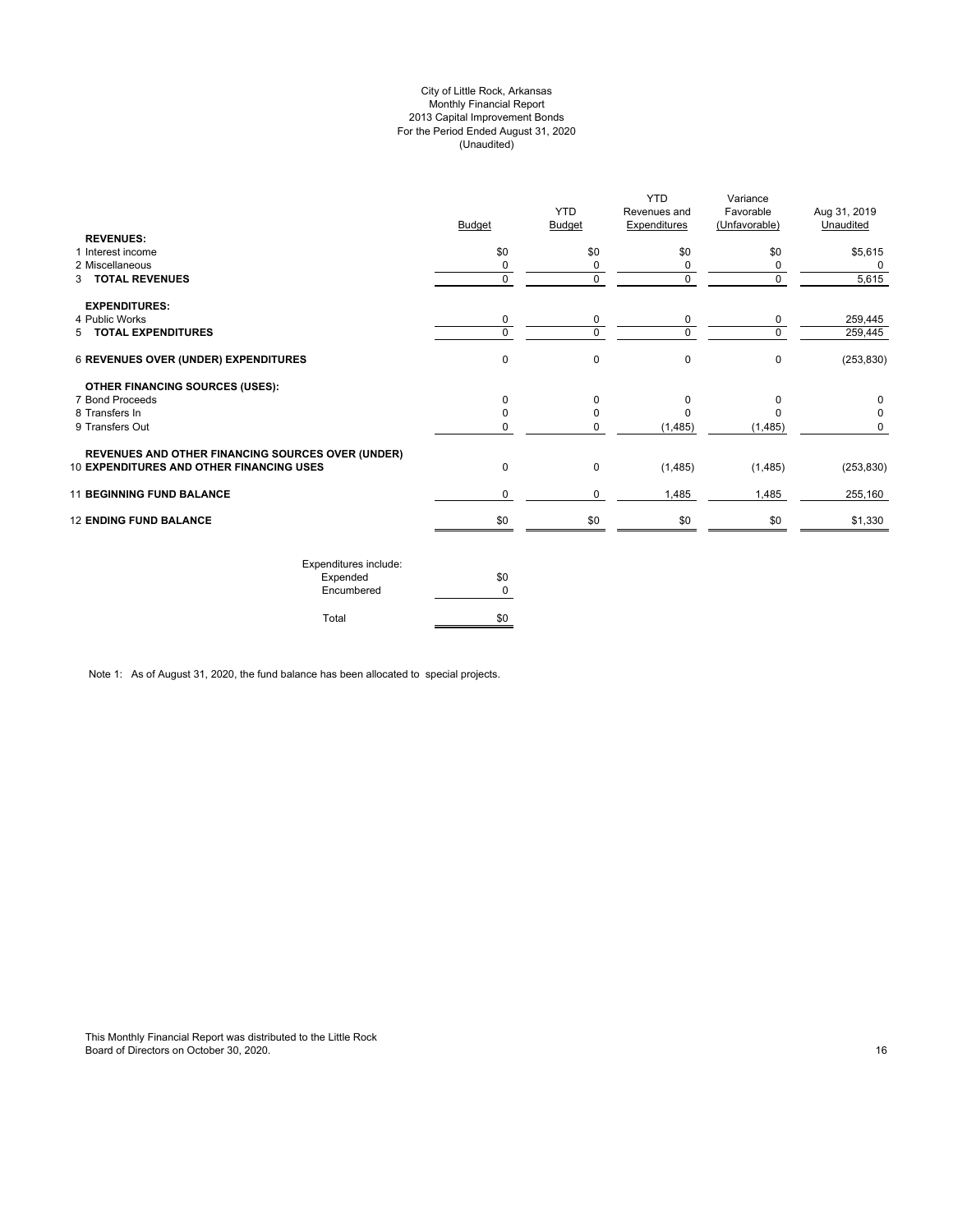## City of Little Rock, Arkansas Monthly Financial Report 2013 Capital Improvement Bonds For the Period Ended August 31, 2020 (Unaudited)

| <b>Budget</b> | <b>YTD</b><br><b>Budget</b> | <b>YTD</b><br>Revenues and<br><b>Expenditures</b> | Favorable<br>(Unfavorable)          | Aug 31, 2019<br>Unaudited  |
|---------------|-----------------------------|---------------------------------------------------|-------------------------------------|----------------------------|
|               |                             |                                                   |                                     | \$5,615                    |
|               |                             |                                                   |                                     | 0                          |
| $\mathbf 0$   | 0                           | 0                                                 | $\mathbf 0$                         | 5,615                      |
|               |                             |                                                   |                                     |                            |
| 0             | 0                           | 0                                                 | 0                                   | 259,445                    |
| $\Omega$      | $\Omega$                    | $\Omega$                                          | $\Omega$                            | 259,445                    |
| $\mathbf 0$   | 0                           | 0                                                 | $\mathbf 0$                         | (253, 830)                 |
|               |                             |                                                   |                                     |                            |
| $\Omega$      | 0                           | $\Omega$                                          | $\Omega$                            | 0                          |
| $\Omega$      | 0                           |                                                   |                                     |                            |
| $\Omega$      | 0                           | (1,485)                                           | (1,485)                             | 0                          |
|               |                             |                                                   |                                     |                            |
| $\mathbf 0$   | 0                           |                                                   |                                     | (253, 830)                 |
| 0             | 0                           | 1,485                                             | 1,485                               | 255,160                    |
|               |                             |                                                   | \$0                                 | \$1,330                    |
|               | \$0<br>0                    | \$0                                               | \$0<br>(1,485)<br>\$0<br>\$0<br>\$0 | Variance<br>\$0<br>(1,485) |

| Expenditures include: |     |
|-----------------------|-----|
| Expended              | \$0 |
| Encumbered            |     |
| Total                 |     |

Note 1: As of August 31, 2020, the fund balance has been allocated to special projects.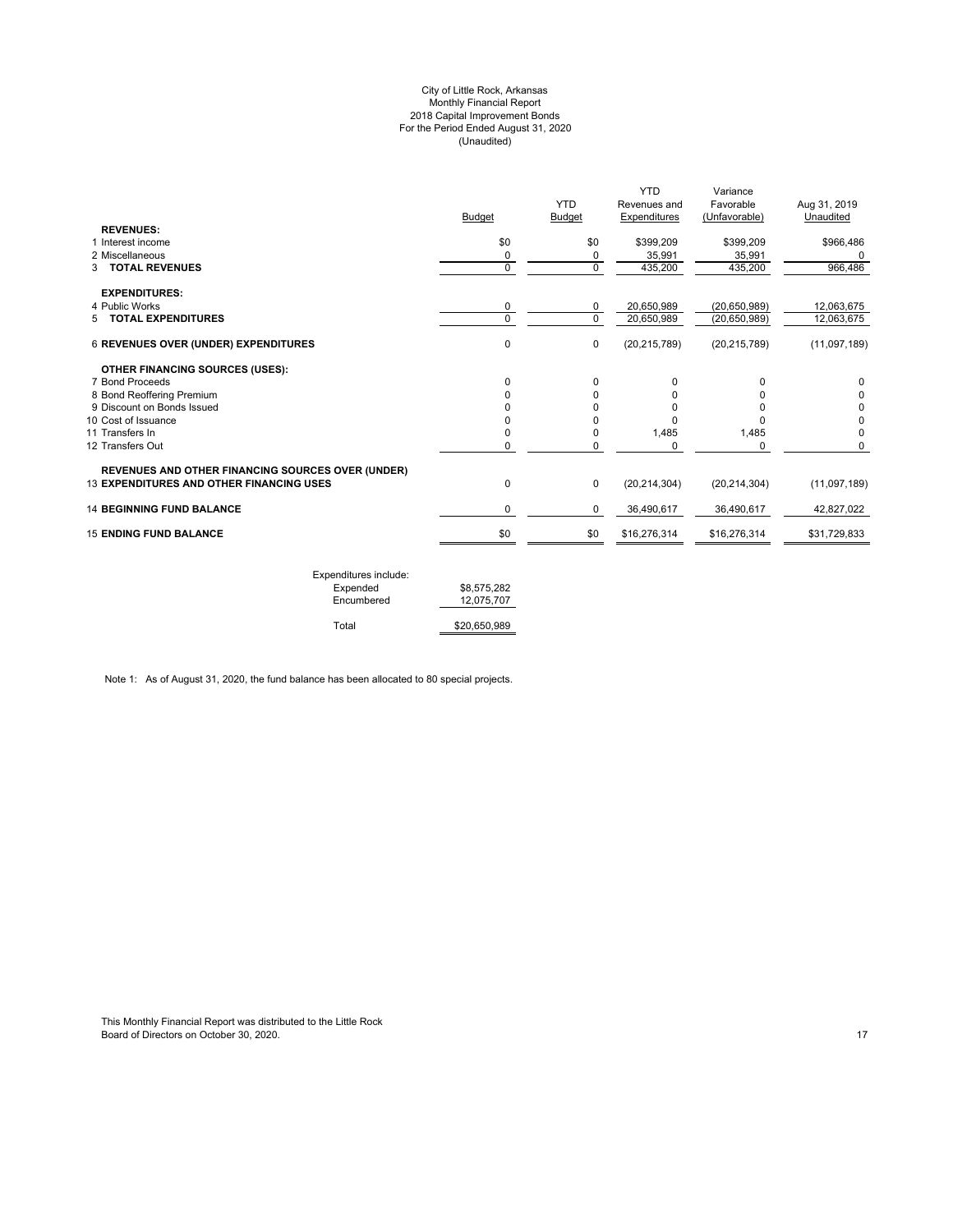#### City of Little Rock, Arkansas Monthly Financial Report 2018 Capital Improvement Bonds For the Period Ended August 31, 2020 (Unaudited)

|                                                          |               | <b>YTD</b>    | <b>YTD</b><br>Revenues and | Variance<br>Favorable | Aug 31, 2019 |
|----------------------------------------------------------|---------------|---------------|----------------------------|-----------------------|--------------|
|                                                          | <b>Budget</b> | <b>Budget</b> | Expenditures               | (Unfavorable)         | Unaudited    |
| <b>REVENUES:</b>                                         |               |               |                            |                       |              |
| 1 Interest income                                        | \$0           | \$0           | \$399,209                  | \$399,209             | \$966,486    |
| 2 Miscellaneous                                          | 0             | 0             | 35,991                     | 35,991                | 0            |
| <b>3 TOTAL REVENUES</b>                                  | $\Omega$      | $\mathbf 0$   | 435,200                    | 435,200               | 966,486      |
| <b>EXPENDITURES:</b>                                     |               |               |                            |                       |              |
| 4 Public Works                                           | 0             | 0             | 20,650,989                 | (20, 650, 989)        | 12,063,675   |
| 5 TOTAL EXPENDITURES                                     | $\Omega$      | $\Omega$      | 20,650,989                 | (20, 650, 989)        | 12,063,675   |
| <b>6 REVENUES OVER (UNDER) EXPENDITURES</b>              | $\mathbf 0$   | $\mathbf 0$   | (20, 215, 789)             | (20, 215, 789)        | (11,097,189) |
| <b>OTHER FINANCING SOURCES (USES):</b>                   |               |               |                            |                       |              |
| 7 Bond Proceeds                                          | <sup>0</sup>  | $\Omega$      |                            | <sup>0</sup>          | 0            |
| 8 Bond Reoffering Premium                                |               |               |                            |                       | 0            |
| 9 Discount on Bonds Issued                               |               |               |                            | ŋ                     | 0            |
| 10 Cost of Issuance                                      |               | n             |                            | <sup>0</sup>          | 0            |
| 11 Transfers In                                          |               | 0             | 1,485                      | 1,485                 | $\Omega$     |
| 12 Transfers Out                                         | 0             | 0             | 0                          | $\mathbf 0$           | 0            |
| <b>REVENUES AND OTHER FINANCING SOURCES OVER (UNDER)</b> |               |               |                            |                       |              |
| <b>13 EXPENDITURES AND OTHER FINANCING USES</b>          | 0             | $\mathbf 0$   | (20, 214, 304)             | (20, 214, 304)        | (11,097,189) |
| <b>14 BEGINNING FUND BALANCE</b>                         | $\Omega$      | 0             | 36,490,617                 | 36,490,617            | 42,827,022   |
| <b>15 ENDING FUND BALANCE</b>                            | \$0           | \$0           | \$16,276,314               | \$16,276,314          | \$31,729,833 |
|                                                          |               |               |                            |                       |              |

| Expenditures include: |              |
|-----------------------|--------------|
| Expended              | \$8,575,282  |
| Encumbered            | 12.075.707   |
|                       |              |
| Total                 | \$20,650,989 |

Note 1: As of August 31, 2020, the fund balance has been allocated to 80 special projects.

This Monthly Financial Report was distributed to the Little Rock Board of Directors on October 30, 2020. 17 Australian 1996 and the United States of Directors on October 30, 2020.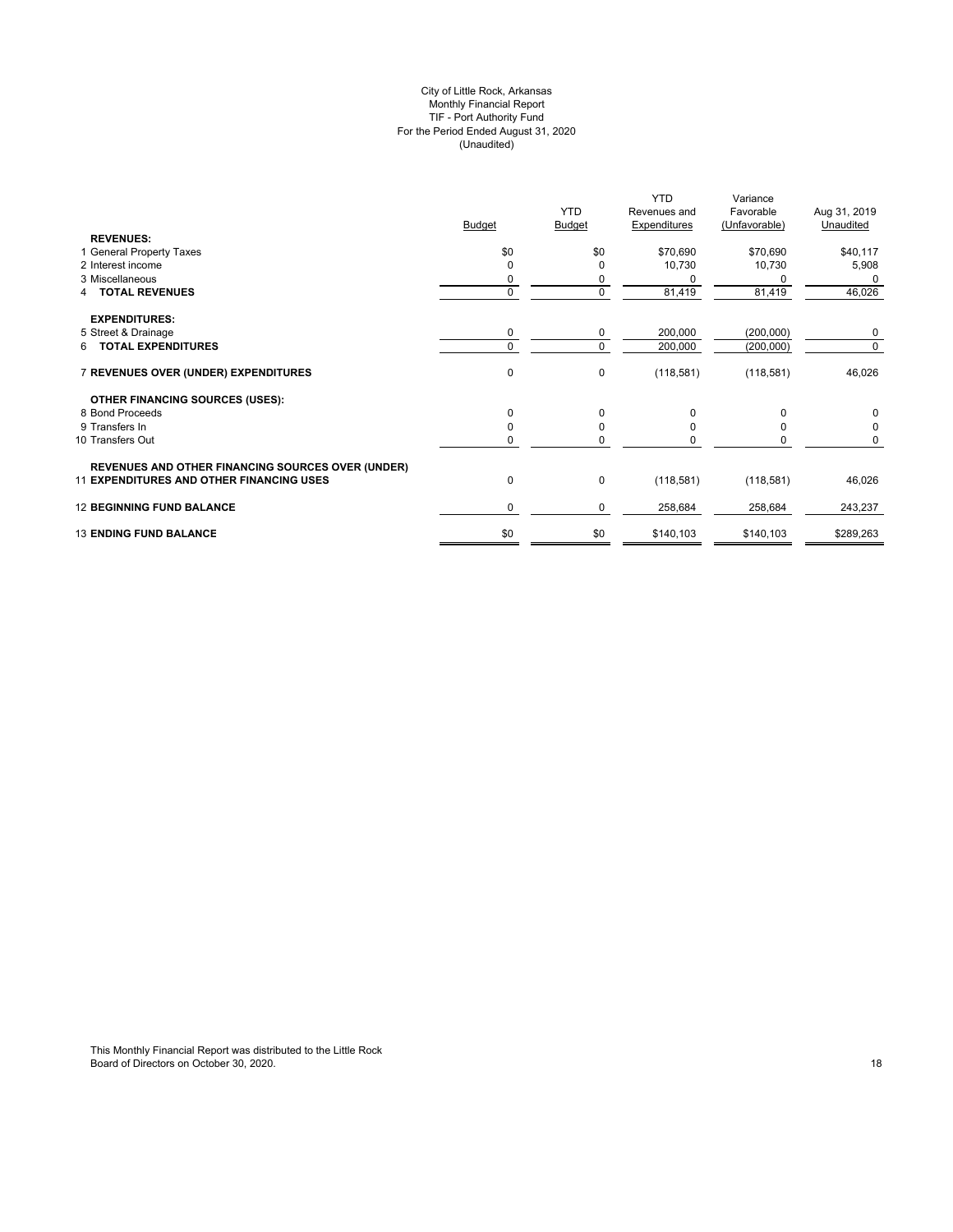#### City of Little Rock, Arkansas Monthly Financial Report TIF - Port Authority Fund For the Period Ended August 31, 2020 (Unaudited)

|                                                          |               | <b>YTD</b>  | <b>YTD</b><br>Revenues and | Variance<br>Favorable | Aug 31, 2019 |
|----------------------------------------------------------|---------------|-------------|----------------------------|-----------------------|--------------|
| <b>REVENUES:</b>                                         | <b>Budget</b> | Budget      | <b>Expenditures</b>        | (Unfavorable)         | Unaudited    |
| 1 General Property Taxes                                 | \$0           | \$0         | \$70,690                   | \$70,690              | \$40,117     |
| 2 Interest income                                        | $\Omega$      |             | 10,730                     | 10,730                | 5,908        |
| 3 Miscellaneous                                          | 0             | 0           |                            | 0                     | 0            |
| 4 TOTAL REVENUES                                         | $\pmb{0}$     | $\mathbf 0$ | 81,419                     | 81,419                | 46,026       |
| <b>EXPENDITURES:</b>                                     |               |             |                            |                       |              |
| 5 Street & Drainage                                      | 0             | 0           | 200,000                    | (200,000)             | 0            |
| 6 TOTAL EXPENDITURES                                     | $\mathbf 0$   | $\Omega$    | 200,000                    | (200,000)             | 0            |
| 7 REVENUES OVER (UNDER) EXPENDITURES                     | $\pmb{0}$     | 0           | (118, 581)                 | (118, 581)            | 46,026       |
| <b>OTHER FINANCING SOURCES (USES):</b>                   |               |             |                            |                       |              |
| 8 Bond Proceeds                                          | $\Omega$      | $\Omega$    | 0                          | O                     | 0            |
| 9 Transfers In                                           | 0             | O           |                            |                       | 0            |
| 10 Transfers Out                                         | $\mathbf 0$   | $\Omega$    | <sup>0</sup>               | 0                     | 0            |
| <b>REVENUES AND OTHER FINANCING SOURCES OVER (UNDER)</b> |               |             |                            |                       |              |
| <b>11 EXPENDITURES AND OTHER FINANCING USES</b>          | 0             | $\mathbf 0$ | (118, 581)                 | (118, 581)            | 46,026       |
| <b>12 BEGINNING FUND BALANCE</b>                         | $\mathbf 0$   | 0           | 258,684                    | 258,684               | 243,237      |
| <b>13 ENDING FUND BALANCE</b>                            | \$0           | \$0         | \$140,103                  | \$140,103             | \$289,263    |
|                                                          |               |             |                            |                       |              |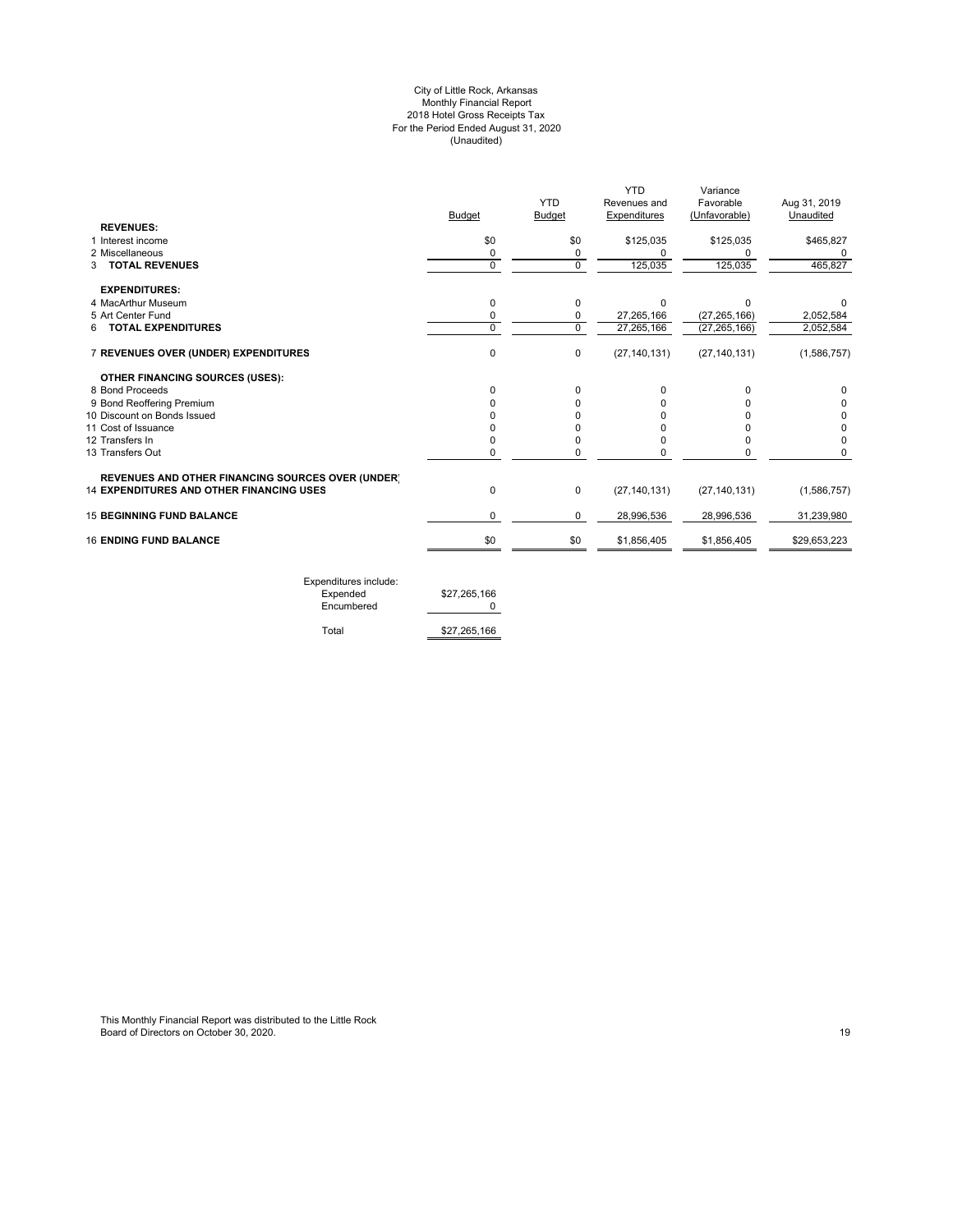#### City of Little Rock, Arkansas Monthly Financial Report 2018 Hotel Gross Receipts Tax For the Period Ended August 31, 2020 (Unaudited)

| <b>YTD</b><br><b>Budget</b><br>\$0<br>0<br>$\mathbf 0$<br>0<br>0<br>$\Omega$<br>0 | Revenues and<br>Expenditures<br>\$125,035<br>$\Omega$<br>125,035<br>$\Omega$<br>27,265,166<br>27,265,166<br>(27, 140, 131) | Favorable<br>(Unfavorable)<br>\$125,035<br>125,035<br>$\Omega$<br>(27, 265, 166)<br>(27, 265, 166)<br>(27, 140, 131) | Aug 31, 2019<br>Unaudited<br>\$465,827<br>465,827<br>2,052,584<br>2,052,584<br>(1,586,757) |
|-----------------------------------------------------------------------------------|----------------------------------------------------------------------------------------------------------------------------|----------------------------------------------------------------------------------------------------------------------|--------------------------------------------------------------------------------------------|
|                                                                                   |                                                                                                                            |                                                                                                                      |                                                                                            |
|                                                                                   |                                                                                                                            |                                                                                                                      |                                                                                            |
|                                                                                   |                                                                                                                            |                                                                                                                      |                                                                                            |
|                                                                                   |                                                                                                                            |                                                                                                                      |                                                                                            |
|                                                                                   |                                                                                                                            |                                                                                                                      |                                                                                            |
|                                                                                   |                                                                                                                            |                                                                                                                      |                                                                                            |
|                                                                                   |                                                                                                                            |                                                                                                                      |                                                                                            |
|                                                                                   |                                                                                                                            |                                                                                                                      |                                                                                            |
|                                                                                   |                                                                                                                            |                                                                                                                      |                                                                                            |
|                                                                                   |                                                                                                                            |                                                                                                                      |                                                                                            |
|                                                                                   |                                                                                                                            |                                                                                                                      |                                                                                            |
|                                                                                   |                                                                                                                            |                                                                                                                      |                                                                                            |
| 0                                                                                 | $\Omega$                                                                                                                   |                                                                                                                      | <sup>0</sup>                                                                               |
| n                                                                                 |                                                                                                                            |                                                                                                                      | 0                                                                                          |
|                                                                                   |                                                                                                                            |                                                                                                                      | 0                                                                                          |
| n                                                                                 |                                                                                                                            |                                                                                                                      | 0                                                                                          |
| 0                                                                                 |                                                                                                                            |                                                                                                                      | 0                                                                                          |
| 0                                                                                 | 0                                                                                                                          |                                                                                                                      | 0                                                                                          |
|                                                                                   |                                                                                                                            |                                                                                                                      |                                                                                            |
| 0                                                                                 | (27, 140, 131)                                                                                                             | (27, 140, 131)                                                                                                       | (1,586,757)                                                                                |
| 0                                                                                 | 28,996,536                                                                                                                 | 28,996,536                                                                                                           | 31,239,980                                                                                 |
|                                                                                   |                                                                                                                            |                                                                                                                      | \$29,653,223                                                                               |
|                                                                                   |                                                                                                                            |                                                                                                                      | \$0<br>\$1,856,405<br>\$1,856,405                                                          |

Expenditures include: Expended \$27,265,166 Encumbered 0

Total \$27,265,166

This Monthly Financial Report was distributed to the Little Rock Board of Directors on October 30, 2020. 19 Australian 19 Australian 19 Australian 19 Australian 19 Australian 19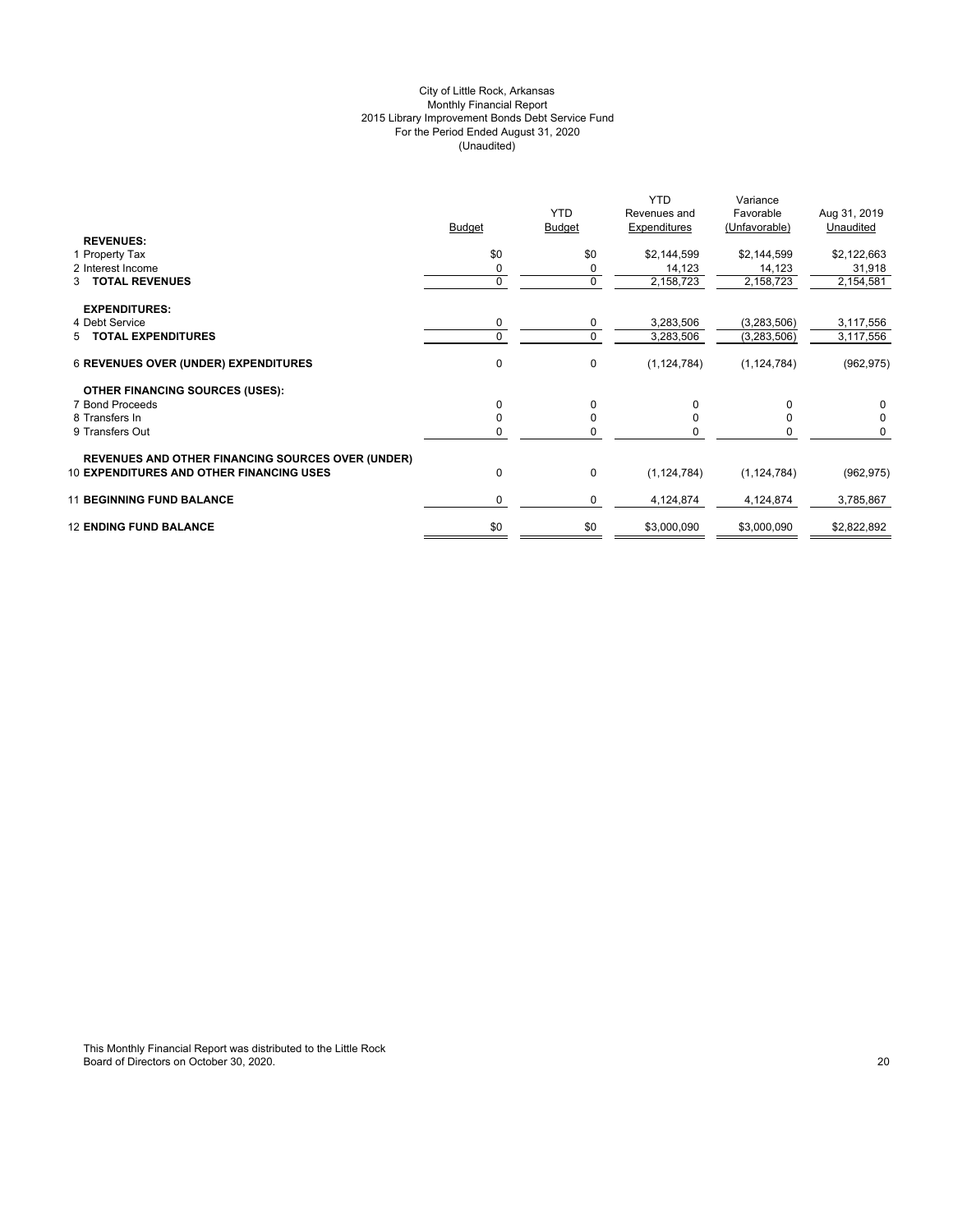## City of Little Rock, Arkansas Monthly Financial Report 2015 Library Improvement Bonds Debt Service Fund For the Period Ended August 31, 2020 (Unaudited)

|                                                                                                             | <b>Budget</b> | <b>YTD</b><br><b>Budget</b> | <b>YTD</b><br>Revenues and<br>Expenditures | Variance<br>Favorable<br>(Unfavorable) | Aug 31, 2019<br>Unaudited |
|-------------------------------------------------------------------------------------------------------------|---------------|-----------------------------|--------------------------------------------|----------------------------------------|---------------------------|
| <b>REVENUES:</b><br>1 Property Tax                                                                          | \$0           | \$0                         | \$2,144,599                                | \$2,144,599                            | \$2,122,663               |
| 2 Interest Income                                                                                           | 0             | 0                           | 14,123                                     | 14,123                                 | 31,918                    |
| 3 TOTAL REVENUES                                                                                            | 0             | 0                           | 2,158,723                                  | 2,158,723                              | 2,154,581                 |
| <b>EXPENDITURES:</b>                                                                                        |               |                             |                                            |                                        |                           |
| 4 Debt Service                                                                                              | 0             | 0                           | 3,283,506                                  | (3,283,506)                            | 3,117,556                 |
| 5 TOTAL EXPENDITURES                                                                                        | $\Omega$      | 0                           | 3,283,506                                  | (3,283,506)                            | 3,117,556                 |
| <b>6 REVENUES OVER (UNDER) EXPENDITURES</b>                                                                 | 0             | $\mathbf 0$                 | (1, 124, 784)                              | (1, 124, 784)                          | (962, 975)                |
| <b>OTHER FINANCING SOURCES (USES):</b>                                                                      |               |                             |                                            |                                        |                           |
| 7 Bond Proceeds                                                                                             | $\Omega$      | $\Omega$                    | 0                                          |                                        | 0                         |
| 8 Transfers In                                                                                              | 0             | 0                           |                                            |                                        | 0                         |
| 9 Transfers Out                                                                                             | 0             | 0                           |                                            |                                        | 0                         |
| <b>REVENUES AND OTHER FINANCING SOURCES OVER (UNDER)</b><br><b>10 EXPENDITURES AND OTHER FINANCING USES</b> | 0             | $\mathbf 0$                 | (1, 124, 784)                              | (1, 124, 784)                          | (962, 975)                |
| <b>11 BEGINNING FUND BALANCE</b>                                                                            | $\Omega$      | 0                           | 4,124,874                                  | 4,124,874                              | 3,785,867                 |
| <b>12 ENDING FUND BALANCE</b>                                                                               | \$0           | \$0                         | \$3,000,090                                | \$3,000,090                            | \$2,822,892               |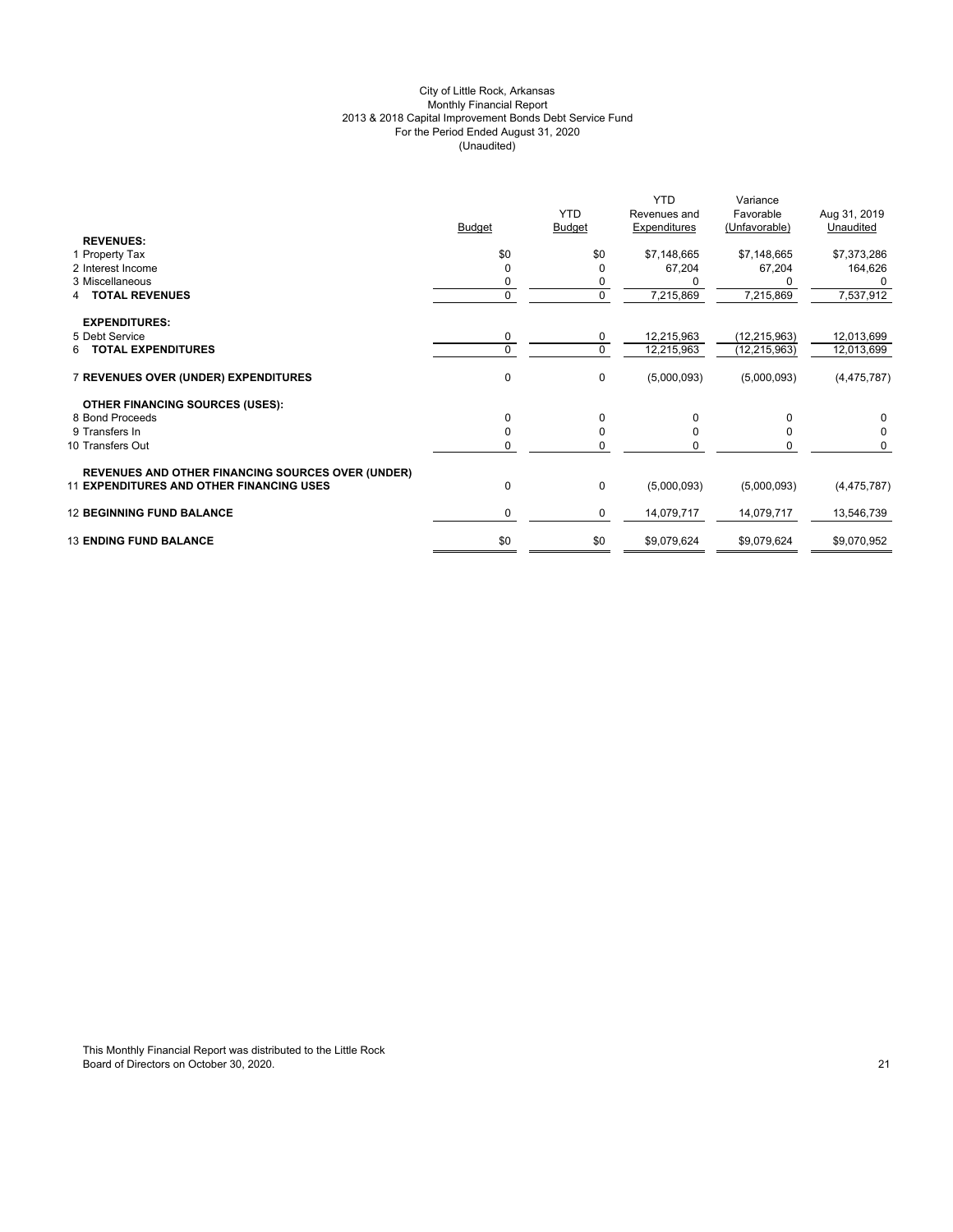## City of Little Rock, Arkansas Monthly Financial Report 2013 & 2018 Capital Improvement Bonds Debt Service Fund For the Period Ended August 31, 2020 (Unaudited)

|                                                          | <b>Budget</b> | <b>YTD</b><br><b>Budget</b> | <b>YTD</b><br>Revenues and<br>Expenditures | Variance<br>Favorable<br>(Unfavorable) | Aug 31, 2019<br>Unaudited |
|----------------------------------------------------------|---------------|-----------------------------|--------------------------------------------|----------------------------------------|---------------------------|
| <b>REVENUES:</b>                                         |               |                             |                                            |                                        |                           |
| 1 Property Tax                                           | \$0           | \$0                         | \$7,148,665                                | \$7,148,665                            | \$7,373,286               |
| 2 Interest Income                                        | O             | 0                           | 67,204                                     | 67,204                                 | 164,626                   |
| 3 Miscellaneous                                          | 0             | 0                           |                                            |                                        |                           |
| <b>TOTAL REVENUES</b>                                    | $\mathbf{0}$  | 0                           | 7,215,869                                  | 7,215,869                              | 7,537,912                 |
| <b>EXPENDITURES:</b>                                     |               |                             |                                            |                                        |                           |
| 5 Debt Service                                           | 0             | 0                           | 12,215,963                                 | (12, 215, 963)                         | 12,013,699                |
| <b>TOTAL EXPENDITURES</b><br>6.                          | $\Omega$      | $\mathbf 0$                 | 12,215,963                                 | (12, 215, 963)                         | 12,013,699                |
| 7 REVENUES OVER (UNDER) EXPENDITURES                     | 0             | 0                           | (5,000,093)                                | (5,000,093)                            | (4, 475, 787)             |
| <b>OTHER FINANCING SOURCES (USES):</b>                   |               |                             |                                            |                                        |                           |
| 8 Bond Proceeds                                          | $\Omega$      | 0                           | 0                                          | 0                                      | 0                         |
| 9 Transfers In                                           | $\Omega$      | 0                           | <sup>0</sup>                               | $\Omega$                               | 0                         |
| 10 Transfers Out                                         | 0             | $\mathbf 0$                 | O                                          | 0                                      | $\Omega$                  |
| <b>REVENUES AND OTHER FINANCING SOURCES OVER (UNDER)</b> |               |                             |                                            |                                        |                           |
| <b>11 EXPENDITURES AND OTHER FINANCING USES</b>          | 0             | 0                           | (5,000,093)                                | (5,000,093)                            | (4, 475, 787)             |
| <b>12 BEGINNING FUND BALANCE</b>                         | $\mathbf 0$   | 0                           | 14,079,717                                 | 14,079,717                             | 13,546,739                |
| <b>13 ENDING FUND BALANCE</b>                            | \$0           | \$0                         | \$9,079,624                                | \$9,079,624                            | \$9,070,952               |
|                                                          |               |                             |                                            |                                        |                           |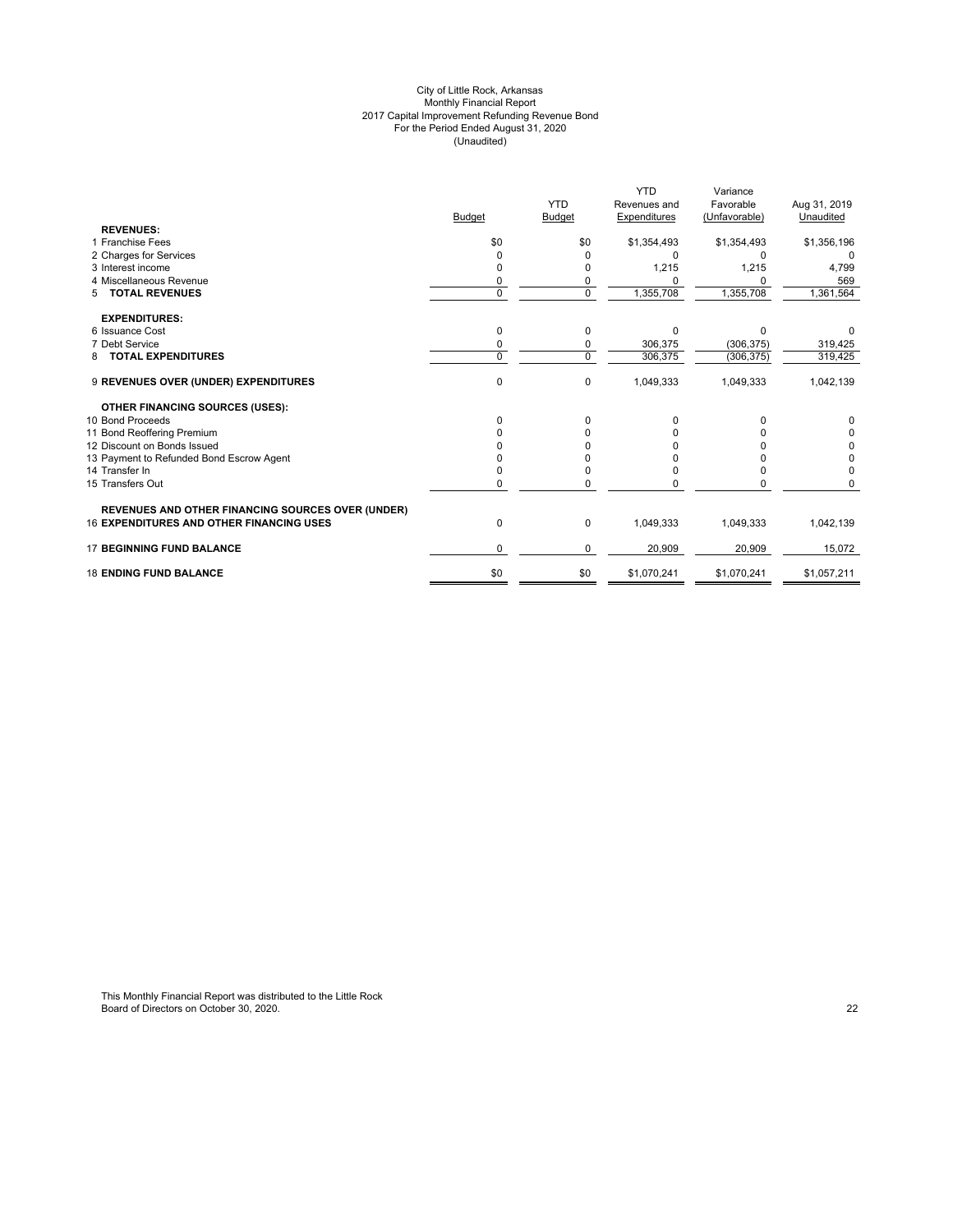#### City of Little Rock, Arkansas Monthly Financial Report 2017 Capital Improvement Refunding Revenue Bond For the Period Ended August 31, 2020 (Unaudited)

|                                                          |               |                | <b>YTD</b>   | Variance      |              |
|----------------------------------------------------------|---------------|----------------|--------------|---------------|--------------|
|                                                          |               | <b>YTD</b>     | Revenues and | Favorable     | Aug 31, 2019 |
|                                                          | <b>Budget</b> | <b>Budget</b>  | Expenditures | (Unfavorable) | Unaudited    |
| <b>REVENUES:</b>                                         |               |                |              |               |              |
| 1 Franchise Fees                                         | \$0           | \$0            | \$1,354,493  | \$1,354,493   | \$1,356,196  |
| 2 Charges for Services                                   | O             | 0              | <sup>0</sup> | O             | $\Omega$     |
| 3 Interest income                                        | 0             | 0              | 1,215        | 1,215         | 4,799        |
| 4 Miscellaneous Revenue                                  | 0             | 0              |              | O             | 569          |
| <b>TOTAL REVENUES</b><br>5                               | $\Omega$      | $\overline{0}$ | 1,355,708    | 1,355,708     | 1,361,564    |
| <b>EXPENDITURES:</b>                                     |               |                |              |               |              |
| 6 Issuance Cost                                          | $\Omega$      | 0              | $\Omega$     | $\Omega$      |              |
| 7 Debt Service                                           | 0             | 0              | 306,375      | (306, 375)    | 319,425      |
| <b>TOTAL EXPENDITURES</b><br>8                           | $\Omega$      | $\mathbf 0$    | 306,375      | (306, 375)    | 319,425      |
| 9 REVENUES OVER (UNDER) EXPENDITURES                     | $\mathbf 0$   | $\mathbf 0$    | 1,049,333    | 1,049,333     | 1,042,139    |
| <b>OTHER FINANCING SOURCES (USES):</b>                   |               |                |              |               |              |
| 10 Bond Proceeds                                         | 0             | 0              | 0            | 0             | $\Omega$     |
| 11 Bond Reoffering Premium                               |               | <sup>0</sup>   |              |               | 0            |
| 12 Discount on Bonds Issued                              |               |                |              |               | 0            |
| 13 Payment to Refunded Bond Escrow Agent                 |               |                |              |               | 0            |
| 14 Transfer In                                           |               | 0              |              |               | $\Omega$     |
| 15 Transfers Out                                         | U             | $\Omega$       |              |               | $\Omega$     |
| <b>REVENUES AND OTHER FINANCING SOURCES OVER (UNDER)</b> |               |                |              |               |              |
| <b>16 EXPENDITURES AND OTHER FINANCING USES</b>          | $\mathbf 0$   | 0              | 1,049,333    | 1,049,333     | 1,042,139    |
| <b>17 BEGINNING FUND BALANCE</b>                         | 0             | 0              | 20,909       | 20,909        | 15,072       |
| <b>18 ENDING FUND BALANCE</b>                            | \$0           | \$0            | \$1,070,241  | \$1,070,241   | \$1,057,211  |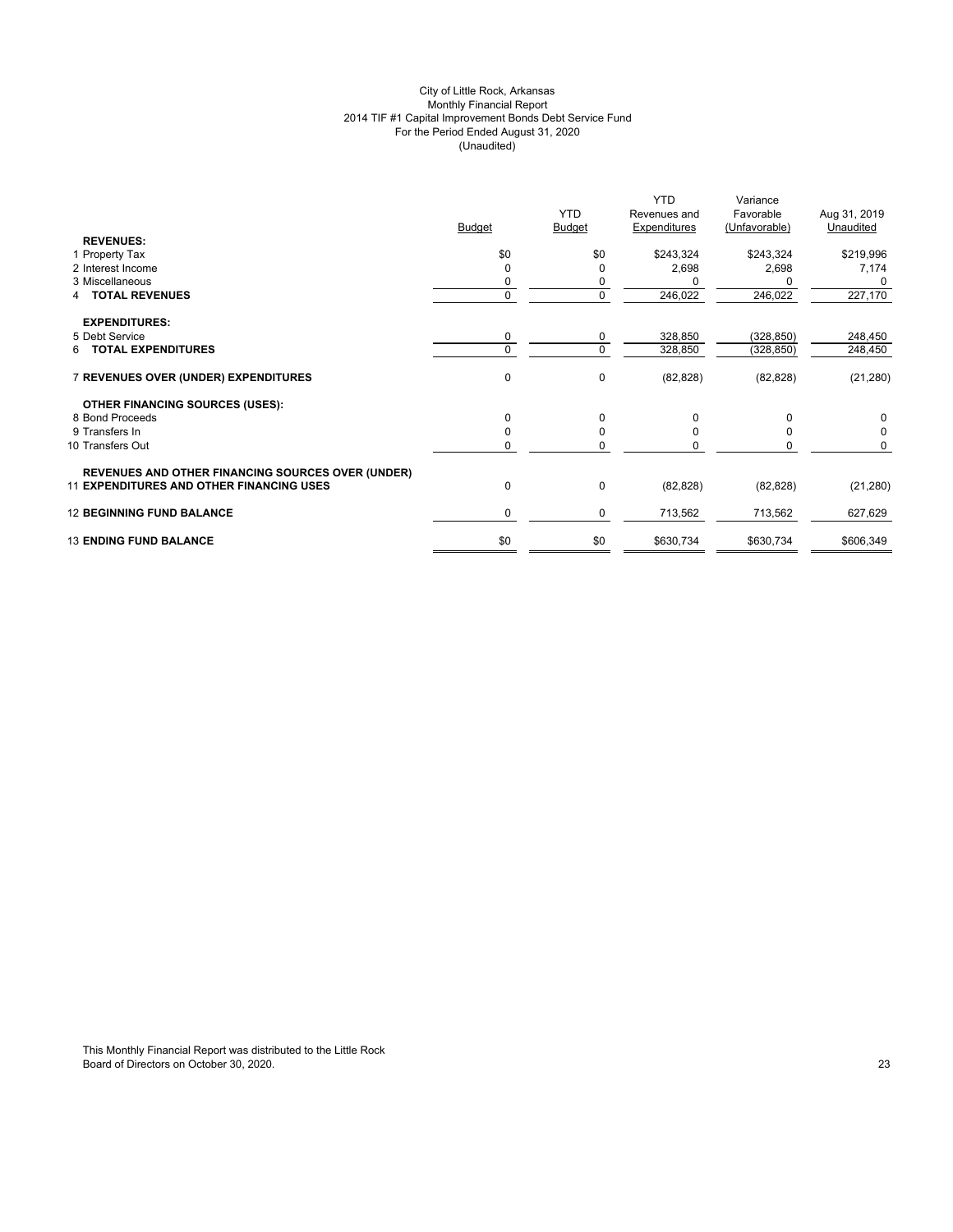## City of Little Rock, Arkansas Monthly Financial Report 2014 TIF #1 Capital Improvement Bonds Debt Service Fund For the Period Ended August 31, 2020 (Unaudited)

|                                                          | <b>Budget</b> | <b>YTD</b><br><b>Budget</b> | <b>YTD</b><br>Revenues and<br>Expenditures | Variance<br>Favorable<br>(Unfavorable) | Aug 31, 2019<br>Unaudited |
|----------------------------------------------------------|---------------|-----------------------------|--------------------------------------------|----------------------------------------|---------------------------|
| <b>REVENUES:</b>                                         |               |                             |                                            |                                        |                           |
| 1 Property Tax                                           | \$0           | \$0                         | \$243,324                                  | \$243,324                              | \$219,996                 |
| 2 Interest Income                                        | $\Omega$      | 0                           | 2,698                                      | 2,698                                  | 7,174                     |
| 3 Miscellaneous                                          | 0             | 0                           |                                            |                                        | 0                         |
| <b>TOTAL REVENUES</b><br>4                               | $\mathbf{0}$  | 0                           | 246,022                                    | 246,022                                | 227,170                   |
| <b>EXPENDITURES:</b>                                     |               |                             |                                            |                                        |                           |
| 5 Debt Service                                           | 0             | 0                           | 328,850                                    | (328, 850)                             | 248,450                   |
| <b>6 TOTAL EXPENDITURES</b>                              | $\Omega$      | $\mathbf 0$                 | 328,850                                    | (328, 850)                             | 248,450                   |
| 7 REVENUES OVER (UNDER) EXPENDITURES                     | 0             | $\pmb{0}$                   | (82, 828)                                  | (82, 828)                              | (21, 280)                 |
| <b>OTHER FINANCING SOURCES (USES):</b>                   |               |                             |                                            |                                        |                           |
| 8 Bond Proceeds                                          | $\Omega$      | 0                           | 0                                          | $\Omega$                               | 0                         |
| 9 Transfers In                                           | $\Omega$      | $\mathbf 0$                 | $\Omega$                                   | $\Omega$                               | $\mathbf 0$               |
| 10 Transfers Out                                         | 0             | 0                           | O                                          | O                                      | $\Omega$                  |
| <b>REVENUES AND OTHER FINANCING SOURCES OVER (UNDER)</b> |               |                             |                                            |                                        |                           |
| <b>11 EXPENDITURES AND OTHER FINANCING USES</b>          | 0             | $\pmb{0}$                   | (82, 828)                                  | (82, 828)                              | (21, 280)                 |
| <b>12 BEGINNING FUND BALANCE</b>                         | $\mathbf 0$   | 0                           | 713,562                                    | 713,562                                | 627,629                   |
| <b>13 ENDING FUND BALANCE</b>                            | \$0           | \$0                         | \$630,734                                  | \$630,734                              | \$606,349                 |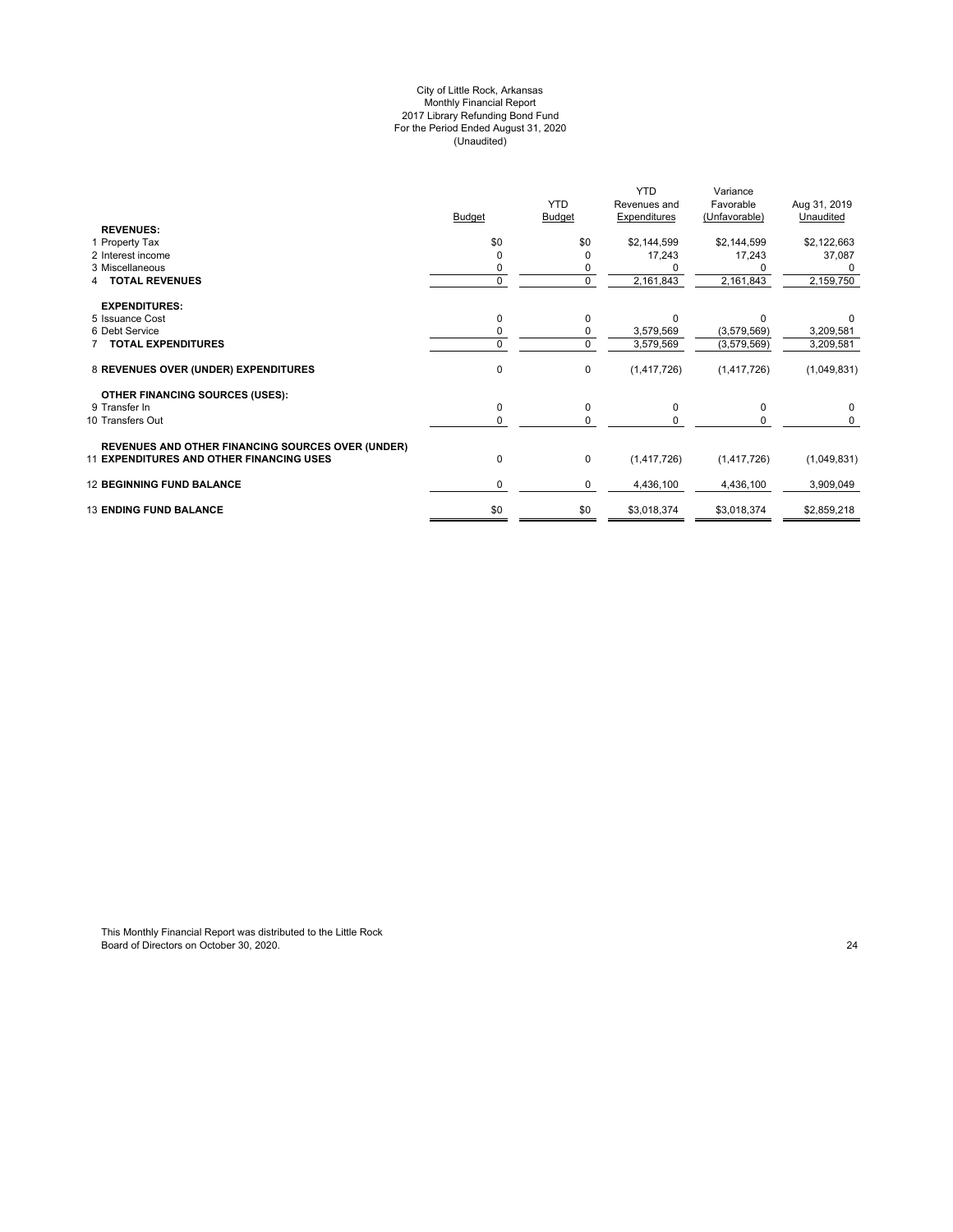#### City of Little Rock, Arkansas Monthly Financial Report 2017 Library Refunding Bond Fund For the Period Ended August 31, 2020 (Unaudited)

|                                                          |               |               | <b>YTD</b>   | Variance      |              |
|----------------------------------------------------------|---------------|---------------|--------------|---------------|--------------|
|                                                          |               | <b>YTD</b>    | Revenues and | Favorable     | Aug 31, 2019 |
|                                                          | <b>Budget</b> | <b>Budget</b> | Expenditures | (Unfavorable) | Unaudited    |
| <b>REVENUES:</b>                                         |               |               |              |               |              |
| 1 Property Tax                                           | \$0           | \$0           | \$2,144,599  | \$2,144,599   | \$2,122,663  |
| 2 Interest income                                        |               |               | 17,243       | 17,243        | 37,087       |
| 3 Miscellaneous                                          |               |               |              |               |              |
| <b>TOTAL REVENUES</b>                                    | 0             | 0             | 2,161,843    | 2,161,843     | 2,159,750    |
| <b>EXPENDITURES:</b>                                     |               |               |              |               |              |
| 5 Issuance Cost                                          | $\Omega$      | 0             | $\Omega$     | U             |              |
| 6 Debt Service                                           |               | 0             | 3,579,569    | (3,579,569)   | 3,209,581    |
| 7 TOTAL EXPENDITURES                                     | 0             | 0             | 3,579,569    | (3,579,569)   | 3,209,581    |
| 8 REVENUES OVER (UNDER) EXPENDITURES                     | 0             | 0             | (1,417,726)  | (1,417,726)   | (1,049,831)  |
| <b>OTHER FINANCING SOURCES (USES):</b>                   |               |               |              |               |              |
| 9 Transfer In                                            | $\Omega$      | 0             | $\Omega$     | $\Omega$      | $\Omega$     |
| 10 Transfers Out                                         | $\Omega$      | <sup>0</sup>  |              |               |              |
| <b>REVENUES AND OTHER FINANCING SOURCES OVER (UNDER)</b> |               |               |              |               |              |
| <b>11 EXPENDITURES AND OTHER FINANCING USES</b>          | $\mathbf 0$   | 0             | (1,417,726)  | (1,417,726)   | (1,049,831)  |
| <b>12 BEGINNING FUND BALANCE</b>                         | 0             | 0             | 4,436,100    | 4,436,100     | 3,909,049    |
| <b>13 ENDING FUND BALANCE</b>                            | \$0           | \$0           | \$3,018,374  | \$3,018,374   | \$2,859,218  |
|                                                          |               |               |              |               |              |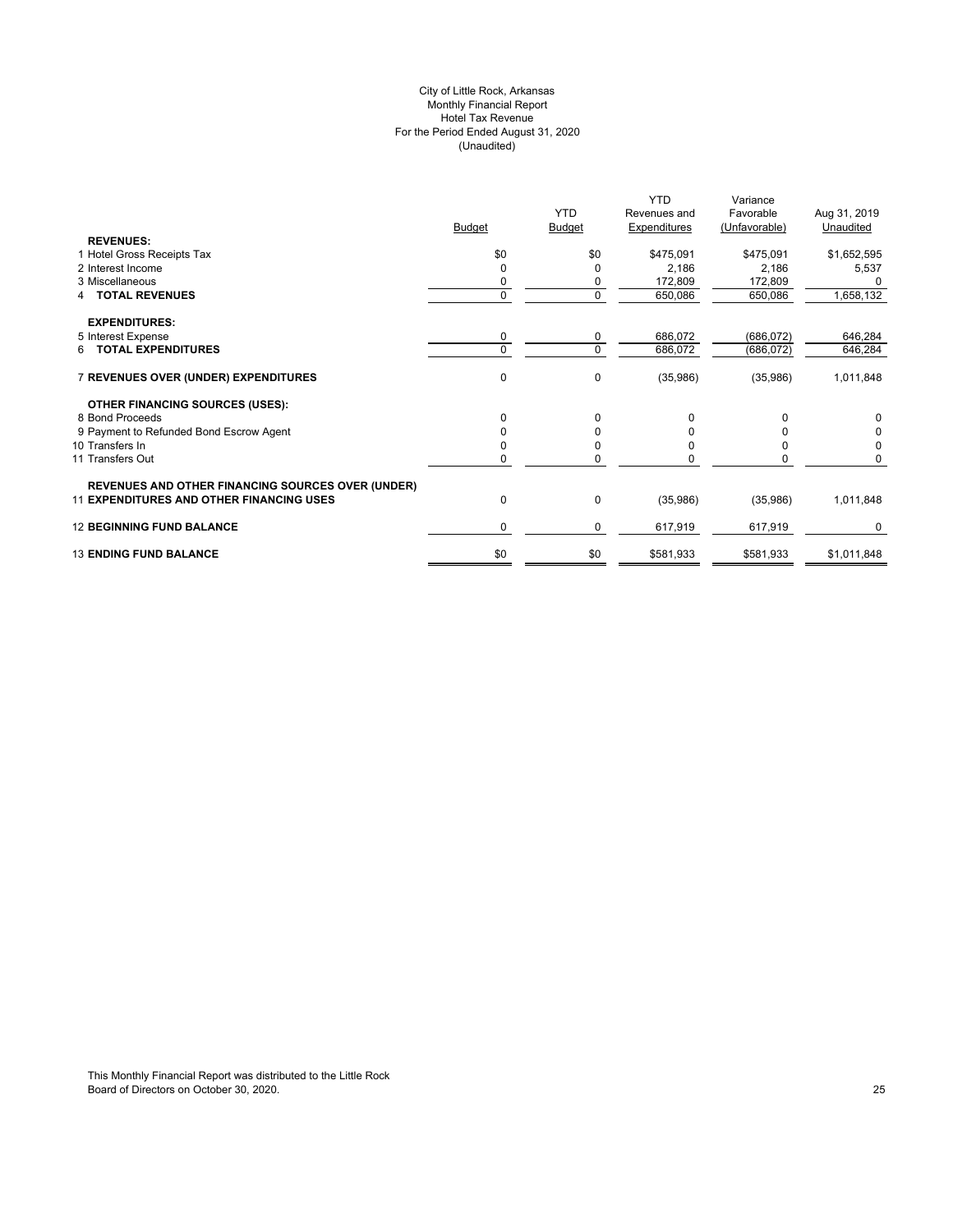## City of Little Rock, Arkansas Monthly Financial Report Hotel Tax Revenue For the Period Ended August 31, 2020 (Unaudited)

|                                                          |               |               | <b>YTD</b>   | Variance      |              |
|----------------------------------------------------------|---------------|---------------|--------------|---------------|--------------|
|                                                          |               | <b>YTD</b>    | Revenues and | Favorable     | Aug 31, 2019 |
|                                                          | <b>Budget</b> | <b>Budget</b> | Expenditures | (Unfavorable) | Unaudited    |
| <b>REVENUES:</b>                                         |               |               |              |               |              |
| 1 Hotel Gross Receipts Tax                               | \$0           | \$0           | \$475,091    | \$475,091     | \$1,652,595  |
| 2 Interest Income                                        | $\Omega$      |               | 2,186        | 2,186         | 5,537        |
| 3 Miscellaneous                                          | 0             |               | 172,809      | 172,809       |              |
| <b>TOTAL REVENUES</b>                                    | $\mathbf 0$   | 0             | 650,086      | 650,086       | 1,658,132    |
| <b>EXPENDITURES:</b>                                     |               |               |              |               |              |
| 5 Interest Expense                                       | 0             | 0             | 686,072      | (686, 072)    | 646,284      |
| 6 TOTAL EXPENDITURES                                     | $\Omega$      | $\Omega$      | 686,072      | (686, 072)    | 646,284      |
|                                                          |               |               |              |               |              |
| 7 REVENUES OVER (UNDER) EXPENDITURES                     | $\mathbf 0$   | 0             | (35,986)     | (35,986)      | 1,011,848    |
|                                                          |               |               |              |               |              |
| OTHER FINANCING SOURCES (USES):                          |               |               |              |               |              |
| 8 Bond Proceeds                                          | $\Omega$      | 0             | 0            | 0             | 0            |
| 9 Payment to Refunded Bond Escrow Agent                  | $\Omega$      |               |              |               |              |
| 10 Transfers In                                          | $\Omega$      |               | 0            |               | 0            |
| 11 Transfers Out                                         |               |               |              |               | O            |
|                                                          |               |               |              |               |              |
| <b>REVENUES AND OTHER FINANCING SOURCES OVER (UNDER)</b> |               |               |              |               |              |
| <b>11 EXPENDITURES AND OTHER FINANCING USES</b>          | $\mathbf 0$   | 0             | (35,986)     | (35,986)      | 1,011,848    |
| <b>12 BEGINNING FUND BALANCE</b>                         | $\Omega$      | 0             | 617,919      | 617,919       | $\Omega$     |
|                                                          |               |               |              |               |              |
| <b>13 ENDING FUND BALANCE</b>                            | \$0           | \$0           | \$581,933    | \$581,933     | \$1,011,848  |
|                                                          |               |               |              |               |              |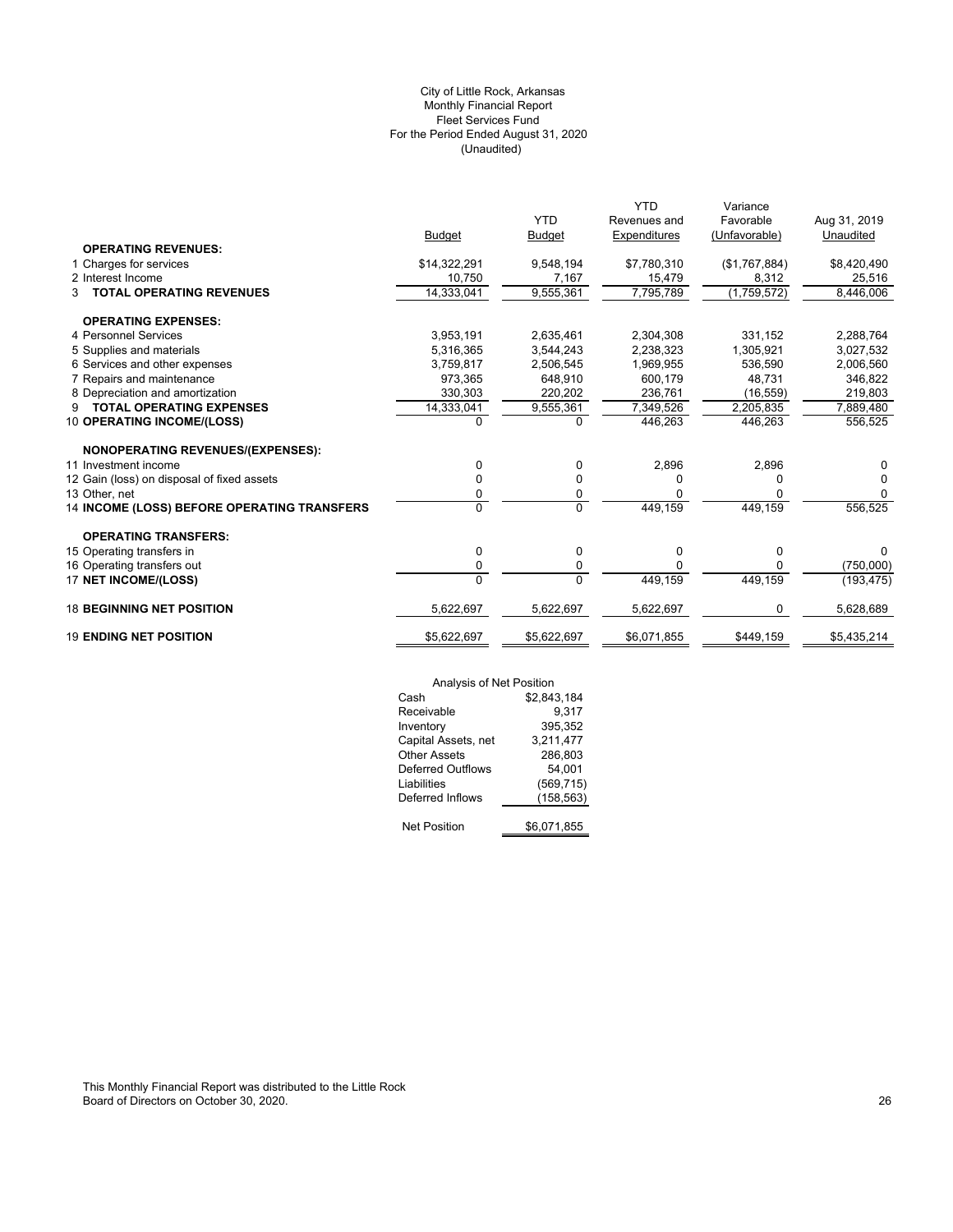## (Unaudited) City of Little Rock, Arkansas Monthly Financial Report Fleet Services Fund For the Period Ended August 31, 2020

|                                                    |               | <b>YTD</b>    | <b>YTD</b><br>Revenues and | Variance<br>Favorable | Aug 31, 2019 |
|----------------------------------------------------|---------------|---------------|----------------------------|-----------------------|--------------|
|                                                    | <b>Budget</b> | <b>Budget</b> | Expenditures               | (Unfavorable)         | Unaudited    |
| <b>OPERATING REVENUES:</b>                         |               |               |                            |                       |              |
| 1 Charges for services                             | \$14,322,291  | 9,548,194     | \$7,780,310                | (\$1,767,884)         | \$8,420,490  |
| 2 Interest Income                                  | 10,750        | 7,167         | 15,479                     | 8,312                 | 25,516       |
| <b>TOTAL OPERATING REVENUES</b><br>3               | 14,333,041    | 9,555,361     | 7,795,789                  | (1,759,572)           | 8,446,006    |
| <b>OPERATING EXPENSES:</b>                         |               |               |                            |                       |              |
| 4 Personnel Services                               | 3,953,191     | 2,635,461     | 2,304,308                  | 331,152               | 2,288,764    |
| 5 Supplies and materials                           | 5,316,365     | 3,544,243     | 2,238,323                  | 1,305,921             | 3,027,532    |
| 6 Services and other expenses                      | 3,759,817     | 2,506,545     | 1,969,955                  | 536,590               | 2,006,560    |
| 7 Repairs and maintenance                          | 973.365       | 648.910       | 600.179                    | 48.731                | 346,822      |
| 8 Depreciation and amortization                    | 330,303       | 220,202       | 236.761                    | (16, 559)             | 219,803      |
| <b>TOTAL OPERATING EXPENSES</b><br>9               | 14,333,041    | 9,555,361     | 7,349,526                  | 2,205,835             | 7,889,480    |
| 10 OPERATING INCOME/(LOSS)                         | $\Omega$      | $\Omega$      | 446,263                    | 446,263               | 556,525      |
| <b>NONOPERATING REVENUES/(EXPENSES):</b>           |               |               |                            |                       |              |
| 11 Investment income                               | 0             | 0             | 2,896                      | 2,896                 | 0            |
| 12 Gain (loss) on disposal of fixed assets         | 0             | 0             | 0                          | 0                     | 0            |
| 13 Other, net                                      | 0             | 0             | ŋ                          | 0                     | $\Omega$     |
| <b>14 INCOME (LOSS) BEFORE OPERATING TRANSFERS</b> | 0             | $\Omega$      | 449,159                    | 449,159               | 556,525      |
| <b>OPERATING TRANSFERS:</b>                        |               |               |                            |                       |              |
| 15 Operating transfers in                          | 0             | 0             | $\mathbf 0$                | 0                     | U            |
| 16 Operating transfers out                         | 0             | 0             | O                          | 0                     | (750,000)    |
| 17 NET INCOME/(LOSS)                               | $\Omega$      | $\Omega$      | 449,159                    | 449,159               | (193, 475)   |
| <b>18 BEGINNING NET POSITION</b>                   | 5,622,697     | 5,622,697     | 5,622,697                  | 0                     | 5,628,689    |
| <b>19 ENDING NET POSITION</b>                      | \$5,622,697   | \$5,622,697   | \$6,071,855                | \$449,159             | \$5,435,214  |

| Analysis of Net Position |             |
|--------------------------|-------------|
| Cash                     | \$2,843,184 |
| Receivable               | 9.317       |
| Inventory                | 395,352     |
| Capital Assets, net      | 3,211,477   |
| <b>Other Assets</b>      | 286,803     |
| <b>Deferred Outflows</b> | 54.001      |
| Liabilities              | (569, 715)  |
| Deferred Inflows         | (158,563)   |
| <b>Net Position</b>      | \$6,071,855 |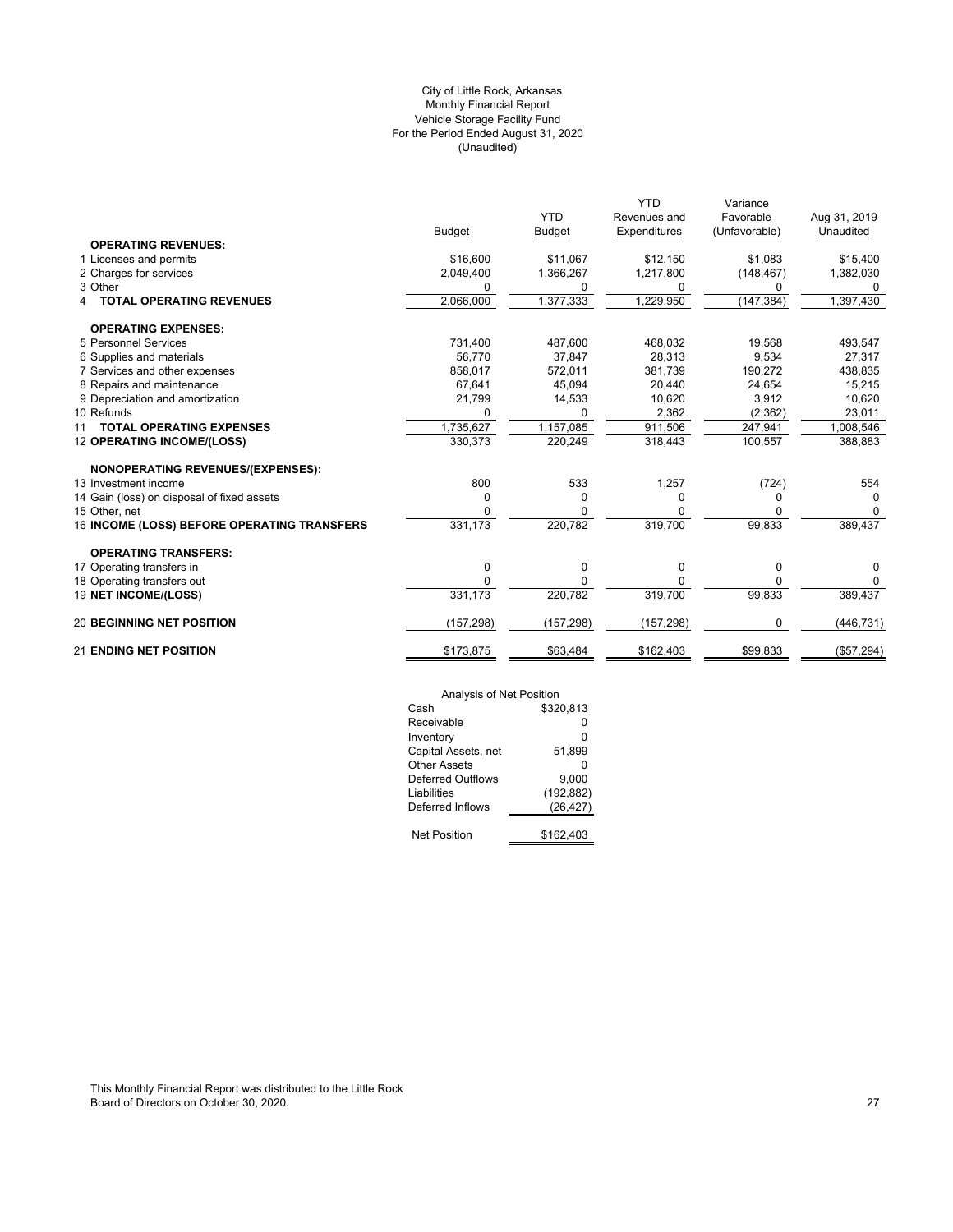## (Unaudited) City of Little Rock, Arkansas Monthly Financial Report Vehicle Storage Facility Fund For the Period Ended August 31, 2020

|                                             |               |               | <b>YTD</b>   | Variance      |              |
|---------------------------------------------|---------------|---------------|--------------|---------------|--------------|
|                                             |               | <b>YTD</b>    | Revenues and | Favorable     | Aug 31, 2019 |
|                                             | <b>Budget</b> | <b>Budget</b> | Expenditures | (Unfavorable) | Unaudited    |
| <b>OPERATING REVENUES:</b>                  |               |               |              |               |              |
| 1 Licenses and permits                      | \$16,600      | \$11,067      | \$12,150     | \$1,083       | \$15,400     |
| 2 Charges for services                      | 2,049,400     | 1,366,267     | 1,217,800    | (148, 467)    | 1,382,030    |
| 3 Other                                     | 0             | 0             | 0            | 0             | 0            |
| <b>TOTAL OPERATING REVENUES</b>             | 2,066,000     | 1,377,333     | 1,229,950    | (147, 384)    | 1,397,430    |
| <b>OPERATING EXPENSES:</b>                  |               |               |              |               |              |
| 5 Personnel Services                        | 731,400       | 487,600       | 468,032      | 19,568        | 493,547      |
| 6 Supplies and materials                    | 56.770        | 37,847        | 28,313       | 9,534         | 27,317       |
| 7 Services and other expenses               | 858.017       | 572,011       | 381,739      | 190,272       | 438,835      |
| 8 Repairs and maintenance                   | 67,641        | 45,094        | 20,440       | 24,654        | 15,215       |
| 9 Depreciation and amortization             | 21,799        | 14,533        | 10,620       | 3,912         | 10,620       |
| 10 Refunds                                  |               | <sup>0</sup>  | 2,362        | (2, 362)      | 23,011       |
| <b>TOTAL OPERATING EXPENSES</b><br>11       | 1,735,627     | 1,157,085     | 911,506      | 247,941       | 1,008,546    |
| <b>12 OPERATING INCOME/(LOSS)</b>           | 330,373       | 220,249       | 318,443      | 100,557       | 388,883      |
| <b>NONOPERATING REVENUES/(EXPENSES):</b>    |               |               |              |               |              |
| 13 Investment income                        | 800           | 533           | 1,257        | (724)         | 554          |
| 14 Gain (loss) on disposal of fixed assets  | 0             | 0             | 0            | O             |              |
| 15 Other, net                               | O             | <sup>0</sup>  |              |               | $\Omega$     |
| 16 INCOME (LOSS) BEFORE OPERATING TRANSFERS | 331,173       | 220,782       | 319,700      | 99,833        | 389,437      |
| <b>OPERATING TRANSFERS:</b>                 |               |               |              |               |              |
| 17 Operating transfers in                   | 0             | 0             | 0            | 0             | 0            |
| 18 Operating transfers out                  | $\Omega$      | 0             | <sup>0</sup> | <sup>0</sup>  | $\Omega$     |
| 19 NET INCOME/(LOSS)                        | 331,173       | 220,782       | 319,700      | 99,833        | 389,437      |
| <b>20 BEGINNING NET POSITION</b>            | (157, 298)    | (157, 298)    | (157, 298)   | $\Omega$      | (446, 731)   |
| <b>21 ENDING NET POSITION</b>               | \$173,875     | \$63,484      | \$162,403    | \$99.833      | (\$57,294)   |

| Analysis of Net Position |            |
|--------------------------|------------|
| Cash                     | \$320.813  |
| Receivable               | ŋ          |
| Inventory                | 0          |
| Capital Assets, net      | 51.899     |
| Other Assets             | ŋ          |
| Deferred Outflows        | 9,000      |
| Liabilities              | (192, 882) |
| Deferred Inflows         | (26, 427)  |
|                          |            |
| <b>Net Position</b>      | \$162.403  |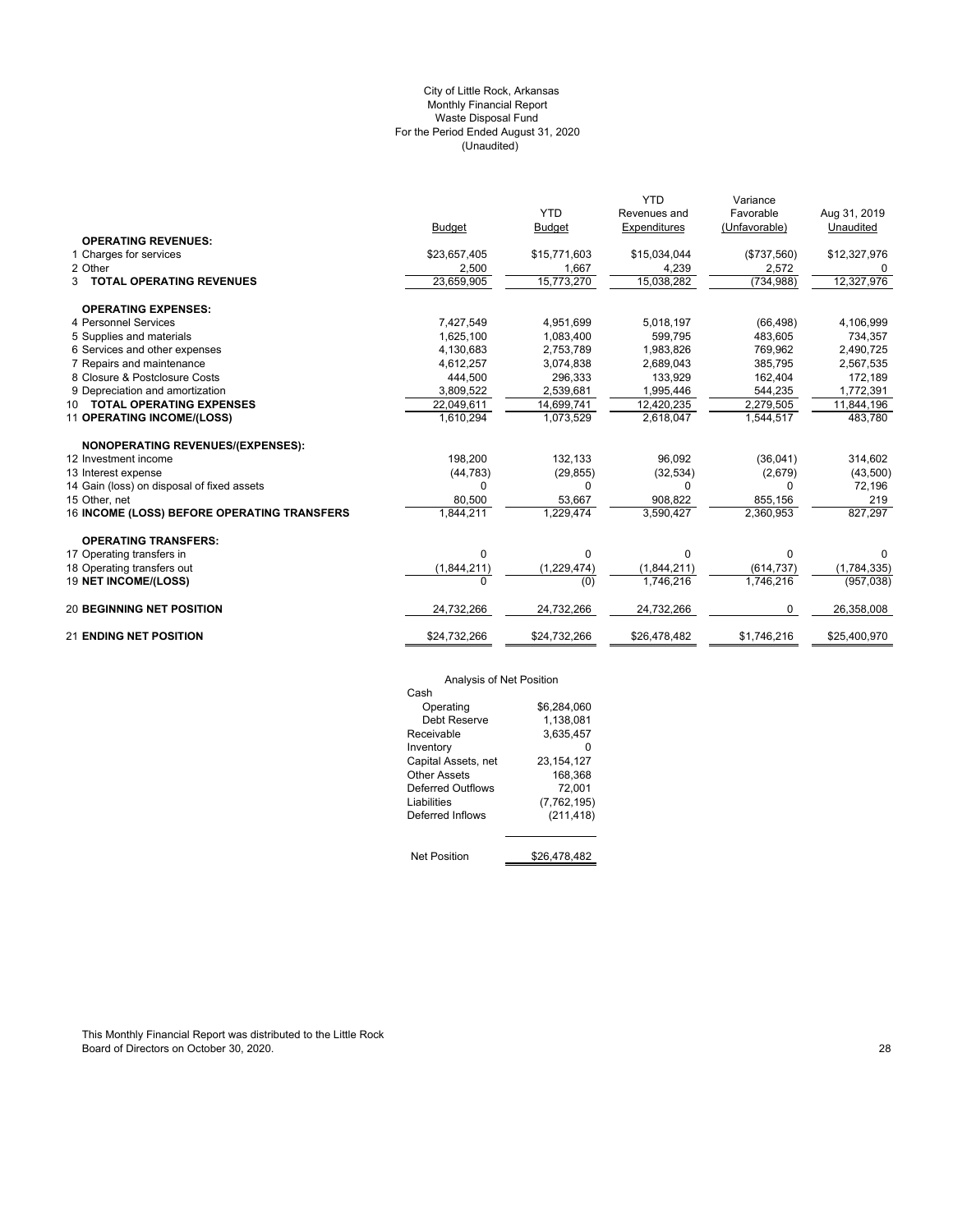## (Unaudited) City of Little Rock, Arkansas Monthly Financial Report Waste Disposal Fund For the Period Ended August 31, 2020

|                                             |               |               | <b>YTD</b>          | Variance      |              |
|---------------------------------------------|---------------|---------------|---------------------|---------------|--------------|
|                                             |               | <b>YTD</b>    | Revenues and        | Favorable     | Aug 31, 2019 |
|                                             | <b>Budget</b> | <b>Budget</b> | <b>Expenditures</b> | (Unfavorable) | Unaudited    |
| <b>OPERATING REVENUES:</b>                  |               |               |                     |               |              |
| 1 Charges for services                      | \$23,657,405  | \$15,771,603  | \$15,034,044        | (\$737,560)   | \$12,327,976 |
| 2 Other                                     | 2,500         | 1,667         | 4,239               | 2,572         | 0            |
| <b>3 TOTAL OPERATING REVENUES</b>           | 23,659,905    | 15,773,270    | 15,038,282          | (734, 988)    | 12,327,976   |
| <b>OPERATING EXPENSES:</b>                  |               |               |                     |               |              |
| 4 Personnel Services                        | 7,427,549     | 4,951,699     | 5,018,197           | (66, 498)     | 4,106,999    |
| 5 Supplies and materials                    | 1,625,100     | 1,083,400     | 599,795             | 483,605       | 734,357      |
| 6 Services and other expenses               | 4,130,683     | 2,753,789     | 1,983,826           | 769,962       | 2,490,725    |
| 7 Repairs and maintenance                   | 4,612,257     | 3,074,838     | 2,689,043           | 385,795       | 2,567,535    |
| 8 Closure & Postclosure Costs               | 444,500       | 296,333       | 133,929             | 162,404       | 172,189      |
| 9 Depreciation and amortization             | 3,809,522     | 2,539,681     | 1,995,446           | 544,235       | 1,772,391    |
| 10 TOTAL OPERATING EXPENSES                 | 22,049,611    | 14,699,741    | 12,420,235          | 2,279,505     | 11,844,196   |
| 11 OPERATING INCOME/(LOSS)                  | 1,610,294     | 1,073,529     | 2,618,047           | 1,544,517     | 483,780      |
| NONOPERATING REVENUES/(EXPENSES):           |               |               |                     |               |              |
| 12 Investment income                        | 198,200       | 132,133       | 96,092              | (36,041)      | 314,602      |
| 13 Interest expense                         | (44, 783)     | (29, 855)     | (32, 534)           | (2,679)       | (43,500)     |
| 14 Gain (loss) on disposal of fixed assets  | $\Omega$      | 0             | 0                   | 0             | 72,196       |
| 15 Other, net                               | 80,500        | 53,667        | 908,822             | 855,156       | 219          |
| 16 INCOME (LOSS) BEFORE OPERATING TRANSFERS | 1,844,211     | 1.229.474     | 3,590,427           | 2,360,953     | 827,297      |
| <b>OPERATING TRANSFERS:</b>                 |               |               |                     |               |              |
| 17 Operating transfers in                   | $\Omega$      | 0             | $\Omega$            | 0             | 0            |
| 18 Operating transfers out                  | (1,844,211)   | (1, 229, 474) | (1,844,211)         | (614, 737)    | (1,784,335)  |
| 19 NET INCOME/(LOSS)                        | $\Omega$      | (0)           | 1,746,216           | 1,746,216     | (957, 038)   |
| <b>20 BEGINNING NET POSITION</b>            | 24,732,266    | 24,732,266    | 24,732,266          | 0             | 26,358,008   |
| <b>21 ENDING NET POSITION</b>               | \$24,732,266  | \$24,732,266  | \$26,478,482        | \$1,746,216   | \$25,400,970 |

Analysis of Net Position

| Analysis of Net Position |              |  |  |  |  |
|--------------------------|--------------|--|--|--|--|
| Cash                     |              |  |  |  |  |
| Operating                | \$6.284.060  |  |  |  |  |
| Debt Reserve             | 1.138.081    |  |  |  |  |
| Receivable               | 3.635.457    |  |  |  |  |
| Inventory                |              |  |  |  |  |
| Capital Assets, net      | 23.154.127   |  |  |  |  |
| Other Assets             | 168.368      |  |  |  |  |
| Deferred Outflows        | 72.001       |  |  |  |  |
| Liabilities              | (7,762,195)  |  |  |  |  |
| Deferred Inflows         | (211, 418)   |  |  |  |  |
|                          |              |  |  |  |  |
| <b>Net Position</b>      | \$26.478.482 |  |  |  |  |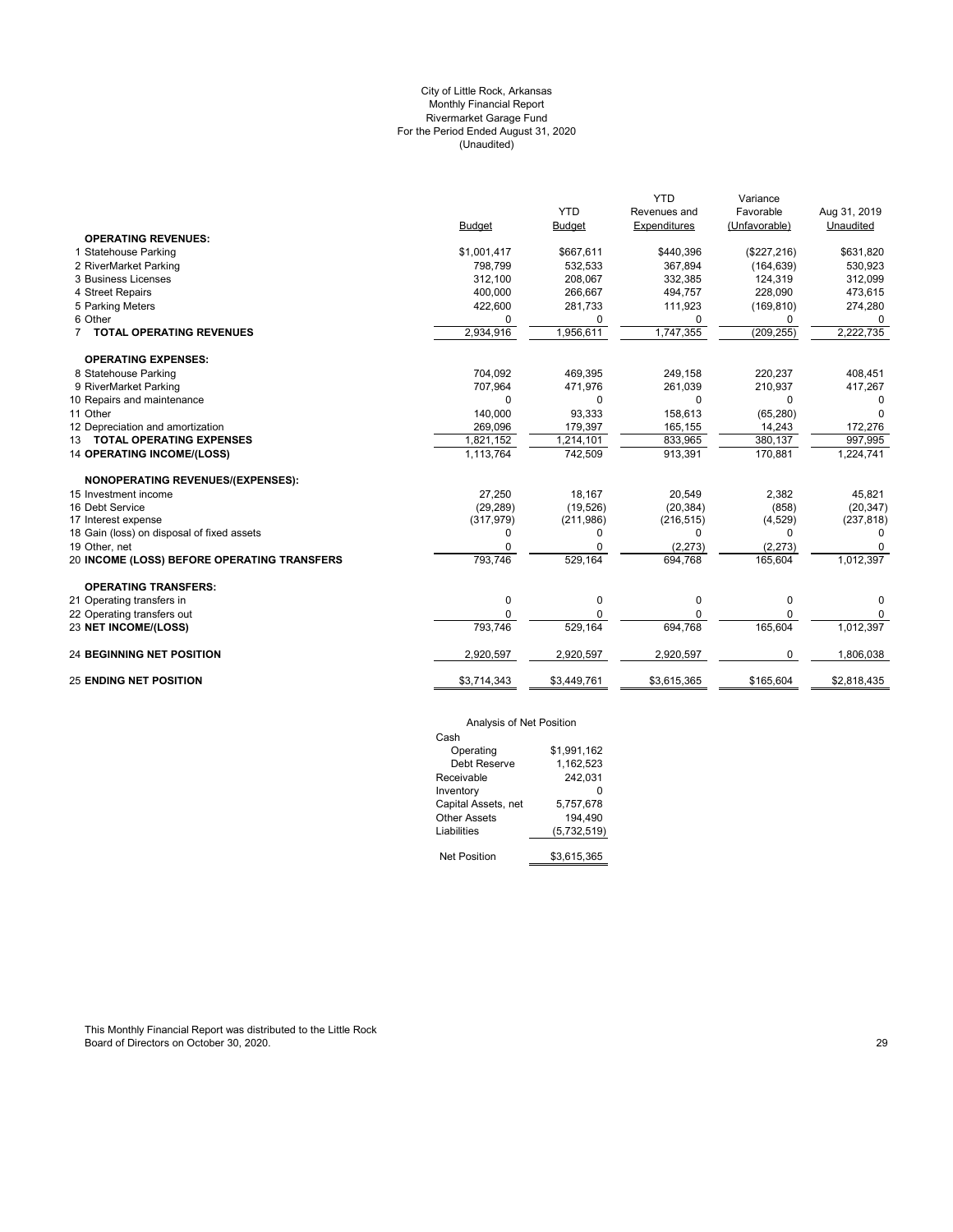## (Unaudited) City of Little Rock, Arkansas Monthly Financial Report Rivermarket Garage Fund For the Period Ended August 31, 2020

|                                             |               |               | <b>YTD</b>   | Variance      |              |
|---------------------------------------------|---------------|---------------|--------------|---------------|--------------|
|                                             |               | <b>YTD</b>    | Revenues and | Favorable     | Aug 31, 2019 |
|                                             | <b>Budget</b> | <b>Budget</b> | Expenditures | (Unfavorable) | Unaudited    |
| <b>OPERATING REVENUES:</b>                  |               |               |              |               |              |
| 1 Statehouse Parking                        | \$1,001,417   | \$667,611     | \$440,396    | (\$227,216)   | \$631,820    |
| 2 RiverMarket Parking                       | 798,799       | 532,533       | 367,894      | (164, 639)    | 530,923      |
| 3 Business Licenses                         | 312.100       | 208.067       | 332,385      | 124,319       | 312,099      |
| 4 Street Repairs                            | 400,000       | 266,667       | 494.757      | 228,090       | 473,615      |
| 5 Parking Meters                            | 422,600       | 281,733       | 111,923      | (169, 810)    | 274,280      |
| 6 Other                                     | $\Omega$      | 0             | $\Omega$     | $\Omega$      | $\Omega$     |
| 7 TOTAL OPERATING REVENUES                  | 2,934,916     | 1,956,611     | 1,747,355    | (209, 255)    | 2,222,735    |
| <b>OPERATING EXPENSES:</b>                  |               |               |              |               |              |
| 8 Statehouse Parking                        | 704.092       | 469,395       | 249,158      | 220,237       | 408,451      |
| 9 RiverMarket Parking                       | 707,964       | 471,976       | 261,039      | 210,937       | 417,267      |
| 10 Repairs and maintenance                  | $\Omega$      | 0             | 0            | $\Omega$      | $\Omega$     |
| 11 Other                                    | 140.000       | 93.333        | 158.613      | (65, 280)     | $\Omega$     |
| 12 Depreciation and amortization            | 269,096       | 179,397       | 165,155      | 14,243        | 172,276      |
| 13 TOTAL OPERATING EXPENSES                 | 1,821,152     | 1,214,101     | 833,965      | 380,137       | 997,995      |
| <b>14 OPERATING INCOME/(LOSS)</b>           | 1,113,764     | 742,509       | 913,391      | 170,881       | 1,224,741    |
| NONOPERATING REVENUES/(EXPENSES):           |               |               |              |               |              |
| 15 Investment income                        | 27,250        | 18,167        | 20,549       | 2,382         | 45,821       |
| 16 Debt Service                             | (29, 289)     | (19,526)      | (20, 384)    | (858)         | (20, 347)    |
| 17 Interest expense                         | (317, 979)    | (211,986)     | (216, 515)   | (4, 529)      | (237, 818)   |
| 18 Gain (loss) on disposal of fixed assets  | 0             | 0             | 0            | 0             | $\Omega$     |
| 19 Other, net                               | $\Omega$      | 0             | (2, 273)     | (2, 273)      |              |
| 20 INCOME (LOSS) BEFORE OPERATING TRANSFERS | 793,746       | 529,164       | 694,768      | 165,604       | 1,012,397    |
| <b>OPERATING TRANSFERS:</b>                 |               |               |              |               |              |
| 21 Operating transfers in                   | 0             | 0             | 0            | 0             | 0            |
| 22 Operating transfers out                  | $\Omega$      | 0             | 0            | $\mathbf 0$   | 0            |
| 23 NET INCOME/(LOSS)                        | 793,746       | 529,164       | 694,768      | 165,604       | 1,012,397    |
| <b>24 BEGINNING NET POSITION</b>            | 2,920,597     | 2,920,597     | 2,920,597    | 0             | 1,806,038    |
| <b>25 ENDING NET POSITION</b>               | \$3,714,343   | \$3,449,761   | \$3,615,365  | \$165,604     | \$2,818,435  |
|                                             |               |               |              |               |              |

## Analysis of Net Position

| Cash                |             |
|---------------------|-------------|
| Operating           | \$1.991.162 |
| Debt Reserve        | 1.162.523   |
| Receivable          | 242.031     |
| Inventory           |             |
| Capital Assets, net | 5,757,678   |
| <b>Other Assets</b> | 194.490     |
| Liabilities         | (5,732,519) |
|                     |             |
| <b>Net Position</b> | \$3.615.365 |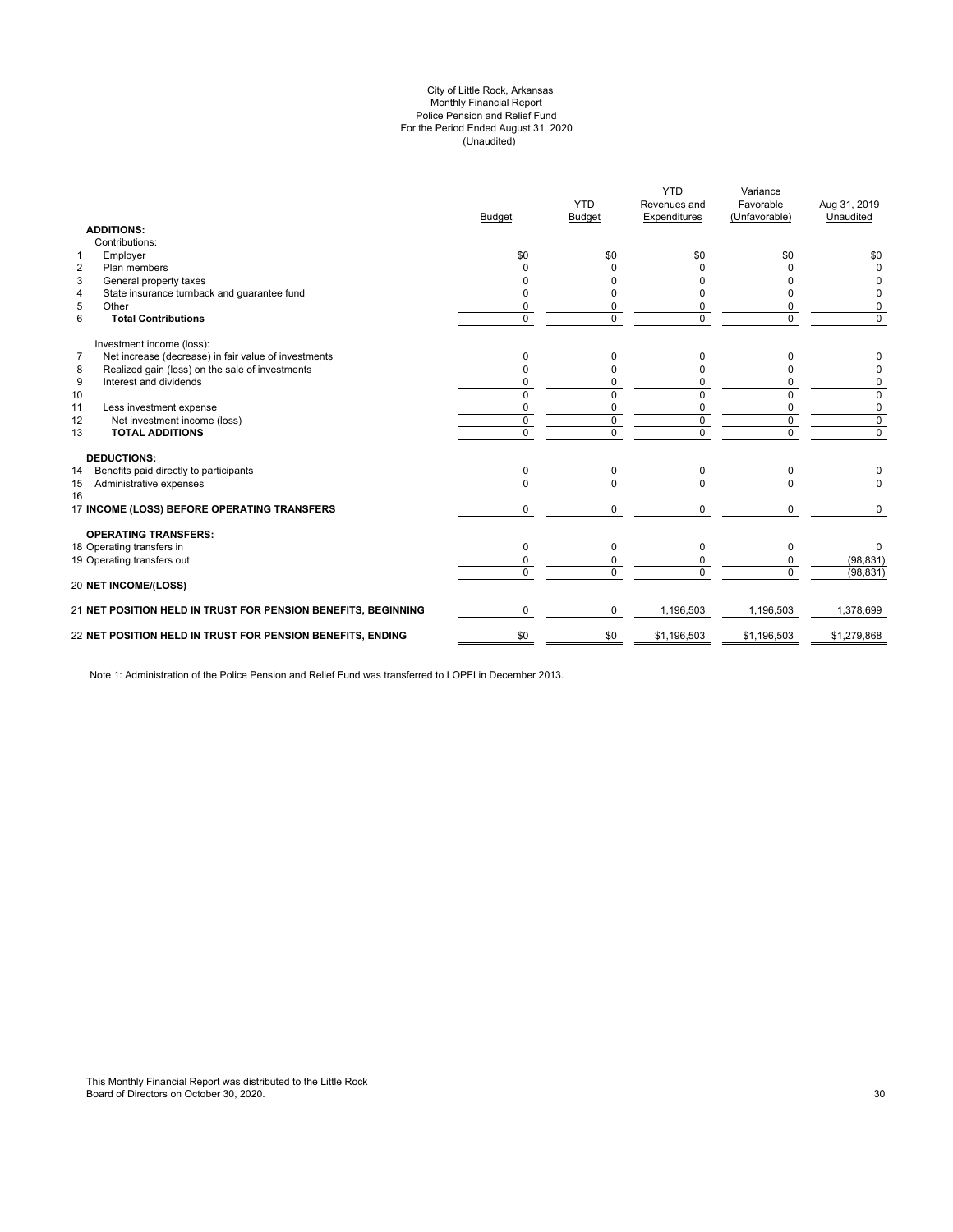#### (Unaudited) City of Little Rock, Arkansas Monthly Financial Report Police Pension and Relief Fund For the Period Ended August 31, 2020

|                | <b>ADDITIONS:</b>                                             | <b>Budget</b>  | <b>YTD</b><br><b>Budget</b> | <b>YTD</b><br>Revenues and<br>Expenditures | Variance<br>Favorable<br>(Unfavorable) | Aug 31, 2019<br>Unaudited |
|----------------|---------------------------------------------------------------|----------------|-----------------------------|--------------------------------------------|----------------------------------------|---------------------------|
|                | Contributions:                                                |                |                             |                                            |                                        |                           |
| $\mathbf{1}$   | Employer                                                      | \$0            | \$0                         | \$0                                        | \$0                                    | \$0                       |
| $\overline{2}$ | Plan members                                                  | <sup>0</sup>   | $\Omega$                    | ŋ                                          | n                                      | $\Omega$                  |
| 3              | General property taxes                                        | n              | U                           | U                                          | n                                      | 0                         |
| 4              | State insurance turnback and guarantee fund                   | <sup>0</sup>   | 0                           |                                            | 0                                      | 0                         |
| 5              | Other                                                         | 0              | 0                           |                                            | 0                                      | 0                         |
| 6              | <b>Total Contributions</b>                                    | $\Omega$       | $\Omega$                    | $\Omega$                                   | 0                                      | $\Omega$                  |
|                | Investment income (loss):                                     |                |                             |                                            |                                        |                           |
| $\overline{7}$ | Net increase (decrease) in fair value of investments          | $\Omega$       | 0                           | <sup>0</sup>                               | n                                      | 0                         |
| 8              | Realized gain (loss) on the sale of investments               | $\Omega$       | 0                           |                                            | O                                      | 0                         |
| 9              | Interest and dividends                                        | $\Omega$       | 0                           | 0                                          | 0                                      | 0                         |
| 10             |                                                               | $\Omega$       | 0                           | $\Omega$                                   | 0                                      | 0                         |
| 11             | Less investment expense                                       | 0              | 0                           | 0                                          | 0                                      | 0                         |
| 12             | Net investment income (loss)                                  | $\mathbf 0$    | $\mathbf 0$                 | $\mathbf 0$                                | $\mathbf 0$                            | $\mathbf 0$               |
| 13             | <b>TOTAL ADDITIONS</b>                                        | $\overline{0}$ | $\overline{0}$              | $\overline{0}$                             | 0                                      | $\overline{0}$            |
|                | <b>DEDUCTIONS:</b>                                            |                |                             |                                            |                                        |                           |
| 14             | Benefits paid directly to participants                        | $\Omega$       | $\Omega$                    | $\Omega$                                   | 0                                      |                           |
| 15<br>16       | Administrative expenses                                       | $\Omega$       | $\Omega$                    | $\Omega$                                   | 0                                      | $\Omega$                  |
|                | 17 INCOME (LOSS) BEFORE OPERATING TRANSFERS                   | $\mathbf 0$    | $\Omega$                    | $\Omega$                                   | $\Omega$                               | $\Omega$                  |
|                | <b>OPERATING TRANSFERS:</b>                                   |                |                             |                                            |                                        |                           |
|                | 18 Operating transfers in                                     | $\Omega$       | $\Omega$                    | 0                                          | 0                                      | $\Omega$                  |
|                | 19 Operating transfers out                                    | 0              | 0                           |                                            | 0                                      | (98, 831)                 |
|                | 20 NET INCOME/(LOSS)                                          | $\Omega$       | $\Omega$                    | $\Omega$                                   | $\Omega$                               | (98, 831)                 |
|                | 21 NET POSITION HELD IN TRUST FOR PENSION BENEFITS, BEGINNING | $\Omega$       | 0                           | 1,196,503                                  | 1,196,503                              | 1,378,699                 |
|                | 22 NET POSITION HELD IN TRUST FOR PENSION BENEFITS, ENDING    | \$0            | \$0                         | \$1,196,503                                | \$1,196,503                            | \$1,279,868               |
|                |                                                               |                |                             |                                            |                                        |                           |

Note 1: Administration of the Police Pension and Relief Fund was transferred to LOPFI in December 2013.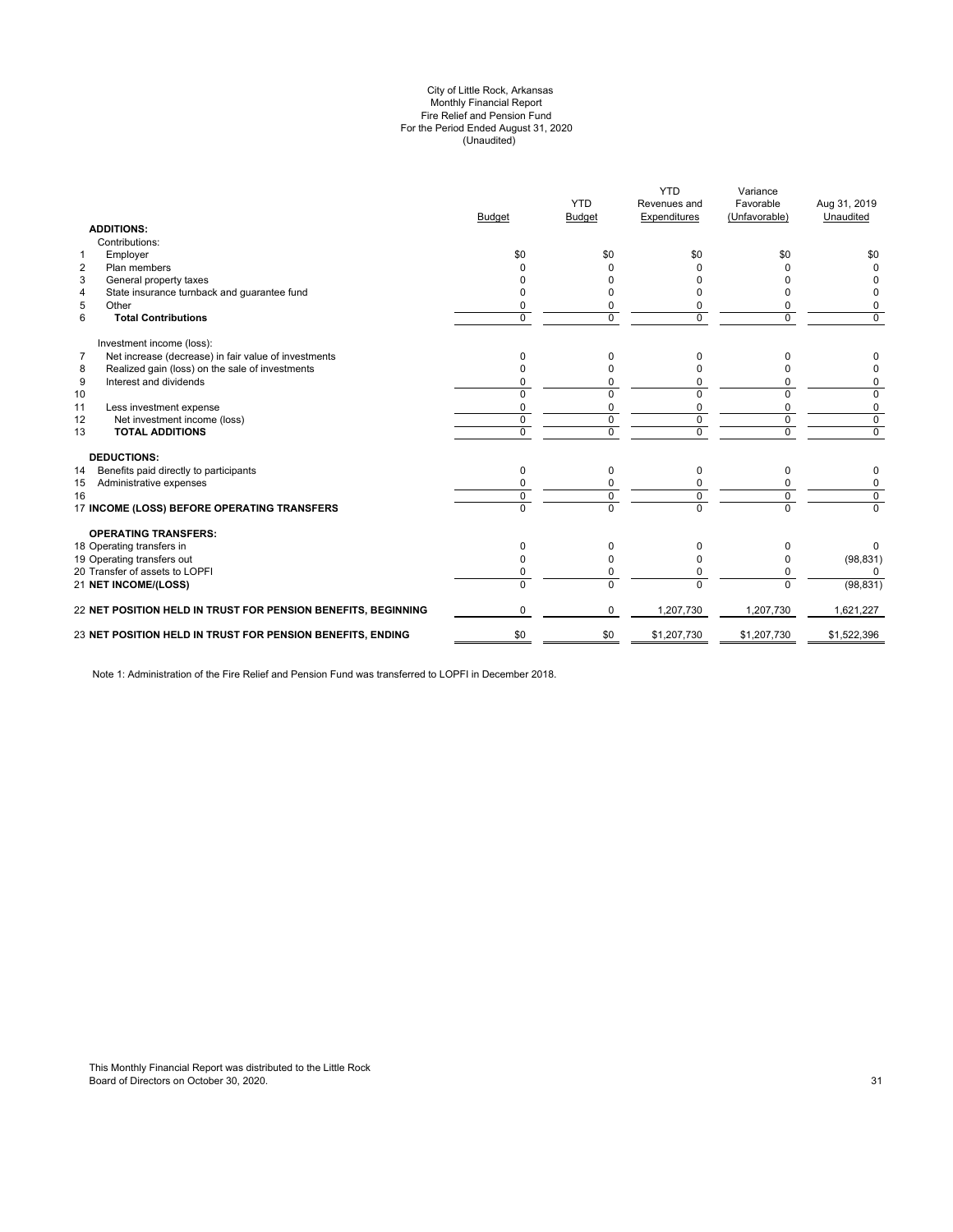#### (Unaudited) City of Little Rock, Arkansas Monthly Financial Report Fire Relief and Pension Fund For the Period Ended August 31, 2020

| <b>ADDITIONS:</b>                                                      | <b>Budget</b> | <b>YTD</b><br><b>Budget</b> | <b>YTD</b><br>Revenues and<br>Expenditures | Variance<br>Favorable<br>(Unfavorable) | Aug 31, 2019<br>Unaudited |
|------------------------------------------------------------------------|---------------|-----------------------------|--------------------------------------------|----------------------------------------|---------------------------|
| Contributions:                                                         |               |                             |                                            |                                        |                           |
| Employer<br>$\mathbf{1}$                                               | \$0           | \$0                         | \$0                                        | \$0                                    | \$0                       |
| $\overline{2}$<br>Plan members                                         |               |                             | <sup>0</sup>                               | U                                      | $\Omega$                  |
| 3<br>General property taxes                                            |               |                             |                                            |                                        |                           |
| State insurance turnback and guarantee fund<br>4                       |               |                             |                                            | o                                      | 0                         |
| 5<br>Other                                                             |               | 0                           | 0                                          | 0                                      | 0                         |
| 6<br><b>Total Contributions</b>                                        | $\Omega$      | $\Omega$                    | $\Omega$                                   | $\Omega$                               | $\mathbf 0$               |
| Investment income (loss):                                              |               |                             |                                            |                                        |                           |
| $\overline{7}$<br>Net increase (decrease) in fair value of investments | $\Omega$      | 0                           | 0                                          | U                                      | 0                         |
| Realized gain (loss) on the sale of investments<br>8                   |               | O                           |                                            |                                        | 0                         |
| 9<br>Interest and dividends                                            | $\Omega$      | 0                           | 0                                          | 0                                      | 0                         |
| 10                                                                     | $\Omega$      | $\Omega$                    | $\Omega$                                   | $\Omega$                               | $\overline{0}$            |
| 11<br>Less investment expense                                          | $\Omega$      | 0                           | $\Omega$                                   | $\Omega$                               | 0                         |
| 12<br>Net investment income (loss)                                     | $\mathbf 0$   | 0                           | 0                                          | $\mathbf 0$                            | $\mathbf 0$               |
| <b>TOTAL ADDITIONS</b><br>13                                           | $\Omega$      | $\Omega$                    | $\Omega$                                   | $\Omega$                               | $\mathbf 0$               |
| <b>DEDUCTIONS:</b>                                                     |               |                             |                                            |                                        |                           |
| Benefits paid directly to participants<br>14                           | $\mathbf 0$   | 0                           | 0                                          | 0                                      | 0                         |
| Administrative expenses<br>15                                          |               |                             | $\Omega$                                   | 0                                      | 0                         |
| 16                                                                     | $\Omega$      | 0                           | $\Omega$                                   | $\mathbf 0$                            | 0                         |
| 17 INCOME (LOSS) BEFORE OPERATING TRANSFERS                            | $\Omega$      | $\overline{0}$              | $\Omega$                                   | $\overline{0}$                         | $\overline{0}$            |
| <b>OPERATING TRANSFERS:</b>                                            |               |                             |                                            |                                        |                           |
| 18 Operating transfers in                                              | $\Omega$      | 0                           | 0                                          | 0                                      | 0                         |
| 19 Operating transfers out                                             | <sup>0</sup>  | O                           | <sup>0</sup>                               | 0                                      | (98, 831)                 |
| 20 Transfer of assets to LOPFI                                         | $\Omega$      | 0                           | $\Omega$                                   | $\Omega$                               | $\Omega$                  |
| 21 NET INCOME/(LOSS)                                                   | $\Omega$      | $\Omega$                    | $\Omega$                                   | $\Omega$                               | (98, 831)                 |
| 22 NET POSITION HELD IN TRUST FOR PENSION BENEFITS, BEGINNING          | $\Omega$      | $\Omega$                    | 1,207,730                                  | 1,207,730                              | 1,621,227                 |
| 23 NET POSITION HELD IN TRUST FOR PENSION BENEFITS, ENDING             | \$0           | \$0                         | \$1,207,730                                | \$1,207,730                            | \$1,522,396               |
|                                                                        |               |                             |                                            |                                        |                           |

Note 1: Administration of the Fire Relief and Pension Fund was transferred to LOPFI in December 2018.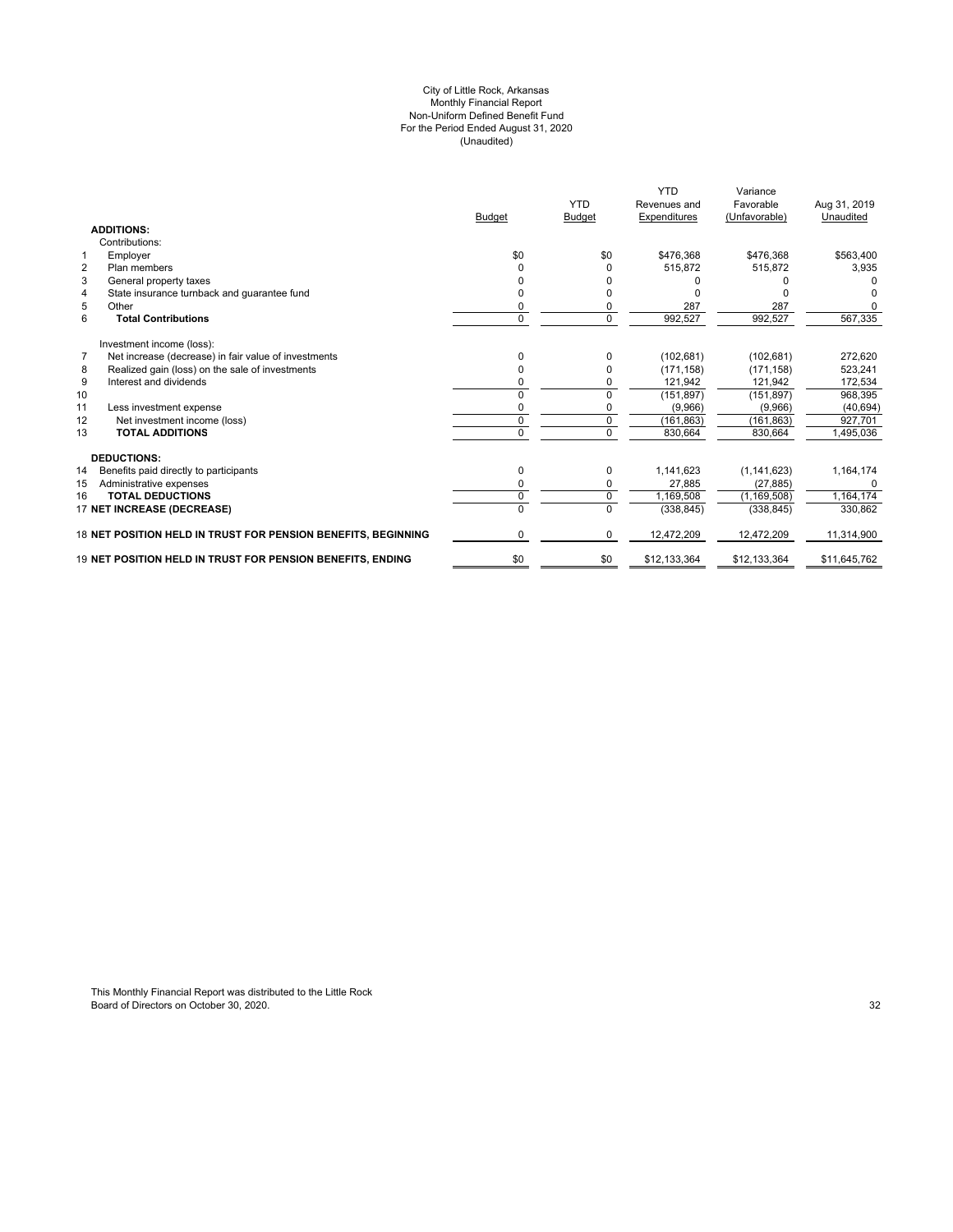#### (Unaudited) For the Period Ended August 31, 2020 City of Little Rock, Arkansas Monthly Financial Report Non-Uniform Defined Benefit Fund

|                                                               | <b>Budget</b> | <b>YTD</b><br><b>Budget</b> | <b>YTD</b><br>Revenues and<br>Expenditures | Variance<br>Favorable<br>(Unfavorable) | Aug 31, 2019<br>Unaudited |
|---------------------------------------------------------------|---------------|-----------------------------|--------------------------------------------|----------------------------------------|---------------------------|
| <b>ADDITIONS:</b>                                             |               |                             |                                            |                                        |                           |
| Contributions:                                                |               |                             |                                            |                                        |                           |
| $\mathbf 1$<br>Employer                                       | \$0           | \$0                         | \$476,368                                  | \$476,368                              | \$563,400                 |
| $\overline{2}$<br>Plan members                                |               | 0                           | 515.872                                    | 515.872                                | 3,935                     |
| 3<br>General property taxes                                   |               |                             |                                            |                                        |                           |
| State insurance turnback and guarantee fund<br>4              |               |                             |                                            |                                        |                           |
| 5<br>Other                                                    |               | 0                           | 287                                        | 287                                    |                           |
| 6<br><b>Total Contributions</b>                               | 0             | $\mathbf 0$                 | 992,527                                    | 992,527                                | 567,335                   |
| Investment income (loss):                                     |               |                             |                                            |                                        |                           |
| 7<br>Net increase (decrease) in fair value of investments     | 0             | $\Omega$                    | (102, 681)                                 | (102, 681)                             | 272,620                   |
| Realized gain (loss) on the sale of investments<br>8          |               | $\Omega$                    | (171.158)                                  | (171, 158)                             | 523,241                   |
| 9<br>Interest and dividends                                   | 0             | 0                           | 121,942                                    | 121,942                                | 172,534                   |
| 10                                                            | U             | 0                           | (151, 897)                                 | (151, 897)                             | 968,395                   |
| 11<br>Less investment expense                                 | ŋ             | 0                           | (9,966)                                    | (9,966)                                | (40, 694)                 |
| 12<br>Net investment income (loss)                            | $\Omega$      | $\mathbf 0$                 | (161, 863)                                 | (161, 863)                             | 927,701                   |
| <b>TOTAL ADDITIONS</b><br>13                                  | $\Omega$      | $\Omega$                    | 830,664                                    | 830,664                                | ,495,036                  |
| <b>DEDUCTIONS:</b>                                            |               |                             |                                            |                                        |                           |
| 14<br>Benefits paid directly to participants                  | 0             | 0                           | 1,141,623                                  | (1, 141, 623)                          | 1,164,174                 |
| Administrative expenses<br>15                                 | 0             | 0                           | 27,885                                     | (27, 885)                              | <sup>0</sup>              |
| <b>TOTAL DEDUCTIONS</b><br>16                                 | 0             | $\overline{0}$              | 1,169,508                                  | (1, 169, 508)                          | 1,164,174                 |
| 17 NET INCREASE (DECREASE)                                    | $\Omega$      | $\Omega$                    | (338, 845)                                 | (338, 845)                             | 330,862                   |
| 18 NET POSITION HELD IN TRUST FOR PENSION BENEFITS. BEGINNING | 0             | $\Omega$                    | 12,472,209                                 | 12,472,209                             | 11,314,900                |
| 19 NET POSITION HELD IN TRUST FOR PENSION BENEFITS. ENDING    | \$0           | \$0                         | \$12,133,364                               | \$12,133,364                           | \$11,645,762              |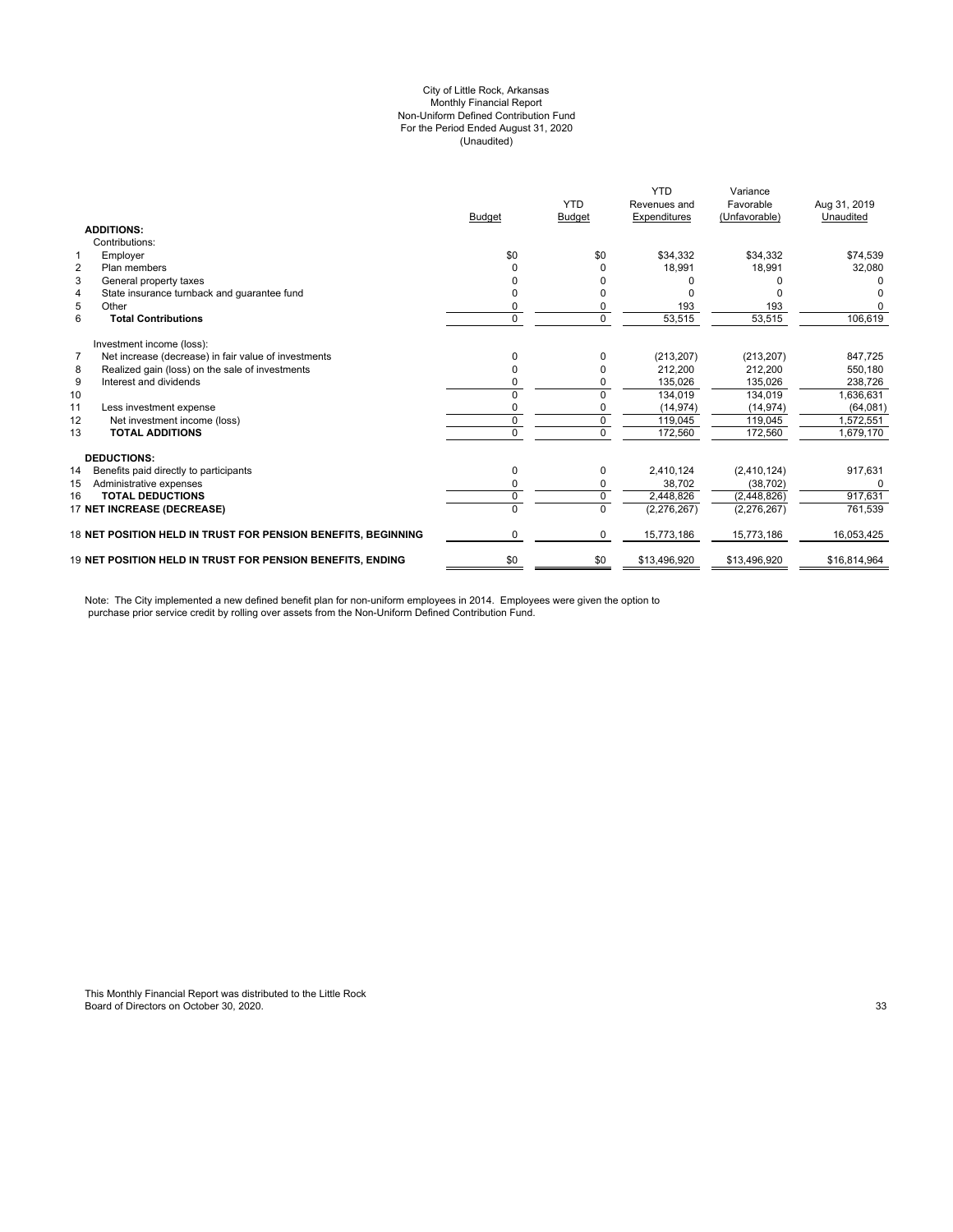#### City of Little Rock, Arkansas (Unaudited) For the Period Ended August 31, 2020 Non-Uniform Defined Contribution Fund Monthly Financial Report

|                |                                                                   | <b>Budget</b> | <b>YTD</b><br><b>Budget</b> | <b>YTD</b><br>Revenues and<br>Expenditures | Variance<br>Favorable<br>(Unfavorable) | Aug 31, 2019<br>Unaudited |
|----------------|-------------------------------------------------------------------|---------------|-----------------------------|--------------------------------------------|----------------------------------------|---------------------------|
|                | <b>ADDITIONS:</b>                                                 |               |                             |                                            |                                        |                           |
|                | Contributions:                                                    |               |                             |                                            |                                        |                           |
|                | Employer                                                          | \$0           | \$0                         | \$34,332                                   | \$34.332                               | \$74,539                  |
| $\overline{2}$ | Plan members                                                      |               |                             | 18,991                                     | 18,991                                 | 32,080                    |
| 3              | General property taxes                                            |               |                             |                                            |                                        |                           |
| $\overline{4}$ | State insurance turnback and guarantee fund                       |               |                             |                                            |                                        |                           |
| 5              | Other                                                             | 0             |                             | 193                                        | 193                                    |                           |
| 6              | <b>Total Contributions</b>                                        | $\Omega$      | $\Omega$                    | 53,515                                     | 53,515                                 | 106,619                   |
|                | Investment income (loss):                                         |               |                             |                                            |                                        |                           |
| $\overline{7}$ | Net increase (decrease) in fair value of investments              | n             |                             | (213, 207)                                 | (213, 207)                             | 847,725                   |
| 8              | Realized gain (loss) on the sale of investments                   | 0             |                             | 212,200                                    | 212.200                                | 550,180                   |
| 9              | Interest and dividends                                            |               |                             | 135,026                                    | 135,026                                | 238.726                   |
| 10             |                                                                   | $\Omega$      | $\Omega$                    | 134,019                                    | 134,019                                | 1,636,631                 |
| 11             | Less investment expense                                           | 0             |                             | (14, 974)                                  | (14, 974)                              | (64,081)                  |
| 12             | Net investment income (loss)                                      | 0             | 0                           | 119,045                                    | 119,045                                | 1,572,551                 |
| 13             | <b>TOTAL ADDITIONS</b>                                            | 0             | $\Omega$                    | 172,560                                    | 172,560                                | 1,679,170                 |
|                | <b>DEDUCTIONS:</b>                                                |               |                             |                                            |                                        |                           |
| 14             | Benefits paid directly to participants                            | 0             | 0                           | 2,410,124                                  | (2,410,124)                            | 917,631                   |
| 15             | Administrative expenses                                           | 0             | 0                           | 38,702                                     | (38, 702)                              |                           |
| 16             | <b>TOTAL DEDUCTIONS</b>                                           | 0             | $\Omega$                    | 2,448,826                                  | (2,448,826)                            | 917,631                   |
|                | 17 NET INCREASE (DECREASE)                                        | $\Omega$      | $\Omega$                    | (2, 276, 267)                              | (2, 276, 267)                          | 761,539                   |
|                | 18 NET POSITION HELD IN TRUST FOR PENSION BENEFITS, BEGINNING     | 0             | 0                           | 15,773,186                                 | 15,773,186                             | 16.053.425                |
|                | <b>19 NET POSITION HELD IN TRUST FOR PENSION BENEFITS. ENDING</b> | \$0           | \$0                         | \$13,496,920                               | \$13,496,920                           | \$16,814,964              |

Note: The City implemented a new defined benefit plan for non-uniform employees in 2014. Employees were given the option to purchase prior service credit by rolling over assets from the Non-Uniform Defined Contribution Fund.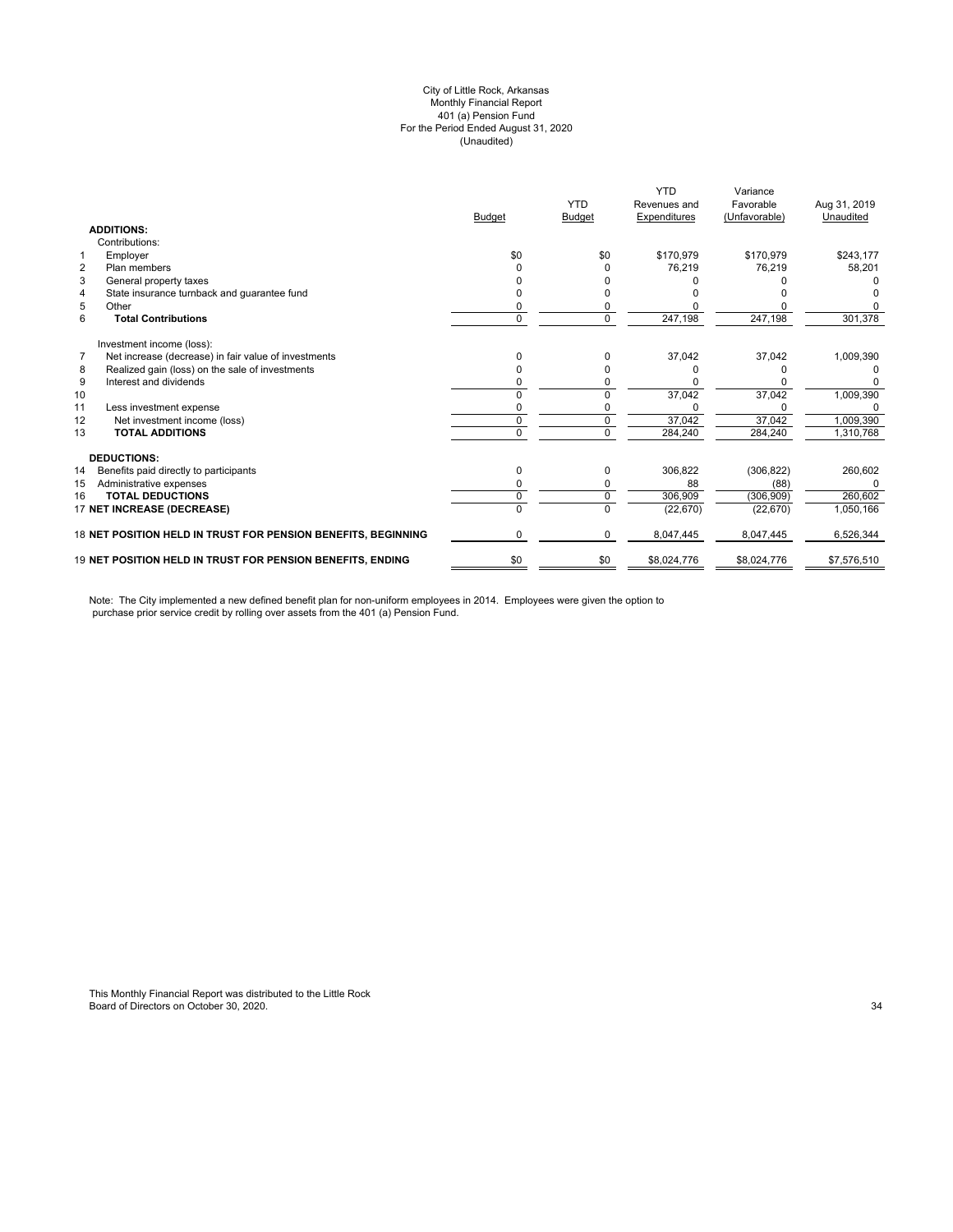#### (Unaudited) City of Little Rock, Arkansas Monthly Financial Report 401 (a) Pension Fund For the Period Ended August 31, 2020

|                |                                                               | <b>Budget</b> | <b>YTD</b><br><b>Budget</b> | <b>YTD</b><br>Revenues and<br>Expenditures | Variance<br>Favorable<br>(Unfavorable) | Aug 31, 2019<br>Unaudited |
|----------------|---------------------------------------------------------------|---------------|-----------------------------|--------------------------------------------|----------------------------------------|---------------------------|
|                | <b>ADDITIONS:</b>                                             |               |                             |                                            |                                        |                           |
|                | Contributions:                                                |               |                             |                                            |                                        |                           |
| 1              | Employer                                                      | \$0           | \$0                         | \$170,979                                  | \$170,979                              | \$243,177                 |
| $\overline{2}$ | Plan members                                                  |               |                             | 76,219                                     | 76,219                                 | 58,201                    |
| 3              | General property taxes                                        |               |                             |                                            |                                        |                           |
| 4              | State insurance turnback and quarantee fund                   |               |                             |                                            |                                        |                           |
| 5              | Other                                                         |               |                             |                                            |                                        |                           |
| 6              | <b>Total Contributions</b>                                    | 0             | 0                           | 247,198                                    | 247,198                                | 301,378                   |
|                | Investment income (loss):                                     |               |                             |                                            |                                        |                           |
| $\overline{7}$ | Net increase (decrease) in fair value of investments          | n             | <sup>0</sup>                | 37,042                                     | 37,042                                 | 1,009,390                 |
| 8              | Realized gain (loss) on the sale of investments               |               |                             |                                            |                                        |                           |
| 9              | Interest and dividends                                        |               |                             |                                            |                                        |                           |
| 10             |                                                               |               |                             | 37,042                                     | 37,042                                 | 1,009,390                 |
| 11             | Less investment expense                                       |               |                             |                                            |                                        |                           |
| 12             | Net investment income (loss)                                  | 0             | 0                           | 37,042                                     | 37,042                                 | 1,009,390                 |
| 13             | <b>TOTAL ADDITIONS</b>                                        | U             | $\Omega$                    | 284,240                                    | 284,240                                | 1,310,768                 |
|                | <b>DEDUCTIONS:</b>                                            |               |                             |                                            |                                        |                           |
| 14             | Benefits paid directly to participants                        | 0             | 0                           | 306,822                                    | (306, 822)                             | 260,602                   |
| 15             | Administrative expenses                                       |               |                             | 88                                         | (88)                                   | O                         |
| 16             | <b>TOTAL DEDUCTIONS</b>                                       | 0             | 0                           | 306,909                                    | (306, 909)                             | 260,602                   |
|                | 17 NET INCREASE (DECREASE)                                    | 0             | $\Omega$                    | (22, 670)                                  | (22, 670)                              | 1,050,166                 |
|                | 18 NET POSITION HELD IN TRUST FOR PENSION BENEFITS, BEGINNING | 0             | 0                           | 8,047,445                                  | 8,047,445                              | 6,526,344                 |
|                | 19 NET POSITION HELD IN TRUST FOR PENSION BENEFITS, ENDING    | \$0           | \$0                         | \$8,024,776                                | \$8,024,776                            | \$7,576,510               |

Note: The City implemented a new defined benefit plan for non-uniform employees in 2014. Employees were given the option to purchase prior service credit by rolling over assets from the 401 (a) Pension Fund.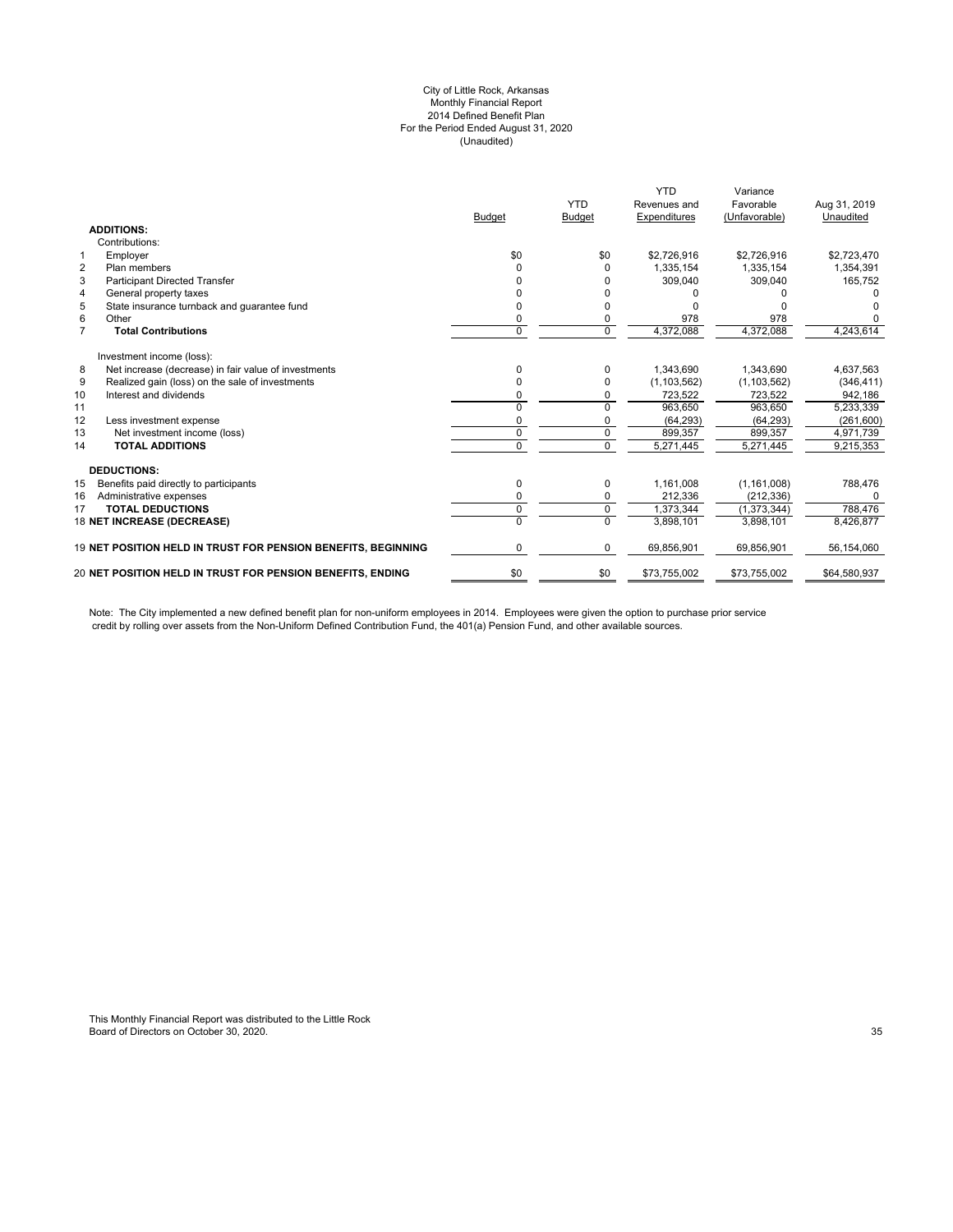#### City of Little Rock, Arkansas Monthly Financial Report 2014 Defined Benefit Plan For the Period Ended August 31, 2020 (Unaudited)

|                |                                                               | <b>Budget</b> | <b>YTD</b><br><b>Budget</b> | <b>YTD</b><br>Revenues and<br>Expenditures | Variance<br>Favorable<br>(Unfavorable) | Aug 31, 2019<br>Unaudited |
|----------------|---------------------------------------------------------------|---------------|-----------------------------|--------------------------------------------|----------------------------------------|---------------------------|
|                | <b>ADDITIONS:</b>                                             |               |                             |                                            |                                        |                           |
|                | Contributions:                                                |               |                             |                                            |                                        |                           |
| $\mathbf{1}$   | Employer                                                      | \$0           | \$0                         | \$2,726,916                                | \$2,726,916                            | \$2,723,470               |
| $\overline{2}$ | Plan members                                                  | U             | O                           | 1,335,154                                  | 1,335,154                              | 1,354,391                 |
| 3              | <b>Participant Directed Transfer</b>                          |               |                             | 309,040                                    | 309,040                                | 165,752                   |
| $\overline{4}$ | General property taxes                                        |               |                             |                                            |                                        |                           |
| 5              | State insurance turnback and quarantee fund                   | n             |                             |                                            |                                        |                           |
| 6              | Other                                                         | 0             |                             | 978                                        | 978                                    |                           |
| $\overline{7}$ | <b>Total Contributions</b>                                    | 0             | $\Omega$                    | 4,372,088                                  | 4,372,088                              | 4,243,614                 |
|                | Investment income (loss):                                     |               |                             |                                            |                                        |                           |
| 8              | Net increase (decrease) in fair value of investments          | 0             | 0                           | 1,343,690                                  | 1,343,690                              | 4,637,563                 |
| 9              | Realized gain (loss) on the sale of investments               |               | O                           | (1, 103, 562)                              | (1, 103, 562)                          | (346, 411)                |
| 10             | Interest and dividends                                        | n             | 0                           | 723,522                                    | 723,522                                | 942,186                   |
| 11             |                                                               | 0             | $\Omega$                    | 963.650                                    | 963.650                                | 5,233,339                 |
| 12             | Less investment expense                                       | 0             | 0                           | (64, 293)                                  | (64, 293)                              | (261, 600)                |
| 13             | Net investment income (loss)                                  | 0             | 0                           | 899.357                                    | 899.357                                | 4,971,739                 |
| 14             | <b>TOTAL ADDITIONS</b>                                        | 0             | $\Omega$                    | 5,271,445                                  | 5,271,445                              | 9,215,353                 |
|                | <b>DEDUCTIONS:</b>                                            |               |                             |                                            |                                        |                           |
| 15             | Benefits paid directly to participants                        | 0             | 0                           | 1,161,008                                  | (1, 161, 008)                          | 788,476                   |
| 16             | Administrative expenses                                       | 0             | 0                           | 212,336                                    | (212, 336)                             | <sup>0</sup>              |
| 17             | <b>TOTAL DEDUCTIONS</b>                                       | 0             | $\mathbf 0$                 | 1.373.344                                  | (1.373.344)                            | 788.476                   |
|                | 18 NET INCREASE (DECREASE)                                    | 0             | $\Omega$                    | 3,898,101                                  | 3,898,101                              | 8,426,877                 |
|                | 19 NET POSITION HELD IN TRUST FOR PENSION BENEFITS, BEGINNING | 0             | 0                           | 69,856,901                                 | 69,856,901                             | 56,154,060                |
|                | 20 NET POSITION HELD IN TRUST FOR PENSION BENEFITS, ENDING    | \$0           | \$0                         | \$73,755,002                               | \$73,755,002                           | \$64,580,937              |
|                |                                                               |               |                             |                                            |                                        |                           |

Note: The City implemented a new defined benefit plan for non-uniform employees in 2014. Employees were given the option to purchase prior service credit by rolling over assets from the Non-Uniform Defined Contribution Fund, the 401(a) Pension Fund, and other available sources.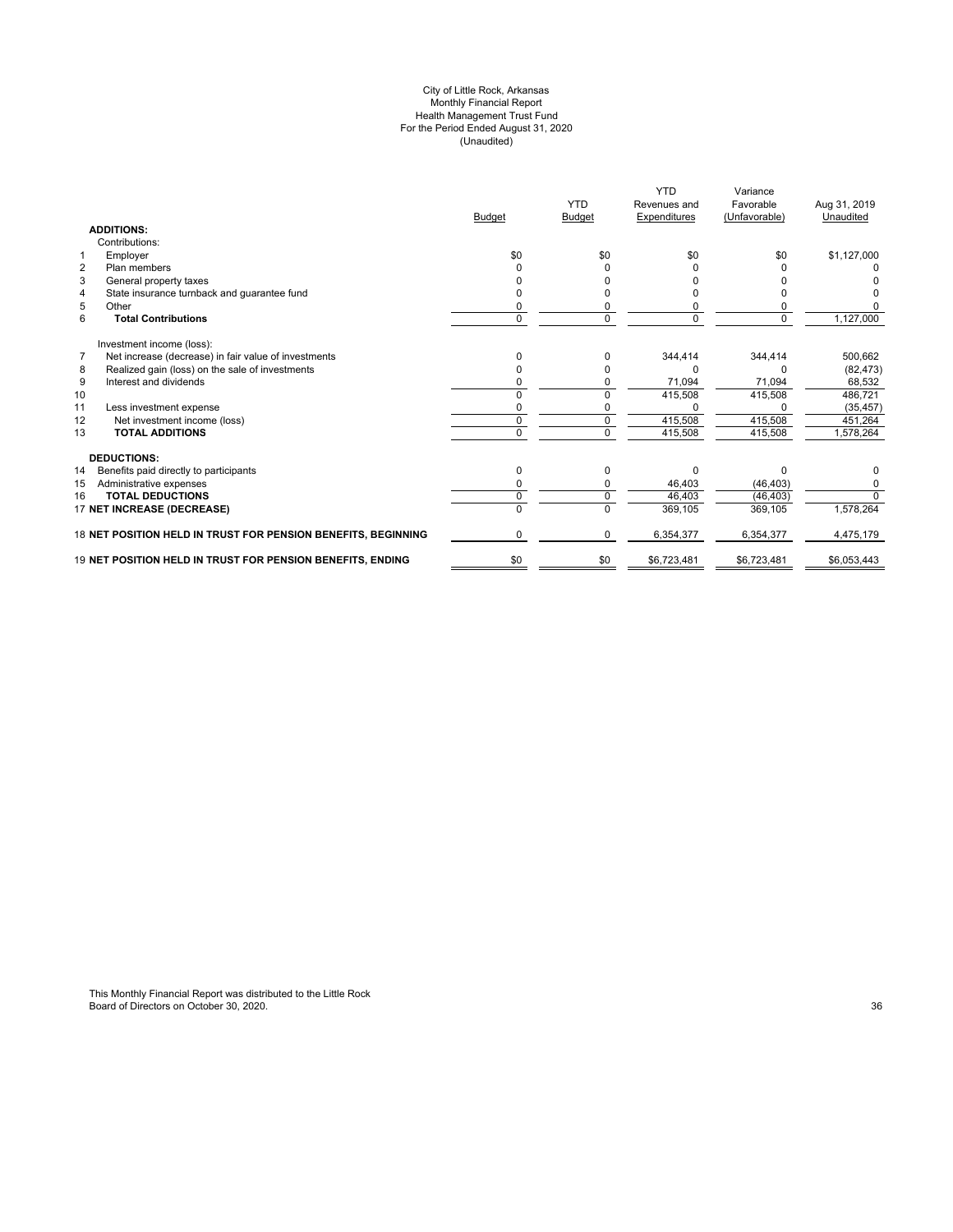#### City of Little Rock, Arkansas Monthly Financial Report Health Management Trust Fund For the Period Ended August 31, 2020 (Unaudited)

|                                                                        | <b>Budget</b> | <b>YTD</b><br>Budget | <b>YTD</b><br>Revenues and<br>Expenditures | Variance<br>Favorable<br>(Unfavorable) | Aug 31, 2019<br>Unaudited |
|------------------------------------------------------------------------|---------------|----------------------|--------------------------------------------|----------------------------------------|---------------------------|
| <b>ADDITIONS:</b>                                                      |               |                      |                                            |                                        |                           |
| Contributions:                                                         |               |                      |                                            |                                        |                           |
| $\mathbf{1}$<br>Employer                                               | \$0           | \$0                  | \$0                                        | \$0                                    | \$1,127,000               |
| $\overline{2}$<br>Plan members                                         |               |                      |                                            |                                        |                           |
| 3<br>General property taxes                                            |               |                      |                                            |                                        |                           |
| State insurance turnback and guarantee fund<br>4                       |               |                      |                                            |                                        |                           |
| 5<br>Other                                                             |               |                      |                                            |                                        |                           |
| 6<br><b>Total Contributions</b>                                        | $\Omega$      | $\Omega$             | 0                                          | $\Omega$                               | 1,127,000                 |
| Investment income (loss):                                              |               |                      |                                            |                                        |                           |
| $\overline{7}$<br>Net increase (decrease) in fair value of investments | n             |                      | 344.414                                    | 344,414                                | 500,662                   |
| Realized gain (loss) on the sale of investments<br>8                   |               |                      | 0                                          |                                        | (82, 473)                 |
| 9<br>Interest and dividends                                            |               |                      | 71,094                                     | 71,094                                 | 68,532                    |
| 10                                                                     |               |                      | 415,508                                    | 415,508                                | 486,721                   |
| 11<br>Less investment expense                                          |               |                      |                                            |                                        | (35, 457)                 |
| 12<br>Net investment income (loss)                                     | $\Omega$      |                      | 415,508                                    | 415,508                                | 451,264                   |
| <b>TOTAL ADDITIONS</b><br>13                                           | $\Omega$      | $\Omega$             | 415,508                                    | 415,508                                | 1,578,264                 |
| <b>DEDUCTIONS:</b>                                                     |               |                      |                                            |                                        |                           |
| 14<br>Benefits paid directly to participants                           | O             |                      | $\Omega$                                   | n                                      |                           |
| 15<br>Administrative expenses                                          |               |                      | 46,403                                     | (46, 403)                              |                           |
| <b>TOTAL DEDUCTIONS</b><br>16                                          | $\Omega$      |                      | 46,403                                     | (46, 403)                              | $\Omega$                  |
| 17 NET INCREASE (DECREASE)                                             |               |                      | 369,105                                    | 369,105                                | 1,578,264                 |
| 18 NET POSITION HELD IN TRUST FOR PENSION BENEFITS, BEGINNING          | 0             | $\Omega$             | 6,354,377                                  | 6,354,377                              | 4,475,179                 |
| 19 NET POSITION HELD IN TRUST FOR PENSION BENEFITS, ENDING             | \$0           | \$0                  | \$6,723,481                                | \$6,723,481                            | \$6,053,443               |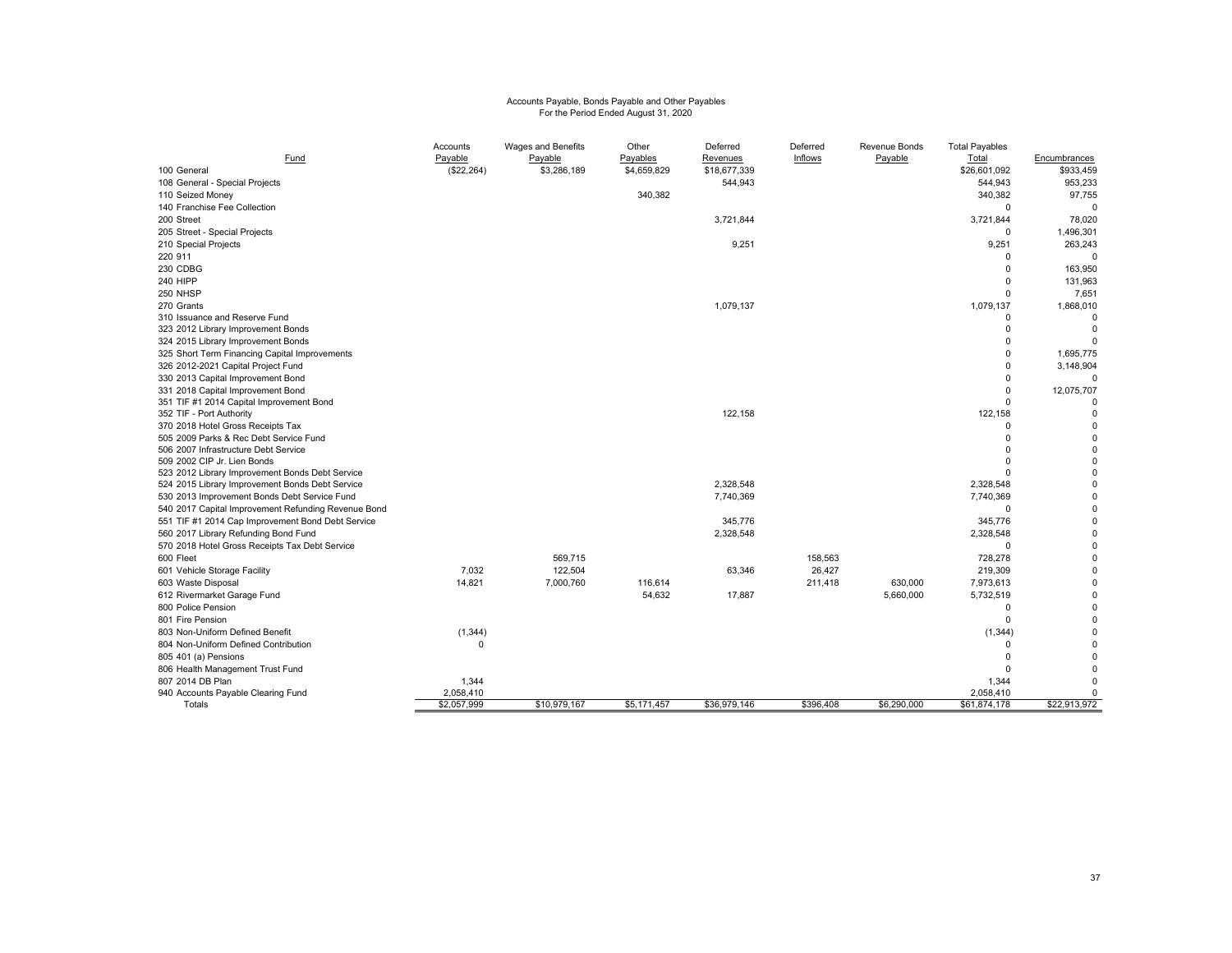# Accounts Payable, Bonds Payable and Other Payables For the Period Ended August 31, 2020

| (\$22,264)<br>\$4,659,829<br>\$18,677,339<br>\$933,459<br>100 General<br>\$3,286,189<br>\$26,601,092<br>108 General - Special Projects<br>544,943<br>544,943<br>340,382<br>340,382<br>110 Seized Money<br>140 Franchise Fee Collection<br>$\mathbf 0$<br>3,721,844<br>200 Street<br>3,721,844<br>205 Street - Special Projects<br>0<br>1,496,301<br>9,251<br>210 Special Projects<br>9,251<br>220 911<br>$\Omega$<br>230 CDBG<br>$\Omega$<br>240 HIPP<br>$\mathbf 0$ | 953,233<br>97,755<br>$\Omega$<br>78,020<br>263,243<br>$\Omega$<br>163,950<br>131,963<br>7,651 |
|----------------------------------------------------------------------------------------------------------------------------------------------------------------------------------------------------------------------------------------------------------------------------------------------------------------------------------------------------------------------------------------------------------------------------------------------------------------------|-----------------------------------------------------------------------------------------------|
|                                                                                                                                                                                                                                                                                                                                                                                                                                                                      |                                                                                               |
|                                                                                                                                                                                                                                                                                                                                                                                                                                                                      |                                                                                               |
|                                                                                                                                                                                                                                                                                                                                                                                                                                                                      |                                                                                               |
|                                                                                                                                                                                                                                                                                                                                                                                                                                                                      |                                                                                               |
|                                                                                                                                                                                                                                                                                                                                                                                                                                                                      |                                                                                               |
|                                                                                                                                                                                                                                                                                                                                                                                                                                                                      |                                                                                               |
|                                                                                                                                                                                                                                                                                                                                                                                                                                                                      |                                                                                               |
|                                                                                                                                                                                                                                                                                                                                                                                                                                                                      |                                                                                               |
|                                                                                                                                                                                                                                                                                                                                                                                                                                                                      |                                                                                               |
|                                                                                                                                                                                                                                                                                                                                                                                                                                                                      |                                                                                               |
| 250 NHSP<br>$\mathbf 0$                                                                                                                                                                                                                                                                                                                                                                                                                                              |                                                                                               |
| 270 Grants<br>1,079,137<br>1,079,137<br>1,868,010                                                                                                                                                                                                                                                                                                                                                                                                                    |                                                                                               |
| 310 Issuance and Reserve Fund<br>$\Omega$                                                                                                                                                                                                                                                                                                                                                                                                                            |                                                                                               |
| 323 2012 Library Improvement Bonds<br>$\Omega$                                                                                                                                                                                                                                                                                                                                                                                                                       | $\Omega$                                                                                      |
| $\Omega$<br>324 2015 Library Improvement Bonds                                                                                                                                                                                                                                                                                                                                                                                                                       |                                                                                               |
| 325 Short Term Financing Capital Improvements<br>$\Omega$<br>1,695,775                                                                                                                                                                                                                                                                                                                                                                                               |                                                                                               |
| 326 2012-2021 Capital Project Fund<br>$\Omega$<br>3,148,904                                                                                                                                                                                                                                                                                                                                                                                                          |                                                                                               |
| 330 2013 Capital Improvement Bond<br>$\Omega$                                                                                                                                                                                                                                                                                                                                                                                                                        |                                                                                               |
| $\Omega$<br>12,075,707<br>331 2018 Capital Improvement Bond                                                                                                                                                                                                                                                                                                                                                                                                          |                                                                                               |
| 351 TIF #1 2014 Capital Improvement Bond<br>$\Omega$                                                                                                                                                                                                                                                                                                                                                                                                                 |                                                                                               |
| 122,158<br>122,158<br>352 TIF - Port Authority                                                                                                                                                                                                                                                                                                                                                                                                                       | $\Omega$                                                                                      |
| 370 2018 Hotel Gross Receipts Tax<br>$\Omega$                                                                                                                                                                                                                                                                                                                                                                                                                        | $\Omega$                                                                                      |
| 505 2009 Parks & Rec Debt Service Fund<br>$\Omega$                                                                                                                                                                                                                                                                                                                                                                                                                   | $\Omega$                                                                                      |
| 506 2007 Infrastructure Debt Service<br>$\Omega$<br>$\Omega$                                                                                                                                                                                                                                                                                                                                                                                                         | $\Omega$<br>$\Omega$                                                                          |
| 509 2002 CIP Jr. Lien Bonds<br>523 2012 Library Improvement Bonds Debt Service<br>$\Omega$                                                                                                                                                                                                                                                                                                                                                                           | $\Omega$                                                                                      |
| 2,328,548<br>2,328,548<br>524 2015 Library Improvement Bonds Debt Service                                                                                                                                                                                                                                                                                                                                                                                            | $\Omega$                                                                                      |
| 530 2013 Improvement Bonds Debt Service Fund<br>7,740,369<br>7,740,369                                                                                                                                                                                                                                                                                                                                                                                               | $\Omega$                                                                                      |
| 540 2017 Capital Improvement Refunding Revenue Bond<br>$\Omega$                                                                                                                                                                                                                                                                                                                                                                                                      | $\Omega$                                                                                      |
| 345,776<br>551 TIF #1 2014 Cap Improvement Bond Debt Service<br>345,776                                                                                                                                                                                                                                                                                                                                                                                              | $\Omega$                                                                                      |
| 2,328,548<br>560 2017 Library Refunding Bond Fund<br>2,328,548                                                                                                                                                                                                                                                                                                                                                                                                       | $\Omega$                                                                                      |
| 570 2018 Hotel Gross Receipts Tax Debt Service<br>$\Omega$                                                                                                                                                                                                                                                                                                                                                                                                           | n                                                                                             |
| 600 Fleet<br>569,715<br>158,563<br>728,278                                                                                                                                                                                                                                                                                                                                                                                                                           | $\Omega$                                                                                      |
| 122,504<br>601 Vehicle Storage Facility<br>7,032<br>26,427<br>63,346<br>219,309                                                                                                                                                                                                                                                                                                                                                                                      | $\Omega$                                                                                      |
| 14,821<br>603 Waste Disposal<br>7,000,760<br>116,614<br>211,418<br>630,000<br>7,973,613                                                                                                                                                                                                                                                                                                                                                                              | $\Omega$                                                                                      |
| 5,732,519<br>54,632<br>17,887<br>5,660,000<br>612 Rivermarket Garage Fund                                                                                                                                                                                                                                                                                                                                                                                            | $\Omega$                                                                                      |
| 800 Police Pension<br>$\Omega$                                                                                                                                                                                                                                                                                                                                                                                                                                       | $\Omega$                                                                                      |
| $\mathbf 0$<br>801 Fire Pension                                                                                                                                                                                                                                                                                                                                                                                                                                      |                                                                                               |
| 803 Non-Uniform Defined Benefit<br>(1, 344)                                                                                                                                                                                                                                                                                                                                                                                                                          | $\Omega$                                                                                      |
| (1, 344)<br>804 Non-Uniform Defined Contribution<br>$\Omega$<br>$\Omega$                                                                                                                                                                                                                                                                                                                                                                                             |                                                                                               |
| $\Omega$                                                                                                                                                                                                                                                                                                                                                                                                                                                             |                                                                                               |
| 805 401 (a) Pensions<br>$\Omega$                                                                                                                                                                                                                                                                                                                                                                                                                                     |                                                                                               |
| 806 Health Management Trust Fund<br>807 2014 DB Plan<br>1,344<br>1,344                                                                                                                                                                                                                                                                                                                                                                                               | U                                                                                             |
| 2,058,410<br>940 Accounts Payable Clearing Fund<br>2,058,410                                                                                                                                                                                                                                                                                                                                                                                                         | 0                                                                                             |
| \$22,913,972<br>\$2.057.999<br>\$10,979,167<br>\$5,171,457<br>\$36,979.146<br>\$396.408<br>\$6,290,000<br>\$61,874,178<br>Totals                                                                                                                                                                                                                                                                                                                                     |                                                                                               |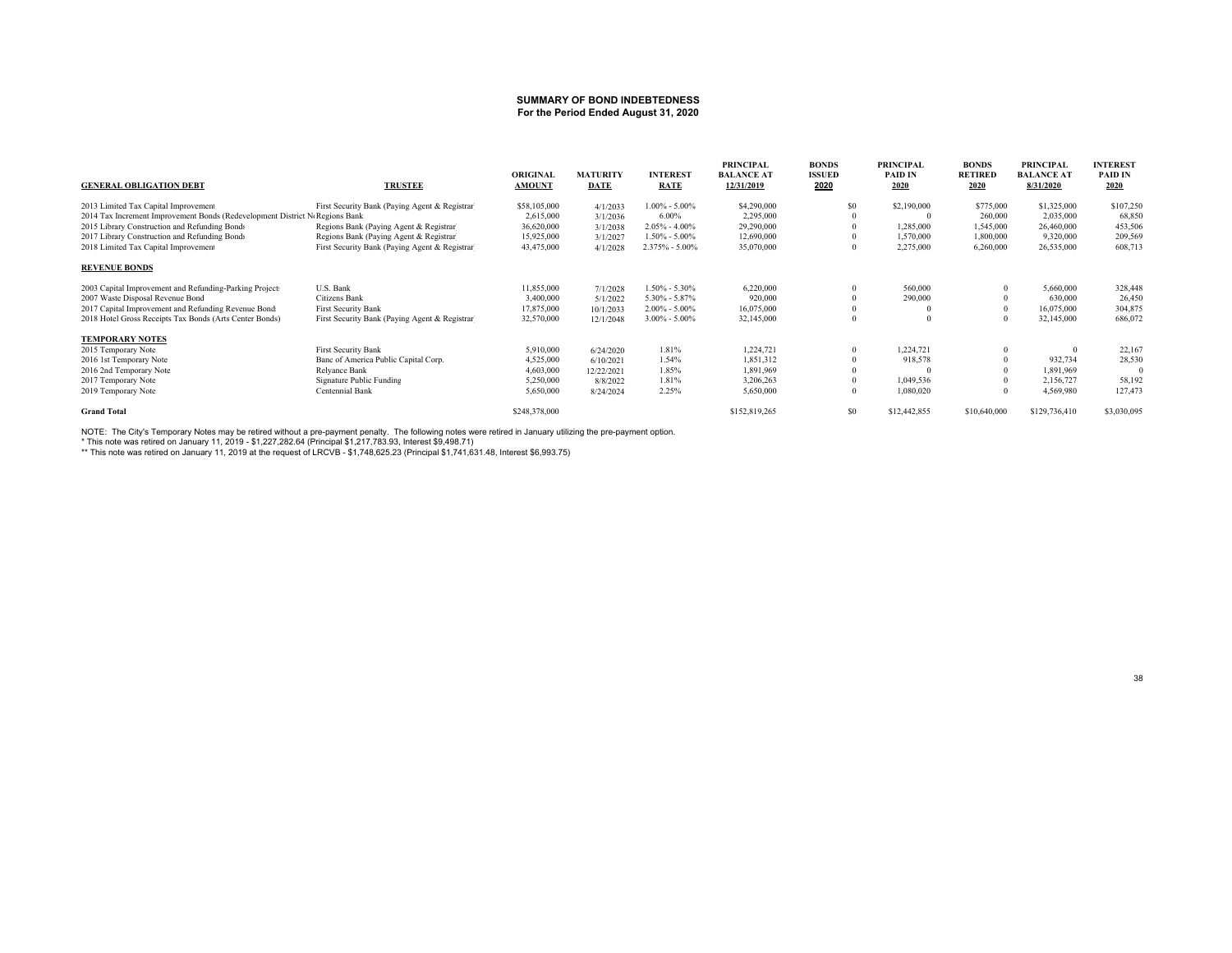#### **SUMMARY OF BOND INDEBTEDNESSFor the Period Ended August 31, 2020**

| <b>GENERAL OBLIGATION DEBT</b>                                              | <b>TRUSTEE</b>                                 | <b>ORIGINAL</b><br><b>AMOUNT</b> | <b>MATURITY</b><br>DATE | <b>INTEREST</b><br><b>RATE</b> | <b>PRINCIPAL</b><br><b>BALANCE AT</b><br>12/31/2019 | <b>BONDS</b><br><b>ISSUED</b><br>2020 | <b>PRINCIPAL</b><br><b>PAID IN</b><br>2020 | <b>BONDS</b><br><b>RETIRED</b><br>2020 | <b>PRINCIPAL</b><br><b>BALANCE AT</b><br>8/31/2020 | <b>INTEREST</b><br><b>PAID IN</b><br>2020 |
|-----------------------------------------------------------------------------|------------------------------------------------|----------------------------------|-------------------------|--------------------------------|-----------------------------------------------------|---------------------------------------|--------------------------------------------|----------------------------------------|----------------------------------------------------|-------------------------------------------|
| 2013 Limited Tax Capital Improvement                                        | First Security Bank (Paying Agent & Registrar) | \$58,105,000                     | 4/1/2033                | $1.00\% - 5.00\%$              | \$4,290,000                                         | \$0                                   | \$2,190,000                                | \$775,000                              | \$1,325,000                                        | \$107,250                                 |
| 2014 Tax Increment Improvement Bonds (Redevelopment District N Regions Bank |                                                | 2,615,000                        | 3/1/2036                | 6.00%                          | 2,295,000                                           |                                       |                                            | 260,000                                | 2,035,000                                          | 68,850                                    |
| 2015 Library Construction and Refunding Bonds                               | Regions Bank (Paying Agent & Registrar)        | 36,620,000                       | 3/1/2038                | $2.05\% - 4.00\%$              | 29,290,000                                          |                                       | 1,285,000                                  | 1,545,000                              | 26,460,000                                         | 453,506                                   |
| 2017 Library Construction and Refunding Bonds                               | Regions Bank (Paying Agent & Registrar)        | 15,925,000                       | 3/1/2027                | $1.50\% - 5.00\%$              | 12,690,000                                          |                                       | 1,570,000                                  | 1,800,000                              | 9,320,000                                          | 209,569                                   |
| 2018 Limited Tax Capital Improvement                                        | First Security Bank (Paying Agent & Registrar) | 43,475,000                       | 4/1/2028                | 2.375% - 5.00%                 | 35,070,000                                          |                                       | 2,275,000                                  | 6,260,000                              | 26,535,000                                         | 608,713                                   |
| <b>REVENUE BONDS</b>                                                        |                                                |                                  |                         |                                |                                                     |                                       |                                            |                                        |                                                    |                                           |
| 2003 Capital Improvement and Refunding-Parking Projects                     | U.S. Bank                                      | 11,855,000                       | 7/1/2028                | $1.50\% - 5.30\%$              | 6,220,000                                           |                                       | 560,000                                    |                                        | 5,660,000                                          | 328,448                                   |
| 2007 Waste Disposal Revenue Bond                                            | Citizens Bank                                  | 3,400,000                        | 5/1/2022                | $5.30\% - 5.87\%$              | 920,000                                             |                                       | 290,000                                    |                                        | 630,000                                            | 26,450                                    |
| 2017 Capital Improvement and Refunding Revenue Bond:                        | <b>First Security Bank</b>                     | 17,875,000                       | 10/1/2033               | $2.00\% - 5.00\%$              | 16,075,000                                          |                                       |                                            |                                        | 16,075,000                                         | 304,875                                   |
| 2018 Hotel Gross Receipts Tax Bonds (Arts Center Bonds)                     | First Security Bank (Paying Agent & Registrar) | 32,570,000                       | 12/1/2048               | $3.00\% - 5.00\%$              | 32,145,000                                          |                                       |                                            |                                        | 32,145,000                                         | 686,072                                   |
| <b>TEMPORARY NOTES</b>                                                      |                                                |                                  |                         |                                |                                                     |                                       |                                            |                                        |                                                    |                                           |
| 2015 Temporary Note                                                         | <b>First Security Bank</b>                     | 5,910,000                        | 6/24/2020               | 1.81%                          | 1,224,721                                           |                                       | 1,224,721                                  |                                        |                                                    | 22,167                                    |
| 2016 1st Temporary Note                                                     | Banc of America Public Capital Corp.           | 4,525,000                        | 6/10/2021               | 1.54%                          | 1,851,312                                           |                                       | 918,578                                    |                                        | 932,734                                            | 28,530                                    |
| 2016 2nd Temporary Note                                                     | Relyance Bank                                  | 4,603,000                        | 12/22/2021              | 1.85%                          | 1,891,969                                           |                                       |                                            |                                        | 1,891,969                                          |                                           |
| 2017 Temporary Note                                                         | Signature Public Funding                       | 5,250,000                        | 8/8/2022                | 1.81%                          | 3,206,263                                           |                                       | 1,049,536                                  |                                        | 2,156,727                                          | 58,192                                    |
| 2019 Temporary Note                                                         | Centennial Bank                                | 5,650,000                        | 8/24/2024               | 2.25%                          | 5,650,000                                           |                                       | 1,080,020                                  |                                        | 4,569,980                                          | 127,473                                   |
| <b>Grand Total</b>                                                          |                                                | \$248,378,000                    |                         |                                | \$152,819,265                                       | \$0                                   | \$12,442,855                               | \$10,640,000                           | \$129,736,410                                      | \$3,030,095                               |

NOTE: The City's Temporary Notes may be retired without a pre-payment penalty. The following notes were retired in January utilizing the pre-payment option.<br>\* This note was retired on January 11, 2019 - \$1,227,282.64 (Pr